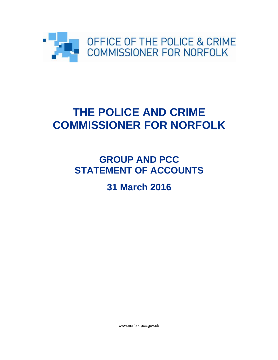

# **THE POLICE AND CRIME COMMISSIONER FOR NORFOLK**

# **GROUP AND PCC STATEMENT OF ACCOUNTS**

# **31 March 2016**

www.norfolk-pcc.gov.uk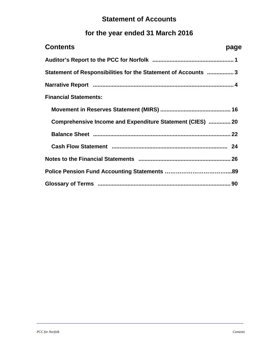### **Statement of Accounts**

## **for the year ended 31 March 2016**

| <b>Contents</b>                                               | page |
|---------------------------------------------------------------|------|
|                                                               |      |
| Statement of Responsibilities for the Statement of Accounts 3 |      |
|                                                               |      |
| <b>Financial Statements:</b>                                  |      |
|                                                               |      |
| Comprehensive Income and Expenditure Statement (CIES)  20     |      |
|                                                               |      |
|                                                               |      |
|                                                               |      |
|                                                               |      |
|                                                               |      |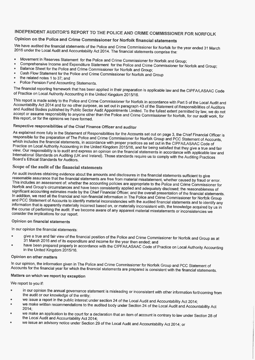### INDEPENDENT AUDITOR'S REPORT TO THE POLICE AND CRIME COMMISSIONER FOR NORFOLK

### Opinion on the Police and Crime Commissioner for Norfolk financial statements

We have audited the financial statements of the Police and Crime Commissioner for Norfolk for the year ended 31 March 2016 under the Local Audit and Accountability Act 2014. The financial statements comprise the:

- Movement in Reserves Statement for the Police and Crime Commissioner for Norfolk and Group;
- Comprehensive Income and Expenditure Statement for the Police and Crime Commissioner for Norfolk and Group;
- Balance Sheet for the Police and Crime Commissioner for Norfolk and Group:
- Cash Flow Statement for the Police and Crime Commissioner for Norfolk and Group
- the related notes 1 to 37; and
- Police Pension Fund Accounting Statements.  $\bullet$

The financial reporting framework that has been applied in their preparation is applicable law and the CIPFA/LASAAC Code of Practice on Local Authority Accounting in the United Kingdom 2015/16.

This report is made solely to the Police and Crime Commissioner for Norfolk in accordance with Part 5 of the Local Audit and Accountability Act 2014 and for no other purpose, as set out in paragraph 43 of the Statement of Responsibilities of Auditors and Audited Bodies published by Public Sector Audit Appointments Limited. To the fullest extent permitted by law, we do not and reading below parameter by them because them in production and Crime Commissioner for Norfolk, for our audit work, for this report, or for the opinions we have formed.

### Respective responsibilities of the Chief Finance Officer and auditor

As explained more fully in the Statement of Responsibilities for the Accounts set out on page 3, the Chief Financial Officer is responsible for the preparation of The Police and Crime Commissioner for Norfolk Group and PCC Statement of Accounts, which includes the financial statements, in accordance with proper practices as set out in the CIPFA/LASAAC Code of Practice on Local Authority Accounting in the United Kingdom 2015/16, and for being satisfied that they give a true and fair view. Our responsibility is to audit and express an opinion on the financial statements in accordance with applicable law and International Standards on Auditing (UK and Ireland). Those standards require us to comply with the Auditing Practices Board's Ethical Standards for Auditors.

### Scope of the audit of the financial statements

An audit involves obtaining evidence about the amounts and disclosures in the financial statements sufficient to give reasonable assurance that the financial statements are free from material misstatement, whether caused by fraud or error. This includes an assessment of: whether the accounting policies are appropriate to the Police and Crime Commissioner for Norfolk and Group's circumstances and have been consistently applied and adequately disclosed; the reasonableness of significant accounting estimates made by the Chief Financial Officer; and the overall presentation of the financial statements. In addition, we read all the financial and non-financial information in The Police and Crime Commissioner for Norfolk Group and PCC Statement of Accounts to identify material inconsistencies with the audited financial statements and to identify any information that is apparently materially incorrect based on, or materially inconsistent with, the knowledge acquired by us in the course of performing the audit. If we become aware of any apparent material misstatements or inconsistencies we consider the implications for our report.

### Opinion on financial statements

In our opinion the financial statements:

- give a true and fair view of the financial position of the Police and Crime Commissioner for Norfolk and Group as at 31 March 2016 and of its expenditure and income for the year then ended; and
- have been prepared properly in accordance with the CIPFA/LASAAC Code of Practice on Local Authority Accounting in the United Kingdom 2015/16.

#### Opinion on other matters

In our opinion, the information given in The Police and Crime Commissioner for Norfolk Group and PCC Statement of Accounts for the financial year for which the financial statements are prepared is consistent with the financial statements.

### Matters on which we report by exception

We report to you if:

- in our opinion the annual governance statement is misleading or inconsistent with other information forthcoming from the audit or our knowledge of the entity;
- we issue a report in the public interest under section 24 of the Local Audit and Accountability Act 2014;
- we make written recommendations to the audited body under Section 24 of the Local Audit and Accountability Act  $2014:$
- we make an application to the court for a declaration that an item of account is contrary to law under Section 28 of the Local Audit and Accountability Act 2014:
- we decompose the contract of the Local Audit and Accountability Act 2014; or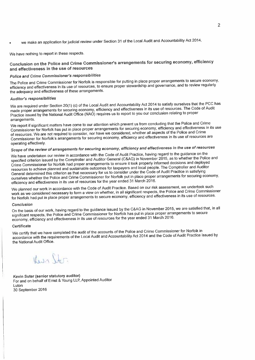we make an application for judicial review under Section 31 of the Local Audit and Accountability Act 2014.

We have nothing to report in these respects.

### Conclusion on the Police and Crime Commissioner's arrangements for securing economy, efficiency and effectiveness in the use of resources

### Police and Crime Commissioner's responsibilities

The Police and Crime Commissioner for Norfolk is responsible for putting in place proper arrangements to secure economy, efficiency and effectiveness in its use of resources, to ensure proper stewardship and governance, and to review regularly the adequacy and effectiveness of these arrangements.

### Auditor's responsibilities

We are required under Section 20(1) (c) of the Local Audit and Accountability Act 2014 to satisfy ourselves that the PCC has made proper arrangements for securing economy, efficiency and effectiveness in its use of resources. The Code of Audit Practice issued by the National Audit Office (NAO) requires us to report to you our conclusion relating to proper arrangements.

We report if significant matters have come to our attention which prevent us from concluding that the Police and Crime Commissioner for Norfolk has put in place proper arrangements for securing economy, efficiency and effectiveness in its use of resources. We are not required to consider, nor have we considered, whether all aspects of the Police and Crime Commissioner for Norfolk's arrangements for securing economy, efficiency and effectiveness in its use of resources are operating effectively.

### Scope of the review of arrangements for securing economy, efficiency and effectiveness in the use of resources

We have undertaken our review in accordance with the Code of Audit Practice, having regard to the guidance on the specified criterion issued by the Comptroller and Auditor General (C&AG) in November 2015, as to whether the Police and Crime Commissioner for Norfolk had proper arrangements to ensure it took properly informed decisions and deployed resources to achieve planned and sustainable outcomes for taxpayers and local people. The Comptroller and Auditor General determined this criterion as that necessary for us to consider under the Code of Audit Practice in satisfying ourselves whether the Police and Crime Commissioner for Norfolk put in place proper arrangements for securing economy, efficiency and effectiveness in its use of resources for the year ended 31 March 2016.

We planned our work in accordance with the Code of Audit Practice. Based on our risk assessment, we undertook such work as we considered necessary to form a view on whether, in all significant respects, the Police and Crime Commissioner for Norfolk had put in place proper arrangements to secure economy, efficiency and effectiveness in its use of resources.

#### Conclusion

On the basis of our work, having regard to the guidance issued by the C&AG in November 2015, we are satisfied that, in all Significant respects, the Police and Crime Commissioner for Norfolk has put in place proper arrangements to secure economy, efficiency and effectiveness in its use of resources for the year ended 31 March 2016.

#### Certificate

We certify that we have completed the audit of the accounts of the Police and Crime Commissioner for Norfolk in accordance with the requirements of the Local Audit and Accountability Act 2014 and the Code of Audit Practice issued by the National Audit Office.

Herin Stor

Kevin Suter (senior statutory auditor) For and on behalf of Ernst & Young LLP, Appointed Auditor Luton 30 September 2016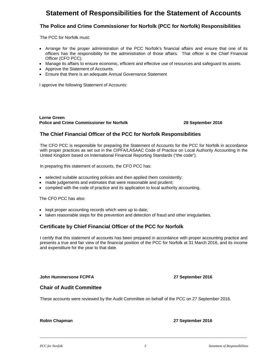### **Statement of Responsibilities for the Statement of Accounts**

### **The Police and Crime Commissioner for Norfolk (PCC for Norfolk) Responsibilities**

The PCC for Norfolk must:

- Arrange for the proper administration of the PCC Norfolk's financial affairs and ensure that one of its officers has the responsibility for the administration of those affairs. That officer is the Chief Financial Officer (CFO PCC).
- Manage its affairs to ensure economic, efficient and effective use of resources and safeguard its assets.
- Approve the Statement of Accounts.
- Ensure that there is an adequate Annual Governance Statement

I approve the following Statement of Accounts:

**Lorne Green Police and Crime Commissioner for Norfolk 28 September 2016** 

### **The Chief Financial Officer of the PCC for Norfolk Responsibilities**

The CFO PCC is responsible for preparing the Statement of Accounts for the PCC for Norfolk in accordance with proper practices as set out in the CIPFA/LASAAC Code of Practice on Local Authority Accounting in the United Kingdom based on International Financial Reporting Standards ("the code").

In preparing this statement of accounts, the CFO PCC has:

- selected suitable accounting policies and then applied them consistently;
- made judgements and estimates that were reasonable and prudent;
- complied with the code of practice and its application to local authority accounting.

The CFO PCC has also:

- kept proper accounting records which were up to date;
- taken reasonable steps for the prevention and detection of fraud and other irregularities.

### **Certificate by Chief Financial Officer of the PCC for Norfolk**

I certify that this statement of accounts has been prepared in accordance with proper accounting practice and presents a true and fair view of the financial position of the PCC for Norfolk at 31 March 2016, and its income and expenditure for the year to that date.

**John Hummersone FCPFA 27 September 2016** 

### **Chair of Audit Committee**

These accounts were reviewed by the Audit Committee on behalf of the PCC on 27 September 2016.

**Robin Chapman 27 September 2016**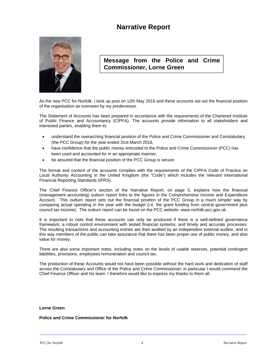### **Narrative Report**



**Message from the Police and Crime Commissioner, Lorne Green**

As the new PCC for Norfolk, I took up post on 12th May 2016 and these accounts set out the financial position of the organisation as overseen by my predecessor.

The Statement of Accounts has been prepared in accordance with the requirements of the Chartered Institute of Public Finance and Accountancy (CIPFA). The accounts provide information to all stakeholders and interested parties, enabling them to:

- understand the overarching financial position of the Police and Crime Commissioner and Constabulary (the PCC Group) for the year ended 31st March 2016,
- have confidence that the public money entrusted to the Police and Crime Commissioner (PCC) has been used and accounted for in an appropriate manner,
- be assured that the financial position of the PCC Group is secure.

The format and content of the accounts complies with the requirements of the CIPFA Code of Practice on Local Authority Accounting in the United Kingdom (the "Code") which includes the relevant International Financial Reporting Standards (IFRS).

The Chief Finance Officer's section of the Narrative Report, on page 5, explains how the financial (management accounting) outturn report links to the figures in the Comprehensive Income and Expenditure Account. This outturn report sets out the financial position of the PCC Group in a much simpler way by comparing actual spending in the year with the budget (i.e. the grant funding from central government plus council tax income). The outturn report can be found on the PCC website: www.norfolk-pcc.gov.uk .

It is important to note that these accounts can only be produced if there is a well-defined governance framework, a robust control environment with tested financial systems, and timely and accurate processes. The resulting transactions and accounting entries are then audited by an independent external auditor, and in this way members of the public can take assurance that there has been proper use of public money, and also value for money.

There are also some important notes, including notes on the levels of usable reserves, potential contingent liabilities, provisions, employees remuneration and council tax.

The production of these Accounts would not have been possible without the hard work and dedication of staff across the Constabulary and Office of the Police and Crime Commissioner; in particular I would commend the Chief Finance Officer and his team. I therefore would like to express my thanks to them all.

### **Lorne Green**

### **Police and Crime Commissioner for Norfolk**

*PCC for Norfolk 4 Narrative Report*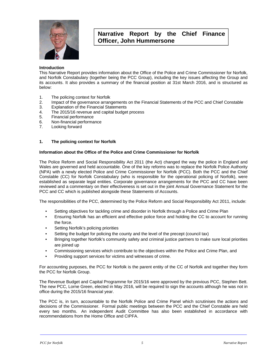

### **Narrative Report by the Chief Finance Officer, John Hummersone**

### **Introduction**

This Narrative Report provides information about the Office of the Police and Crime Commissioner for Norfolk, and Norfolk Constabulary (together being the PCC Group), including the key issues affecting the Group and its accounts. It also provides a summary of the financial position at 31st March 2016, and is structured as below:

- 1. The policing context for Norfolk<br>2. Impact of the governance arrane
- 2. Impact of the governance arrangements on the Financial Statements of the PCC and Chief Constable
- 3. Explanation of the Financial Statements<br>4. The 2015/16 revenue and capital budget
- The 2015/16 revenue and capital budget process
- 5. Financial performance
- 6. Non-financial performance
- 7. Looking forward

### **1. The policing context for Norfolk**

### **Information about the Office of the Police and Crime Commissioner for Norfolk**

The Police Reform and Social Responsibility Act 2011 (the Act) changed the way the police in England and Wales are governed and held accountable. One of the key reforms was to replace the Norfolk Police Authority (NPA) with a newly elected Police and Crime Commissioner for Norfolk (PCC). Both the PCC and the Chief Constable (CC) for Norfolk Constabulary (who is responsible for the operational policing of Norfolk), were established as separate legal entities. Corporate governance arrangements for the PCC and CC have been reviewed and a commentary on their effectiveness is set out in the joint Annual Governance Statement for the PCC and CC which is published alongside these Statements of Accounts.

The responsibilities of the PCC, determined by the Police Reform and Social Responsibility Act 2011, include:

- Setting objectives for tackling crime and disorder in Norfolk through a Police and Crime Plan
- Ensuring Norfolk has an efficient and effective police force and holding the CC to account for running the force.
- Setting Norfolk's policing priorities
- Setting the budget for policing the county and the level of the precept (council tax)
- Bringing together Norfolk's community safety and criminal justice partners to make sure local priorities are joined up
- Commissioning services which contribute to the objectives within the Police and Crime Plan, and
- Providing support services for victims and witnesses of crime.

For accounting purposes, the PCC for Norfolk is the parent entity of the CC of Norfolk and together they form the PCC for Norfolk Group.

The Revenue Budget and Capital Programme for 2015/16 were approved by the previous PCC, Stephen Bett. The new PCC, Lorne Green, elected in May 2016, will be required to sign the accounts although he was not in office during the 2015/16 financial year.

The PCC is, in turn, accountable to the Norfolk Police and Crime Panel which scrutinises the actions and decisions of the Commissioner. Formal public meetings between the PCC and the Chief Constable are held every two months. An independent Audit Committee has also been established in accordance with recommendations from the Home Office and CIPFA.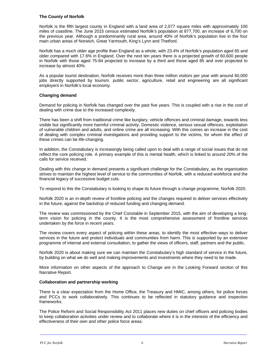### **The County of Norfolk**

Norfolk is the fifth largest county in England with a land area of 2,077 square miles with approximately 100 miles of coastline. The June 2015 census estimated Norfolk's population at 877,700, an increase of 6,700 on the previous year. Although a predominantly rural area, around 40% of Norfolk's population live in the four main urban areas of Norwich, Great Yarmouth, King's Lynn and Thetford.

Norfolk has a much older age profile than England as a whole, with 23.4% of Norfolk's population aged 65 and older compared with 17.6% in England. Over the next ten years there is a projected growth of 60,600 people in Norfolk with those aged 75-84 projected to increase by a third and those aged 85 and over projected to increase by almost 40%.

As a popular tourist destination, Norfolk receives more than three million visitors per year with around 60,000 jobs directly supported by tourism. public sector, agriculture, retail and engineering are all significant employers in Norfolk's local economy.

### **Changing demand**

Demand for policing in Norfolk has changed over the past five years. This is coupled with a rise in the cost of dealing with crime due to the increased complexity.

There has been a shift from traditional crime like burglary, vehicle offences and criminal damage, towards less visible but significantly more harmful criminal activity. Domestic violence, serious sexual offences, exploitation of vulnerable children and adults, and online crime are all increasing. With this comes an increase in the cost of dealing with complex criminal investigations and providing support to the victims, for whom the effect of these crimes can be life-changing.

In addition, the Constabulary is increasingly being called upon to deal with a range of social issues that do not reflect the core policing role. A primary example of this is mental health, which is linked to around 20% of the calls for service received.

Dealing with this change in demand presents a significant challenge for the Constabulary, as the organisation strives to maintain the highest level of service to the communities of Norfolk, with a reduced workforce and the financial legacy of successive budget cuts.

To respond to this the Constabulary is looking to shape its future through a change programme, Norfolk 2020.

Norfolk 2020 is an in-depth review of frontline policing and the changes required to deliver services effectively in the future, against the backdrop of reduced funding and changing demand.

The review was commissioned by the Chief Constable in September 2015, with the aim of developing a longterm vision for policing in the county. It is the most comprehensive assessment of frontline services undertaken by the force in recent years.

The review covers every aspect of policing within these areas, to identify the most effective ways to deliver services in the future and protect individuals and communities from harm. This is supported by an extensive programme of internal and external consultation, to gather the views of officers, staff, partners and the public.

Norfolk 2020 is about making sure we can maintain the Constabulary's high standard of service in the future, by building on what we do well and making improvements and investments where they need to be made.

More information on other aspects of the approach to Change are in the Looking Forward section of this Narrative Report.

### **Collaboration and partnership working**

There is a clear expectation from the Home Office, the Treasury and HMIC, among others, for police forces and PCCs to work collaboratively. This continues to be reflected in statutory guidance and inspection frameworks.

The Police Reform and Social Responsibility Act 2011 places new duties on chief officers and policing bodies to keep collaboration activities under review and to collaborate where it is in the interests of the efficiency and effectiveness of their own and other police force areas.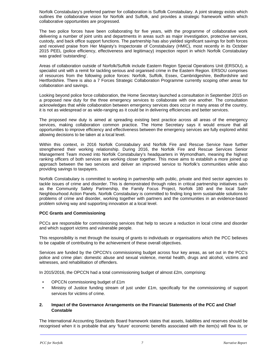Norfolk Constabulary's preferred partner for collaboration is Suffolk Constabulary. A joint strategy exists which outlines the collaborative vision for Norfolk and Suffolk, and provides a strategic framework within which collaborative opportunities are progressed.

The two police forces have been collaborating for five years, with the programme of collaborative work delivering a number of joint units and departments in areas such as major investigation, protective services, custody, and back office support functions. The partnership has also yielded significant savings for both forces and received praise from Her Majesty's Inspectorate of Constabulary (HMIC), most recently in its October 2015 PEEL (police efficiency, effectiveness and legitimacy) inspection report in which Norfolk Constabulary was graded 'outstanding'.

Areas of collaboration outside of Norfolk/Suffolk include Eastern Region Special Operations Unit (ERSOU), a specialist unit with a remit for tackling serious and organised crime in the Eastern Region. ERSOU comprises of resources from the following police forces: Norfolk, Suffolk, Essex, Cambridgeshire, Bedfordshire and Hertfordshire. There is also a 7 Forces Strategic Collaboration Programme currently scoping other areas for collaboration and savings.

Looking beyond police force collaboration, the Home Secretary launched a consultation in September 2015 on a proposed new duty for the three emergency services to collaborate with one another. The consultation acknowledges that while collaboration between emergency services does occur in many areas of the country, it is not as widespread or as wide-ranging as it could be in delivering efficiencies and better services.

The proposed new duty is aimed at spreading existing best practice across all areas of the emergency services, making collaboration common practice. The Home Secretary says it would ensure that all opportunities to improve efficiency and effectiveness between the emergency services are fully explored whilst allowing decisions to be taken at a local level.

Within this context, in 2016 Norfolk Constabulary and Norfolk Fire and Rescue Service have further strengthened their working relationship. During 2016, the Norfolk Fire and Rescue Services Senior Management Team moved into Norfolk Constabulary's headquarters in Wymondham, meaning the highest ranking officers of both services are working closer together. This move aims to establish a more joined up approach between the two services and deliver an improved service to Norfolk's communities while also providing savings to taxpayers.

Norfolk Constabulary is committed to working in partnership with public, private and third sector agencies to tackle issues of crime and disorder. This is demonstrated through roles in critical partnership initiatives such as the Community Safety Partnership, the Family Focus Project, Norfolk 180 and the local Safer Neighbourhood Action Panels. Norfolk Constabulary is committed to finding long term sustainable solutions to problems of crime and disorder, working together with partners and the communities in an evidence-based problem solving way and supporting innovation at a local level.

### **PCC Grants and Commissioning**

PCCs are responsible for commissioning services that help to secure a reduction in local crime and disorder and which support victims and vulnerable people.

This responsibility is met through the issuing of grants to individuals or organisations which the PCC believes to be capable of contributing to the achievement of these overall objectives.

Services are funded by the OPCCN's commissioning budget across four key areas, as set out in the PCC's police and crime plan: domestic abuse and sexual violence, mental health, drugs and alcohol, victims and witnesses, and rehabilitation of offenders.

In 2015/2016, the OPCCN had a total commissioning budget of almost £2m, comprising:

- OPCCN commissioning budget of £1m
- Ministry of Justice funding stream of just under £1m, specifically for the commissioning of support services for victims of crime.

### **2. Impact of the Governance Arrangements on the Financial Statements of the PCC and Chief Constable**

The International Accounting Standards Board framework states that assets, liabilities and reserves should be recognised when it is probable that any 'future' economic benefits associated with the item(s) will flow to, or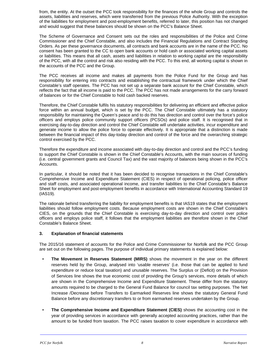from, the entity. At the outset the PCC took responsibility for the finances of the whole Group and controls the assets, liabilities and reserves, which were transferred from the previous Police Authority. With the exception of the liabilities for employment and post-employment benefits, referred to later, this position has not changed and would suggest that these balances should be shown on the PCC's Balance Sheet.

The Scheme of Governance and Consent sets out the roles and responsibilities of the Police and Crime Commissioner and the Chief Constable, and also includes the Financial Regulations and Contract Standing Orders. As per these governance documents, all contracts and bank accounts are in the name of the PCC. No consent has been granted to the CC to open bank accounts or hold cash or associated working capital assets or liabilities. This means that all cash, assets and liabilities in relation to working capital are the responsibility of the PCC, with all the control and risk also residing with the PCC. To this end, all working capital is shown in the accounts of the PCC and the Group.

The PCC receives all income and makes all payments from the Police Fund for the Group and has responsibility for entering into contracts and establishing the contractual framework under which the Chief Constable's staff operates. The PCC has not set up a separate bank account for the Chief Constable, which reflects the fact that all income is paid to the PCC. The PCC has not made arrangements for the carry forward of balances or for the Chief Constable to hold cash backed reserves.

Therefore, the Chief Constable fulfils his statutory responsibilities for delivering an efficient and effective police force within an annual budget, which is set by the PCC. The Chief Constable ultimately has a statutory responsibility for maintaining the Queen's peace and to do this has direction and control over the force's police officers and employs police community support officers (PCSOs) and police staff. It is recognised that in exercising day-to-day direction and control the Chief Constable will undertake activities, incur expenditure and generate income to allow the police force to operate effectively. It is appropriate that a distinction is made between the financial impact of this day-today direction and control of the force and the overarching strategic control exercised by the PCC.

Therefore the expenditure and income associated with day-to-day direction and control and the PCC's funding to support the Chief Constable is shown in the Chief Constable's Accounts, with the main sources of funding (i.e. central government grants and Council Tax) and the vast majority of balances being shown in the PCC's Accounts.

In particular, it should be noted that it has been decided to recognise transactions in the Chief Constable's Comprehensive Income and Expenditure Statement (CIES) in respect of operational policing, police officer and staff costs, and associated operational income, and transfer liabilities to the Chief Constable's Balance Sheet for employment and post-employment benefits in accordance with International Accounting Standard 19 (IAS19).

The rationale behind transferring the liability for employment benefits is that IAS19 states that the employment liabilities should follow employment costs. Because employment costs are shown in the Chief Constable's CIES, on the grounds that the Chief Constable is exercising day-to-day direction and control over police officers and employs police staff, it follows that the employment liabilities are therefore shown in the Chief Constable's Balance Sheet.

### **3. Explanation of financial statements**

The 2015/16 statement of accounts for the Police and Crime Commissioner for Norfolk and the PCC Group are set out on the following pages. The purpose of individual primary statements is explained below:

- **The Movement in Reserves Statement (MIRS)** shows the movement in the year on the different reserves held by the Group, analysed into 'usable reserves' (i.e. those that can be applied to fund expenditure or reduce local taxation) and unusable reserves. The Surplus or (Deficit) on the Provision of Services line shows the true economic cost of providing the Group's services, more details of which are shown in the Comprehensive Income and Expenditure Statement. These differ from the statutory amounts required to be charged to the General Fund Balance for council tax setting purposes. The Net Increase /Decrease before Transfers to Earmarked Reserves line shows the statutory General Fund Balance before any discretionary transfers to or from earmarked reserves undertaken by the Group.
- **The Comprehensive Income and Expenditure Statement (CIES)** shows the accounting cost in the year of providing services in accordance with generally accepted accounting practices, rather than the amount to be funded from taxation. The PCC raises taxation to cover expenditure in accordance with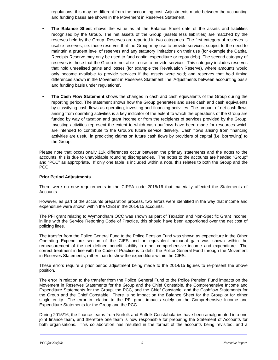regulations; this may be different from the accounting cost. Adjustments made between the accounting and funding bases are shown in the Movement in Reserves Statement.

- **The Balance Sheet** shows the value as at the Balance Sheet date of the assets and liabilities recognised by the Group. The net assets of the Group (assets less liabilities) are matched by the reserves held by the Group. Reserves are reported in two categories. The first category of reserves is usable reserves, i.e. those reserves that the Group may use to provide services, subject to the need to maintain a prudent level of reserves and any statutory limitations on their use (for example the Capital Receipts Reserve may only be used to fund capital expenditure or repay debt). The second category of reserves is those that the Group is not able to use to provide services. This category includes reserves that hold unrealised gains and losses (for example the Revaluation Reserve), where amounts would only become available to provide services if the assets were sold; and reserves that hold timing differences shown in the Movement in Reserves Statement line 'Adjustments between accounting basis and funding basis under regulations'.
- **The Cash Flow Statement** shows the changes in cash and cash equivalents of the Group during the reporting period. The statement shows how the Group generates and uses cash and cash equivalents by classifying cash flows as operating, investing and financing activities. The amount of net cash flows arising from operating activities is a key indicator of the extent to which the operations of the Group are funded by way of taxation and grant income or from the recipients of services provided by the Group. Investing activities represent the extent to which cash outflows have been made for resources which are intended to contribute to the Group's future service delivery. Cash flows arising from financing activities are useful in predicting claims on future cash flows by providers of capital (i.e. borrowing) to the Group.

Please note that occasionally £1k differences occur between the primary statements and the notes to the accounts, this is due to unavoidable rounding discrepancies. The notes to the accounts are headed "Group" and "PCC" as appropriate. If only one table is included within a note, this relates to both the Group and the PCC.

### **Prior Period Adjustments**

There were no new requirements in the CIPFA code 2015/16 that materially affected the Statements of Accounts.

However, as part of the accounts preparation process, two errors were identified in the way that income and expenditure were shown within the CIES in the 2014/15 accounts.

The PFI grant relating to Wymondham OCC was shown as part of Taxation and Non-Specific Grant Income; in line with the Service Reporting Code of Practice, this should have been apportioned over the net cost of policing lines.

The transfer from the Police General Fund to the Police Pension Fund was shown as expenditure in the Other Operating Expenditure section of the CIES and an equivalent actuarial gain was shown within the remeasurement of the net defined benefit liability in other comprehensive income and expenditure. The correct treatment in line with the Code of Practice is to debit the Police General Fund through the Movement in Reserves Statements, rather than to show the expenditure within the CIES.

These errors require a prior period adjustment being made to the 2014/15 figures to re-present the above position.

The error in relation to the transfer from the Police General Fund to the Police Pension Fund impacts on the Movement in Reserves Statements for the Group and the Chief Constable, the Comprehensive Income and Expenditure Statements for the Group, the PCC, and the Chief Constable, and the Cashflow Statements for the Group and the Chief Constable. There is no impact on the Balance Sheet for the Group or for either single entity. The error in relation to the PFI grant impacts solely on the Comprehensive Income and Expenditure Statements for the Group and the PCC.

During 2015/16, the finance teams from Norfolk and Suffolk Constabularies have been amalgamated into one joint finance team, and therefore one team is now responsible for preparing the Statement of Accounts for both organisations. This collaboration has resulted in the format of the accounts being revisited, and a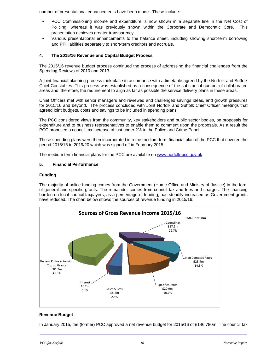number of presentational enhancements have been made. These include:

- PCC Commissioning income and expenditure is now shown in a separate line in the Net Cost of Policing, whereas it was previously shown within the Corporate and Democratic Core. This presentation achieves greater transparency.
- Various presentational enhancements to the balance sheet, including showing short-term borrowing and PFI liabilities separately to short-term creditors and accruals.

### **4. The 2015/16 Revenue and Capital Budget Process**

The 2015/16 revenue budget process continued the process of addressing the financial challenges from the Spending Reviews of 2010 and 2013.

A joint financial planning process took place in accordance with a timetable agreed by the Norfolk and Suffolk Chief Constables. This process was established as a consequence of the substantial number of collaborated areas and, therefore, the requirement to align as far as possible the service delivery plans in these areas.

Chief Officers met with senior managers and reviewed and challenged savings ideas, and growth pressures for 2015/16 and beyond. The process concluded with Joint Norfolk and Suffolk Chief Officer meetings that agreed joint budgets, costs and savings to be included in spending plans.

The PCC considered views from the community, key stakeholders and public sector bodies, on proposals for expenditure and to business representatives to enable them to comment upon the proposals. As a result the PCC proposed a council tax increase of just under 2% to the Police and Crime Panel.

These spending plans were then incorporated into the medium-term financial plan of the PCC that covered the period 2015/16 to 2019/20 which was signed off in February 2015.

The medium term financial plans for the PCC are available on www.norfolk-pcc.gov.uk

### **5. Financial Performance**

#### **Funding**

The majority of police funding comes from the Government (Home Office and Ministry of Justice) in the form of general and specific grants. The remainder comes from council tax and fees and charges. The financing burden on local council taxpayers, as a percentage of funding, has steadily increased as Government grants have reduced. The chart below shows the sources of revenue funding in 2015/16:



### **Revenue Budget**

In January 2015, the (former) PCC approved a net revenue budget for 2015/16 of £146.780m. The council tax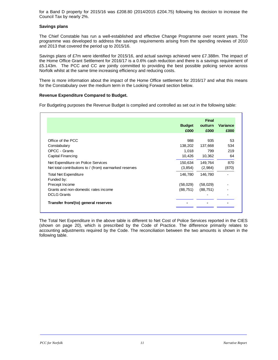for a Band D property for 2015/16 was £208.80 (2014/2015 £204.75) following his decision to increase the Council Tax by nearly 2%.

### **Savings plans**

The Chief Constable has run a well-established and effective Change Programme over recent years. The programme was developed to address the savings requirements arising from the spending reviews of 2010 and 2013 that covered the period up to 2015/16.

Savings plans of £7m were identified for 2015/16, and actual savings achieved were £7.388m. The impact of the Home Office Grant Settlement for 2016/17 is a 0.6% cash reduction and there is a savings requirement of £5.143m. The PCC and CC are jointly committed to providing the best possible policing service across Norfolk whilst at the same time increasing efficiency and reducing costs.

There is more information about the impact of the Home Office settlement for 2016/17 and what this means for the Constabulary over the medium term in the Looking Forward section below.

### **Revenue Expenditure Compared to Budget.**

For Budgeting purposes the Revenue Budget is compiled and controlled as set out in the following table:

|                                                        |               | <b>Final</b> |                 |
|--------------------------------------------------------|---------------|--------------|-----------------|
|                                                        | <b>Budget</b> | outturn      | <b>Variance</b> |
|                                                        | £000          | £000         | £000            |
|                                                        |               |              |                 |
| Office of the PCC                                      | 988           | 935          | 53              |
| Constabulary                                           | 138,202       | 137,668      | 534             |
| OPCC - Grants                                          | 1,018         | 799          | 219             |
| Capital Financing                                      | 10,426        | 10,362       | 64              |
| Net Expenditure on Police Services                     | 150,634       | 149,764      | 870             |
| Net total contributions to / (from) earmarked reserves | (3, 854)      | (2,984)      | (870)           |
| <b>Total Net Expenditure</b>                           | 146.780       | 146.780      |                 |
| Funded by:                                             |               |              |                 |
| Precept Income                                         | (58,029)      | (58,029)     |                 |
| Grants and non-domestic rates income                   | (88,751)      | (88, 751)    |                 |
| <b>DCLG Grants</b>                                     |               |              |                 |
| Transfer from/(to) general reserves                    |               |              |                 |

The Total Net Expenditure in the above table is different to Net Cost of Police Services reported in the CIES (shown on page 20), which is prescribed by the Code of Practice. The difference primarily relates to accounting adjustments required by the Code. The reconciliation between the two amounts is shown in the following table.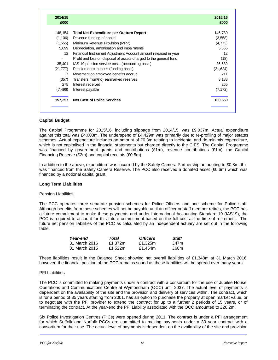| 2014/15<br>£000          |                                                                   | 2015/16<br>£000 |
|--------------------------|-------------------------------------------------------------------|-----------------|
| 148,154                  | <b>Total Net Expenditure per Outturn Report</b>                   | 146,780         |
| (1, 106)                 | Revenue funding of capital                                        | (3,558)         |
| (1, 555)                 | Minimum Revenue Provision (MRP)                                   | (4, 773)        |
| 5,699                    | Depreciation, amortisation and impairments                        | 5,665           |
| 12 <sup>2</sup>          | Financial Instrument Adjustment Account amount released in year   | 12              |
| $\overline{\phantom{0}}$ | Profit and loss on disposal of assets charged to the general fund | (18)            |
| 35,401                   | IAS 19 pension service costs (accounting basis)                   | 36,689          |
| (21, 777)                | Pension contributions (funding basis)                             | (21, 624)       |
| 7                        | Movement on employee benefits accrual                             | 211             |
| (357)                    | Transfers from/(to) earmarked reserves                            | 8.183           |
| 275                      | Interest received                                                 | 265             |
| (7, 496)                 | Interest payable                                                  | (7, 172)        |
| 157,257                  | <b>Net Cost of Police Services</b>                                | 160,659         |

### **Capital Budget**

The Capital Programme for 2015/16, including slippage from 2014/15, was £9.037m. Actual expenditure against this total was £4.608m. The underspend of £4.429m was primarily due to re-profiling of major estates schemes. Actual expenditure includes an amount of £0.3m relating to incidental and de-minimis expenditure, which is not capitalised in the financial statements but charged directly to the CIES. The Capital Programme was financed by government grants and contributions  $(E1m)$ , revenue contributions  $(E1m)$ , the Capital Financing Reserve (£2m) and capital receipts (£0.5m).

In addition to the above, expenditure was incurred by the Safety Camera Partnership amounting to £0.8m, this was financed from the Safety Camera Reserve. The PCC also received a donated asset (£0.6m) which was financed by a notional capital grant.

### **Long Term Liabilities**

### Pension Liabilities

The PCC operates three separate pension schemes for Police Officers and one scheme for Police staff. Although benefits from these schemes will not be payable until an officer or staff member retires, the PCC has a future commitment to make these payments and under International Accounting Standard 19 (IAS19), the PCC is required to account for this future commitment based on the full cost at the time of retirement. The future net pension liabilities of the PCC as calculated by an independent actuary are set out in the following table:

| Year-end      | Total   | <b>Officers</b> | Staff |
|---------------|---------|-----------------|-------|
| 31 March 2016 | £1.372m | £1.325m         | f47m  |
| 31 March 2015 | £1.522m | £1.454m         | £68m  |

These liabilities result in the Balance Sheet showing net overall liabilities of £1,348m at 31 March 2016, however, the financial position of the PCC remains sound as these liabilities will be spread over many years.

#### PFI Liabilities

The PCC is committed to making payments under a contract with a consortium for the use of Jubilee House, Operations and Communications Centre at Wymondham (OCC) until 2037. The actual level of payments is dependent on the availability of the site and the provision and delivery of services within. The contract, which is for a period of 35 years starting from 2001, has an option to purchase the property at open market value, or to negotiate with the PFI provider to extend the contract for up to a further 2 periods of 15 years, or of terminating the contract. At the year-end the PFI Liability associated with the OCC amounted to £26.2m.

Six Police Investigation Centres (PICs) were opened during 2011. The contract is under a PFI arrangement for which Suffolk and Norfolk PCCs are committed to making payments under a 30 year contract with a consortium for their use. The actual level of payments is dependent on the availability of the site and provision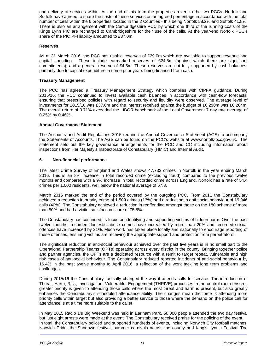and delivery of services within. At the end of this term the properties revert to the two PCCs. Norfolk and Suffolk have agreed to share the costs of these services on an agreed percentage in accordance with the total number of cells within the 6 properties located in the 2 Counties - this being Norfolk 58.2% and Suffolk 41.8%. There is also an arrangement with the Cambridgeshire PCC by which one third of the running costs of the Kings Lynn PIC are recharged to Cambridgeshire for their use of the cells. At the year-end Norfolk PCC's share of the PIC PFI liability amounted to £37.0m.

### **Reserves**

As at 31 March 2016, the PCC has usable reserves of £29.0m which are available to support revenue and capital spending. These include earmarked reserves of £24.5m (against which there are significant commitments), and a general reserve of £4.5m. These reserves are not fully supported by cash balances, primarily due to capital expenditure in some prior years being financed from cash.

### **Treasury Management**

The PCC has agreed a Treasury Management Strategy which complies with CIPFA guidance**.** During 2015/16, the PCC continued to invest available cash balances in accordance with cash-flow forecasts, ensuring that prescribed policies with regard to security and liquidity were observed. The average level of investments for 2015/16 was £37.0m and the interest received against the budget of £0.290m was £0.264m. The overall return of 0.71% exceeded the LIBOR benchmark of the Local Government 7 day rate average of 0.25% by 0.46%.

### **Annual Governance Statement**

The Accounts and Audit Regulations 2015 require the Annual Governance Statement (AGS) to accompany the Statements of Accounts. The AGS can be found on the PCC's website at www.norfolk-pcc.gov.uk. The statement sets out the key governance arrangements for the PCC and CC including information about inspections from Her Majesty's Inspectorate of Constabulary (HMIC) and Internal Audit.

### **6. Non-financial performance**

The latest Crime Survey of England and Wales shows 47,732 crimes in Norfolk in the year ending March 2016. This is an 8% increase in total recorded crime (excluding fraud) compared to the previous twelve months and compares with a 9% increase in total recorded crime across England. Norfolk has a rate of 54.4 crimes per 1,000 residents, well below the national average of 67.3.

March 2016 marked the end of the period covered by the outgoing PCC. From 2011 the Constabulary achieved a reduction in priority crime of 1,509 crimes (13%) and a reduction in anti-social behaviour of 19,946 calls (40%). The Constabulary achieved a reduction in reoffending amongst those on the 180 scheme of more than 50% and had a victim satisfaction score of 75.8%.

The Constabulary has continued its focus on identifying and supporting victims of hidden harm. Over the past twelve months, recorded domestic abuse crimes have increased by more than 20% and recorded sexual offences have increased by 21%. Much work has taken place locally and nationally to encourage reporting of these offences, ensuring victims are receiving the appropriate support and protection from perpetrators.

The significant reduction in anti-social behaviour achieved over the past five years is in no small part to the Operational Partnership Teams (OPTs) operating across every district in the county. Bringing together police and partner agencies, the OPTs are a dedicated resource with a remit to target repeat, vulnerable and high risk cases of anti-social behaviour. The Constabulary reduced reported incidents of anti-social behaviour by 16.4% in the past twelve months to April 2016, a reflection of the work tackling long term problems and challenges.

During 2015/16 the Constabulary radically changed the way it attends calls for service. The introduction of Threat, Harm, Risk, Investigation, Vulnerable, Engagement (THRIVE) processes in the control room ensures greater priority is given to attending those calls where the most threat and harm is present, but also greatly enhances the Constabulary's scheduled attendance ability. The changes mean the force is attending more priority calls within target but also providing a better service to those where the demand on the police call for attendance is at a time more suitable to the caller.

In May 2015 Radio 1's Big Weekend was held in Earlham Park. 50,000 people attended the two day festival but just eight arrests were made at the event. The Constabulary received praise for the policing of the event. In total, the Constabulary policed and supported hundreds of events, including Norwich City football matches, Norwich Pride, the Sundown festival, summer carnivals across the county and King's Lynn's Festival Too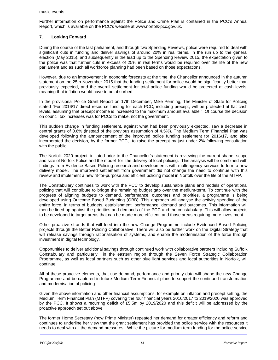music events.

Further information on performance against the Police and Crime Plan is contained in the PCC's Annual Report, which is available on the PCC's website at www.norfolk-pcc.gov.uk.

### **7. Looking Forward**

During the course of the last parliament, and through two Spending Reviews, police were required to deal with significant cuts in funding and deliver savings of around 20% in real terms. In the run up to the general election (May 2015), and subsequently in the lead up to the Spending Review 2015, the expectation given to the police was that further cuts in excess of 25% in real terms would be required over the life of the new parliament and as such all workforce planning had been based on those expectations.

However, due to an improvement in economic forecasts at the time, the Chancellor announced in the autumn statement on the 25th November 2015 that the funding settlement for police would be significantly better than previously expected, and the overall settlement for total police funding would be protected at cash levels, meaning that inflation would have to be absorbed.

In the provisional Police Grant Report on 17th December, Mike Penning, The Minister of State for Policing stated "For 2016/17 direct resource funding for each PCC, including precept, will be protected at flat cash levels, assuming that precept income is increased to the maximum amount available." Of course the decision on council tax increases was for PCCs to make, not the government.

This sudden change in funding settlement, against what had been previously expected, saw a decrease in central grants of 0.6% (instead of the previous assumption of 4.5%). The Medium Term Financial Plan was developed following the announcement of the improved police funding settlement for 2016/17, and also incorporated the decision, by the former PCC, to raise the precept by just under 2% following consultation with the public.

The Norfolk 2020 project, initiated prior to the Chancellor's statement is reviewing the current shape, scope and size of Norfolk Police and the model for the delivery of local policing. This analysis will be combined with findings from Evidence Based Policing research and developments with multi-agency services to form a new delivery model. The improved settlement from government did not change the need to continue with this review and implement a new fit-for-purpose and efficient policing model in Norfolk over the life of the MTFP.

The Constabulary continues to work with the PCC to develop sustainable plans and models of operational policing that will contribute to bridge the remaining budget gap over the medium-term. To continue with the progress of aligning budgets to demand, performance, outcomes and priorities, a programme is being developed using Outcome Based Budgeting (OBB). This approach will analyse the activity spending of the entire force, in terms of budgets, establishment, performance, demand and outcomes. This information will then be lined up against the priorities and demands of the PCC and the constabulary. This will allow projects to be developed to target areas that can be made more efficient, and those areas requiring more investment.

Other proactive strands that will feed into the new Change Programme include Evidenced Based Policing projects through the Better Policing Collaborative. There will also be further work on the Digital Strategy that will release savings through rationalisation of systems, and enable the modernisation of the force through investment in digital technology.

Opportunities to deliver additional savings through continued work with collaborative partners including Suffolk Constabulary and particularly in the eastern region through the Seven Force Strategic Collaboration Programme, as well as local partners such as other blue light services and local authorities in Norfolk, will continue.

All of these proactive elements, that use demand, performance and priority data will shape the new Change Programme and be captured in future Medium-Term Financial plans to support the continued transformation and modernisation of policing.

Given the above information and other financial assumptions, for example on inflation and precept setting, the Medium Term Financial Plan (MTFP) covering the four financial years 2016/2017 to 2019/2020 was approved by the PCC. It shows a recurring deficit of £5.5m by 2019/2020 and this deficit will be addressed by the proactive approach set out above.

The former Home Secretary (now Prime Minister) repeated her demand for greater efficiency and reform and continues to underline her view that the grant settlement has provided the police service with the resources it needs to deal with all the demand pressures. While the picture for medium-term funding for the police service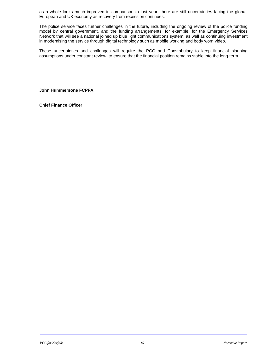as a whole looks much improved in comparison to last year, there are still uncertainties facing the global, European and UK economy as recovery from recession continues.

The police service faces further challenges in the future, including the ongoing review of the police funding model by central government, and the funding arrangements, for example, for the Emergency Services Network that will see a national joined up blue light communications system, as well as continuing investment in modernising the service through digital technology such as mobile working and body worn video.

These uncertainties and challenges will require the PCC and Constabulary to keep financial planning assumptions under constant review, to ensure that the financial position remains stable into the long-term.

**John Hummersone FCPFA** 

**Chief Finance Officer**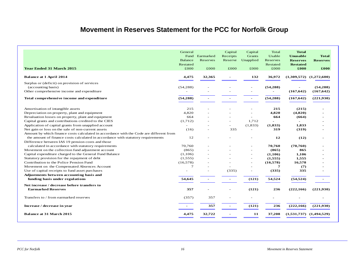### **Movement in Reserves Statement for the PCC for Norfolk Group**

| <b>Year Ended 31 March 2015</b>                                                         | General<br>Fund<br>Balance<br>Restated<br>£000 | Earmarked<br>Reserves<br>£000 | Capital<br>Receipts<br>Reserve<br>£000 | Capital<br><b>Grants</b><br>Unapplied<br>£000 | Total<br>Usable<br>Reserves<br>Restated<br>£000 | <b>Total</b><br><b>Unusable</b><br><b>Reserves</b><br><b>Restated</b><br>£000 | <b>Total</b><br><b>Reserves</b><br>£000 |
|-----------------------------------------------------------------------------------------|------------------------------------------------|-------------------------------|----------------------------------------|-----------------------------------------------|-------------------------------------------------|-------------------------------------------------------------------------------|-----------------------------------------|
| <b>Balance at 1 April 2014</b>                                                          | 4,475                                          | 32,365                        |                                        | 132                                           | 36,972                                          |                                                                               | $(1,309,572)$ $(1,272,600)$             |
| Surplus or (deficit) on provision of services                                           |                                                |                               |                                        |                                               |                                                 |                                                                               |                                         |
| (accounting basis)                                                                      | (54, 288)                                      |                               |                                        |                                               | (54, 288)                                       |                                                                               | (54, 288)                               |
| Other comprehensive income and expenditure                                              |                                                |                               |                                        | ÷,                                            |                                                 | (167, 642)                                                                    | (167, 642)                              |
| Total comprehensive income and expenditure                                              | (54, 288)                                      |                               |                                        | $\overline{\phantom{0}}$                      | (54, 288)                                       | (167, 642)                                                                    | (221, 930)                              |
| Amortisation of intangible assets                                                       | 215                                            |                               |                                        |                                               | 215                                             | (215)                                                                         |                                         |
| Depreciation on property, plant and equipment                                           | 4,820                                          |                               |                                        |                                               | 4,820                                           | (4,820)                                                                       |                                         |
| Revaluation losses on property, plant and equipment                                     | 664                                            |                               |                                        | ä,                                            | 664                                             | (664)                                                                         |                                         |
| Capital grants and contributions credited to the CIES                                   | (1,712)                                        |                               |                                        | 1.712                                         |                                                 |                                                                               |                                         |
| Application of capital grants from unapplied account                                    |                                                |                               |                                        | (1, 833)                                      | (1, 833)                                        | 1,833                                                                         |                                         |
| Net gain or loss on the sale of non-current assets                                      | (16)                                           |                               | 335                                    | ä,                                            | 319                                             | (319)                                                                         |                                         |
| Amount by which finance costs calculated in accordance with the Code are different from |                                                |                               |                                        |                                               |                                                 |                                                                               |                                         |
| the amount of finance costs calculated in accordance with statutory requirements        | 12                                             |                               |                                        |                                               | 12                                              | (12)                                                                          |                                         |
| Difference between IAS 19 pension costs and those                                       |                                                |                               |                                        |                                               |                                                 |                                                                               |                                         |
| calculated in accordance with statutory requirements                                    | 70,760                                         |                               |                                        | ۰                                             | 70,760                                          | (70, 760)                                                                     |                                         |
| Movement on the collection fund adjustment account                                      | (865)                                          |                               |                                        |                                               | (865)                                           | 865                                                                           |                                         |
| Capital expenditure charged to the General Fund Balance                                 | (1,106)                                        |                               |                                        | ÷,                                            | (1,106)                                         | 1,106                                                                         |                                         |
| Statutory provision for the repayment of debt                                           | (1, 555)                                       |                               |                                        |                                               | (1, 555)                                        | 1,555                                                                         |                                         |
| Contribution to the Police Pension Fund                                                 | (16, 578)                                      |                               |                                        | ٠                                             | (16, 578)                                       | 16,578                                                                        |                                         |
| Movement on the Compensated Absences Account                                            | $\tau$                                         |                               |                                        |                                               | $\overline{7}$                                  | (7)                                                                           |                                         |
| Use of capital receipts to fund asset purchases                                         | $\overline{\phantom{a}}$                       |                               | (335)                                  | ÷,                                            | (335)                                           | 335                                                                           |                                         |
| Adjustments between accounting basis and                                                |                                                |                               |                                        |                                               |                                                 |                                                                               |                                         |
| funding basis under regulations                                                         | 54,645                                         |                               |                                        | (121)                                         | 54,524                                          | (54, 524)                                                                     |                                         |
| Net increase / decrease before transfers to<br><b>Earmarked Reserves</b>                | 357                                            |                               |                                        | (121)                                         | 236                                             | (222, 166)                                                                    | (221,930)                               |
| Transfers to / from earmarked reserves                                                  | (357)                                          | 357                           |                                        | ۰                                             |                                                 |                                                                               |                                         |
| Increase / decrease in year                                                             |                                                | 357                           |                                        | (121)                                         | 236                                             | (222, 166)                                                                    | (221, 930)                              |
| <b>Balance at 31 March 2015</b>                                                         | 4,475                                          | 32,722                        |                                        | 11                                            | 37,208                                          | $(1,531,737)$ $(1,494,529)$                                                   |                                         |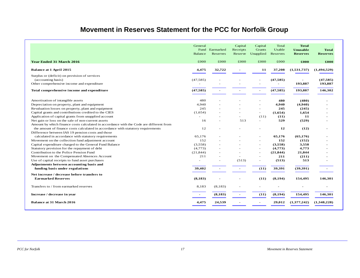### **Movement in Reserves Statement for the PCC for Norfolk Group**

|                                                                                                      | General<br><b>Balance</b> | Fund Earmarked<br>Reserves | Capital<br>Receipts<br>Reserve | Capital<br>Grants<br>Unapplied | Total<br>Usable<br>Reserves | <b>Total</b><br>Unusable<br><b>Reserves</b> | <b>Total</b><br><b>Reserves</b> |
|------------------------------------------------------------------------------------------------------|---------------------------|----------------------------|--------------------------------|--------------------------------|-----------------------------|---------------------------------------------|---------------------------------|
| <b>Year Ended 31 March 2016</b>                                                                      | £000                      | £000                       | £000                           | £000                           | £000                        | £000                                        | £000                            |
| Balance at 1 April 2015                                                                              | 4,475                     | 32,722                     |                                | 11                             | 37,208                      | (1,531,737)                                 | (1,494,529)                     |
| Surplus or (deficit) on provision of services                                                        |                           |                            |                                |                                |                             |                                             |                                 |
| (accounting basis)                                                                                   | (47, 585)                 |                            |                                |                                | (47, 585)                   |                                             | (47, 585)                       |
| Other comprehensive income and expenditure                                                           |                           |                            |                                |                                |                             | 193,887                                     | 193,887                         |
| Total comprehensive income and expenditure                                                           | (47, 585)                 |                            |                                |                                | (47, 585)                   | 193,887                                     | 146,302                         |
|                                                                                                      | 480                       |                            |                                |                                | 480                         | (480)                                       |                                 |
| Amortisation of intangible assets                                                                    |                           |                            |                                |                                |                             |                                             |                                 |
| Depreciation on property, plant and equipment<br>Revaluation losses on property, plant and equipment | 4,940<br>245              |                            |                                | $\overline{\phantom{a}}$<br>٠  | 4,940<br>245                | (4,940)<br>(245)                            |                                 |
| Capital grants and contributions credited to the CIES                                                | (1,654)                   |                            |                                | $\overline{\phantom{a}}$       | (1,654)                     | 1,654                                       |                                 |
| Application of capital grants from unapplied account                                                 |                           |                            |                                |                                | (11)                        | 11                                          |                                 |
| Net gain or loss on the sale of non-current assets                                                   | 16                        |                            | 513                            | (11)<br>$\sim$                 | 529                         | (529)                                       |                                 |
| Amount by which finance costs calculated in accordance with the Code are different from              |                           |                            |                                |                                |                             |                                             |                                 |
| the amount of finance costs calculated in accordance with statutory requirements                     | 12                        |                            |                                |                                | 12                          | (12)                                        |                                 |
| Difference between IAS 19 pension costs and those                                                    |                           |                            |                                |                                |                             |                                             |                                 |
| calculated in accordance with statutory requirements                                                 | 65.176                    |                            |                                |                                | 65,176                      | (65, 176)                                   |                                 |
| Movement on the collection fund adjustment account                                                   | 152                       |                            |                                | ٠                              | 152                         | (152)                                       |                                 |
| Capital expenditure charged to the General Fund Balance                                              | (3,558)                   |                            |                                | $\overline{\phantom{a}}$       | (3,558)                     | 3,558                                       |                                 |
| Statutory provision for the repayment of debt                                                        | (4,773)                   |                            |                                |                                | (4,773)                     | 4,773                                       |                                 |
| Contribution to the Police Pension Fund                                                              | (21, 844)                 |                            |                                | $\overline{\phantom{a}}$       | (21, 844)                   | 21,844                                      |                                 |
| Movement on the Compensated Absences Account                                                         | 211                       |                            |                                | ٠                              | 211                         | (211)                                       |                                 |
| Use of capital receipts to fund asset purchases                                                      | $\sim$                    |                            | (513)                          | ÷,                             | (513)                       | 513                                         |                                 |
| Adjustments between accounting basis and                                                             |                           |                            |                                |                                |                             |                                             |                                 |
| funding basis under regulations                                                                      | 39,402                    |                            |                                | (11)                           | 39,391                      | (39, 391)                                   |                                 |
| Net increase / decrease before transfers to                                                          |                           |                            |                                |                                |                             |                                             |                                 |
| <b>Earmarked Reserves</b>                                                                            | (8, 183)                  |                            |                                | (11)                           | (8, 194)                    | 154,495                                     | 146,301                         |
| Transfers to / from earmarked reserves                                                               | 8,183                     | (8,183)                    |                                |                                |                             |                                             |                                 |
| Increase / decrease in year                                                                          |                           | (8, 183)                   | $\blacksquare$                 | (11)                           | (8, 194)                    | 154,495                                     | 146,301                         |
| <b>Balance at 31 March 2016</b>                                                                      | 4,475                     | 24,539                     |                                |                                | 29,012                      | (1,377,242)                                 | (1,348,228)                     |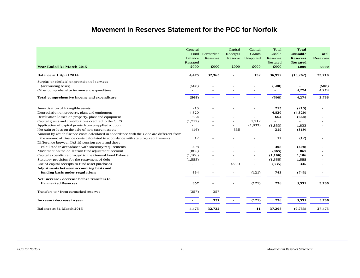### **Movement in Reserves Statement for the PCC for Norfolk**

| Earmarked<br>Reserves<br>£000<br>32,365 | Capital<br>Receipts<br>Reserve<br>£000<br>335 | Capital<br><b>Grants</b><br>Unapplied<br>£000<br>132<br>$\overline{\phantom{a}}$<br>1,712<br>(1, 833) | Total<br>Usable<br>Reserves<br>Restated<br>£000<br>36,972<br>(508)<br>(508)<br>215<br>4,820<br>664<br>$\overline{a}$<br>(1, 833) | <b>Total</b><br><b>Unusable</b><br><b>Reserves</b><br><b>Restated</b><br>£000<br>(13,262)<br>4,274<br>4,274<br>(215)<br>(4,820)<br>(664)<br>1,833 | <b>Total</b><br><b>Reserves</b><br>£000<br>23,710<br>(508)<br>4,274<br>3,766 |
|-----------------------------------------|-----------------------------------------------|-------------------------------------------------------------------------------------------------------|----------------------------------------------------------------------------------------------------------------------------------|---------------------------------------------------------------------------------------------------------------------------------------------------|------------------------------------------------------------------------------|
|                                         |                                               |                                                                                                       |                                                                                                                                  |                                                                                                                                                   |                                                                              |
|                                         |                                               |                                                                                                       |                                                                                                                                  |                                                                                                                                                   |                                                                              |
|                                         |                                               |                                                                                                       |                                                                                                                                  |                                                                                                                                                   |                                                                              |
|                                         |                                               |                                                                                                       |                                                                                                                                  |                                                                                                                                                   |                                                                              |
|                                         |                                               |                                                                                                       |                                                                                                                                  |                                                                                                                                                   |                                                                              |
|                                         |                                               |                                                                                                       |                                                                                                                                  |                                                                                                                                                   |                                                                              |
|                                         |                                               |                                                                                                       |                                                                                                                                  |                                                                                                                                                   |                                                                              |
|                                         |                                               |                                                                                                       |                                                                                                                                  |                                                                                                                                                   |                                                                              |
|                                         |                                               |                                                                                                       |                                                                                                                                  |                                                                                                                                                   |                                                                              |
|                                         |                                               |                                                                                                       |                                                                                                                                  |                                                                                                                                                   |                                                                              |
|                                         |                                               |                                                                                                       |                                                                                                                                  |                                                                                                                                                   |                                                                              |
|                                         |                                               |                                                                                                       |                                                                                                                                  |                                                                                                                                                   |                                                                              |
|                                         |                                               |                                                                                                       |                                                                                                                                  |                                                                                                                                                   |                                                                              |
|                                         |                                               |                                                                                                       |                                                                                                                                  |                                                                                                                                                   |                                                                              |
|                                         |                                               |                                                                                                       |                                                                                                                                  |                                                                                                                                                   |                                                                              |
|                                         |                                               |                                                                                                       |                                                                                                                                  |                                                                                                                                                   |                                                                              |
|                                         |                                               |                                                                                                       | 319                                                                                                                              | (319)                                                                                                                                             |                                                                              |
|                                         |                                               |                                                                                                       |                                                                                                                                  |                                                                                                                                                   |                                                                              |
|                                         |                                               |                                                                                                       | 12                                                                                                                               | (12)                                                                                                                                              |                                                                              |
|                                         |                                               |                                                                                                       |                                                                                                                                  |                                                                                                                                                   |                                                                              |
|                                         |                                               |                                                                                                       | 408                                                                                                                              | (408)                                                                                                                                             |                                                                              |
|                                         |                                               |                                                                                                       | (865)                                                                                                                            | 865                                                                                                                                               |                                                                              |
|                                         |                                               | L,                                                                                                    | (1,106)                                                                                                                          | 1,106                                                                                                                                             |                                                                              |
|                                         |                                               | L,                                                                                                    | (1,555)                                                                                                                          | 1,555                                                                                                                                             |                                                                              |
|                                         | (335)                                         | L,                                                                                                    | (335)                                                                                                                            | 335                                                                                                                                               |                                                                              |
|                                         |                                               |                                                                                                       |                                                                                                                                  |                                                                                                                                                   |                                                                              |
|                                         |                                               | (121)                                                                                                 | 743                                                                                                                              | (743)                                                                                                                                             |                                                                              |
|                                         |                                               |                                                                                                       |                                                                                                                                  |                                                                                                                                                   |                                                                              |
|                                         |                                               | (121)                                                                                                 | 236                                                                                                                              | 3,531                                                                                                                                             | 3,766                                                                        |
| 357                                     |                                               |                                                                                                       |                                                                                                                                  |                                                                                                                                                   |                                                                              |
| 357                                     |                                               | (121)                                                                                                 | 236                                                                                                                              | 3,531                                                                                                                                             | 3,766                                                                        |
|                                         |                                               | 11                                                                                                    | 37,208                                                                                                                           | (9,733)                                                                                                                                           | 27,475                                                                       |
|                                         |                                               | 32,722                                                                                                |                                                                                                                                  |                                                                                                                                                   |                                                                              |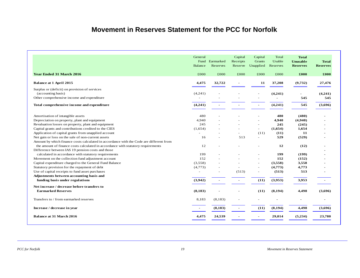### **Movement in Reserves Statement for the PCC for Norfolk**

|                                                                                         | General<br>Fund<br>Balance | Earmarked<br>Reserves | Capital<br>Receipts<br>Reserve | Capital<br>Grants<br>Unapplied | Total<br>Usable<br>Reserves | <b>Total</b><br><b>Unusable</b><br><b>Reserves</b> | <b>Total</b><br><b>Reserves</b> |
|-----------------------------------------------------------------------------------------|----------------------------|-----------------------|--------------------------------|--------------------------------|-----------------------------|----------------------------------------------------|---------------------------------|
| <b>Year Ended 31 March 2016</b>                                                         | £000                       | £000                  | £000                           | £000                           | £000                        | £000                                               | $\pounds 000$                   |
| <b>Balance at 1 April 2015</b>                                                          | 4,475                      | 32,722                |                                | 11                             | 37,208                      | (9,732)                                            | 27,476                          |
| Surplus or (deficit) on provision of services                                           |                            |                       |                                |                                |                             |                                                    |                                 |
| (accounting basis)                                                                      | (4,241)                    |                       |                                |                                | (4,241)                     | $\blacksquare$                                     | (4,241)                         |
| Other comprehensive income and expenditure                                              |                            |                       |                                |                                |                             | 545                                                | 545                             |
| Total comprehensive income and expenditure                                              | (4,241)                    |                       |                                |                                | (4,241)                     | 545                                                | (3,696)                         |
| Amortisation of intangible assets                                                       | 480                        |                       |                                |                                | 480                         | (480)                                              |                                 |
| Depreciation on property, plant and equipment                                           | 4,940                      |                       |                                |                                | 4,940                       | (4,940)                                            |                                 |
| Revaluation losses on property, plant and equipment                                     | 245                        |                       |                                |                                | 245                         | (245)                                              |                                 |
| Capital grants and contributions credited to the CIES                                   | (1,654)                    |                       |                                | $\sim$                         | (1,654)                     | 1,654                                              |                                 |
| Application of capital grants from unapplied account                                    |                            |                       |                                | (11)                           | (11)                        | 11                                                 |                                 |
| Net gain or loss on the sale of non-current assets                                      | 16                         |                       | 513                            | $\sim$                         | 529                         | (529)                                              |                                 |
| Amount by which finance costs calculated in accordance with the Code are different from |                            |                       |                                |                                |                             |                                                    |                                 |
| the amount of finance costs calculated in accordance with statutory requirements        | 12                         |                       |                                |                                | 12                          | (12)                                               |                                 |
| Difference between IAS 19 pension costs and those                                       |                            |                       |                                |                                |                             |                                                    |                                 |
| calculated in accordance with statutory requirements                                    | 199                        |                       |                                |                                | 199                         | (199)                                              |                                 |
| Movement on the collection fund adjustment account                                      | 152                        |                       |                                |                                | 152                         | (152)                                              |                                 |
| Capital expenditure charged to the General Fund Balance                                 | (3,558)                    |                       |                                |                                | (3,558)                     | 3,558                                              |                                 |
| Statutory provision for the repayment of debt                                           | (4,773)                    |                       |                                | $\sim$                         | (4,773)                     | 4,773                                              |                                 |
| Use of capital receipts to fund asset purchases                                         | $\overline{\phantom{a}}$   |                       | (513)                          |                                | (513)                       | 513                                                |                                 |
| Adjustments between accounting basis and                                                |                            |                       |                                |                                |                             |                                                    |                                 |
| funding basis under regulations                                                         | (3,942)                    |                       | $\overline{a}$                 | (11)                           | (3,953)                     | 3,953                                              |                                 |
| Net increase / decrease before transfers to                                             |                            |                       |                                |                                |                             |                                                    |                                 |
| <b>Earmarked Reserves</b>                                                               | (8, 183)                   |                       |                                | (11)                           | (8, 194)                    | 4,498                                              | (3,696)                         |
| Transfers to / from earmarked reserves                                                  | 8,183                      | (8, 183)              |                                |                                |                             | $\overline{a}$                                     |                                 |
| Increase / decrease in year                                                             |                            | (8, 183)              |                                | (11)                           | (8, 194)                    | 4,498                                              | (3,696)                         |
| <b>Balance at 31 March 2016</b>                                                         | 4,475                      | 24,539                |                                |                                | 29,014                      | (5,234)                                            | 23,780                          |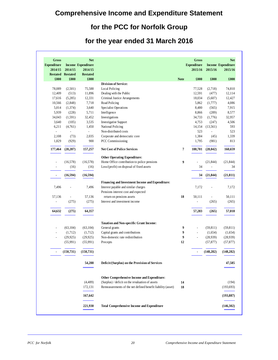### **Comprehensive Income and Expenditure Statement**

### **for the PCC for Norfolk Group**

### **for the year ended 31 March 2016**

| Gross<br><b>Expenditure</b><br>2014/15 | 2014/15                          | <b>Net</b><br><b>Income Expenditure</b><br>2014/15 |                                                             |             | <b>Gross</b><br><b>Expenditure</b><br>2015/16 | 2015/16                  | <b>Net</b><br><b>Income Expenditure</b><br>2015/16 |
|----------------------------------------|----------------------------------|----------------------------------------------------|-------------------------------------------------------------|-------------|-----------------------------------------------|--------------------------|----------------------------------------------------|
| £000                                   | <b>Restated Restated</b><br>£000 | <b>Restated</b><br>£000                            |                                                             | <b>Note</b> | £000                                          | £000                     | £000                                               |
|                                        |                                  |                                                    | <b>Division of Service:</b>                                 |             |                                               |                          |                                                    |
| 78,089                                 | (2,501)                          | 75,588                                             | <b>Local Policing</b>                                       |             | 77,528                                        | (2,718)                  | 74,810                                             |
| 12,409                                 | (513)                            | 11,896                                             | Dealing with the Public                                     |             | 12,591                                        | (477)                    | 12,114                                             |
| 17,616                                 | (5,285)                          | 12,331                                             | Criminal Justice Arrangements                               |             | 18,034                                        | (5,607)                  | 12,427                                             |
| 10,566                                 | (2,848)                          | 7,718                                              | Road Policing                                               |             | 5,862                                         | (1,777)                  | 4,086                                              |
| 5,014                                  | (1,374)                          | 3,640                                              | Specialist Operations                                       |             | 8,480                                         | (565)                    | 7,915                                              |
| 5,939                                  | (228)                            | 5,711                                              | Intelligence                                                |             | 8,866                                         | (289)                    | 8,577                                              |
| 34,043                                 | (1,591)                          | 32,452                                             | Investigations                                              |             | 34,733                                        | (1,776)                  | 32,957                                             |
| 3,640<br>6,211                         | (105)                            | 3,535                                              | <b>Investigative Support</b><br>National Policing           |             | 4,753<br>14,154                               | (247)<br>(13,561)        | 4,506<br>593                                       |
| $\overline{a}$                         | (4,761)<br>$\overline{a}$        | 1,450<br>$\mathcal{L}^{\pm}$                       | Non-distributed costs                                       |             | 523                                           | $\overline{a}$           | 523                                                |
| 2,108                                  | (73)                             | 2,035                                              | Corporate and democratic core                               |             | 1,384                                         | (45)                     | 1,339                                              |
| 1,829                                  | (929)                            | 900                                                | PCC Commissioning                                           |             | 1,795                                         | (981)                    | 813                                                |
|                                        |                                  |                                                    |                                                             |             |                                               |                          |                                                    |
| 177,464                                | (20, 207)                        | 157,257                                            | <b>Net Cost of Police Services</b>                          | 7           | 188,701                                       | (28, 042)                | 160,659                                            |
|                                        |                                  |                                                    | <b>Other Operating Expenditure:</b>                         |             |                                               |                          |                                                    |
|                                        | (16, 578)                        | (16, 578)                                          | Home Office contribution to police pensions                 | 9           |                                               | (21, 844)                | (21, 844)                                          |
|                                        | (16)                             | (16)                                               | Loss/(profit) on disposal of fixed assets                   |             | 34                                            | $\overline{\phantom{a}}$ | 34                                                 |
| ÷                                      | (16, 594)                        | (16, 594)                                          |                                                             |             | 34                                            | (21, 844)                | (21, 811)                                          |
|                                        |                                  |                                                    | Financing and Investment Income and Expenditure:            |             |                                               |                          |                                                    |
| 7,496                                  |                                  | 7,496                                              | Interest payable and similar charges                        |             | 7,172                                         |                          | 7,172                                              |
|                                        |                                  |                                                    | Pensions interest cost and expected                         |             |                                               |                          |                                                    |
| 57,136                                 | ÷,                               | 57,136                                             | return on pensions assets                                   | 18          | 50,111                                        | $\overline{a}$           | 50,111                                             |
| $\overline{\phantom{a}}$               | (275)                            | (275)                                              | Interest and investment income                              |             | ÷,                                            | (265)                    | (265)                                              |
|                                        |                                  |                                                    |                                                             |             |                                               |                          |                                                    |
| 64,632                                 | (275)                            | 64,357                                             |                                                             |             | 57,283                                        | (265)                    | 57,018                                             |
|                                        |                                  |                                                    | <b>Taxation and Non-specific Grant Income:</b>              |             |                                               |                          |                                                    |
| $\overline{a}$                         | (63, 104)                        | (63, 104)                                          | General grants                                              | 9           | L.                                            | (59, 811)                | (59, 811)                                          |
| $\overline{a}$                         | (1,712)                          | (1,712)                                            | Capital grants and contributions                            | 9           | ÷.                                            | (1,654)                  | (1,654)                                            |
| $\overline{a}$                         | (29, 925)                        | (29, 925)                                          | Non-domestic rate redistribution                            | 9           | $\overline{a}$                                | (28,939)                 | (28,939)                                           |
|                                        | (55,991)                         | (55,991)                                           | Precepts                                                    | 12          |                                               | (57, 877)                | (57, 877)                                          |
|                                        | (150, 731)                       | (150, 731)                                         |                                                             |             |                                               | (148, 282)               | (148, 282)                                         |
|                                        |                                  | 54,288                                             | Deficit/(Surplus) on the Provision of Services              |             |                                               |                          | 47,585                                             |
|                                        |                                  |                                                    |                                                             |             |                                               |                          |                                                    |
|                                        |                                  |                                                    | Other Comprehensive Income and Expenditure:                 |             |                                               |                          |                                                    |
|                                        |                                  | (4, 489)                                           | (Surplus) / deficit on the revaluation of assets            | 14          |                                               |                          | (194)                                              |
|                                        |                                  | 172,131                                            | Remeasurements of the net defined benefit liability (asset) | 18          |                                               |                          | (193, 693)                                         |
|                                        |                                  | 167,642                                            |                                                             |             |                                               |                          | (193, 887)                                         |
|                                        |                                  | 221,930                                            | <b>Total Comprehensive Income and Expenditure</b>           |             |                                               |                          | (146,302)                                          |

L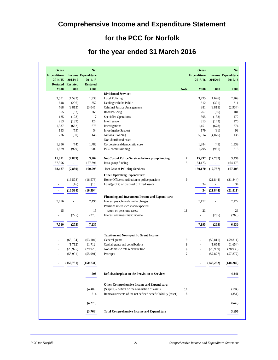### **Comprehensive Income and Expenditure Statement**

### **for the PCC for Norfolk**

### **for the year ended 31 March 2016**

| <b>Gross</b><br><b>Expenditure</b><br>2014/15 | 2014/15<br><b>Restated Restated</b> | <b>Net</b><br><b>Income Expenditure</b><br>2014/15<br><b>Restated</b> |                                                             |             | Gross<br><b>Expenditure</b><br>2015/16 | 2015/16                  | <b>Net</b><br><b>Income Expenditure</b><br>2015/16 |
|-----------------------------------------------|-------------------------------------|-----------------------------------------------------------------------|-------------------------------------------------------------|-------------|----------------------------------------|--------------------------|----------------------------------------------------|
| £000                                          | £000                                | £000                                                                  |                                                             | <b>Note</b> | £000                                   | £000                     | £000                                               |
|                                               |                                     |                                                                       | <b>Division of Service:</b>                                 |             |                                        |                          |                                                    |
| 3,531                                         | (1,593)                             | 1,938                                                                 | <b>Local Policing</b>                                       |             | 3,795                                  | (1,626)                  | 2,169<br>311                                       |
| 648                                           | (296)                               | 352                                                                   | Dealing with the Public                                     |             | 612<br>881                             | (301)                    |                                                    |
| 768<br>355                                    | (3,813)                             | (3,045)<br>268                                                        | Criminal Justice Arrangements<br>Road Policing              |             | 267                                    | (3,815)<br>(86)          | (2,934)<br>181                                     |
| 135                                           | (87)<br>(128)                       | 7                                                                     |                                                             |             | 305                                    | (133)                    | 172                                                |
| 263                                           | (139)                               | 124                                                                   | Specialist Operations<br>Intelligence                       |             | 313                                    | (143)                    | 170                                                |
| 1,337                                         | (662)                               | 675                                                                   | Investigations                                              |             | 1,451                                  | (678)                    | 774                                                |
| 133                                           | (79)                                | 54                                                                    | <b>Investigative Support</b>                                |             | 179                                    | (81)                     | 98                                                 |
| 236                                           |                                     | 146                                                                   | National Policing                                           |             | 5,014                                  |                          | 138                                                |
|                                               | (90)                                | $\blacksquare$                                                        | Non-distributed costs                                       |             | $\overline{a}$                         | (4,876)                  |                                                    |
| 1,856                                         |                                     | 1,782                                                                 |                                                             |             | 1,384                                  |                          | 1,339                                              |
|                                               | (74)                                | 900                                                                   | Corporate and democratic core                               |             |                                        | (45)                     |                                                    |
| 1,829                                         | (929)                               |                                                                       | PCC commissioning                                           |             | 1,795                                  | (981)                    | 813                                                |
| 11,091                                        | (7, 889)                            | 3,202                                                                 | Net Cost of Police Services before group funding            | 7           | 15,997                                 | (12,767)                 | 3,230                                              |
| 157,396                                       |                                     | 157,396                                                               | Intra-group funding                                         | 5           | 164,173                                | $\overline{\phantom{a}}$ | 164,173                                            |
|                                               | $\blacksquare$                      |                                                                       |                                                             |             |                                        |                          |                                                    |
| 168,487                                       | (7,889)                             | 160,599                                                               | <b>Net Cost of Policing Services</b>                        |             | 180,170                                | (12,767)                 | 167,403                                            |
|                                               |                                     |                                                                       | <b>Other Operating Expenditure:</b>                         |             |                                        |                          |                                                    |
|                                               | (16,578)                            | (16,578)                                                              | Home Office contribution to police pensions                 | 9           |                                        | (21, 844)                | (21, 844)                                          |
|                                               | (16)                                | (16)                                                                  | Loss/(profit) on disposal of fixed assets                   |             | 34                                     | $\overline{\phantom{a}}$ | 34                                                 |
|                                               | (16, 594)                           | (16, 594)                                                             |                                                             |             | 34                                     | (21, 844)                | (21, 811)                                          |
|                                               |                                     |                                                                       | Financing and Investment Income and Expenditure:            |             |                                        |                          |                                                    |
| 7,496                                         | ÷,                                  | 7,496                                                                 | Interest payable and similar charges                        |             | 7,172                                  | ÷,                       | 7,172                                              |
|                                               |                                     |                                                                       | Pensions interest cost and expected                         |             |                                        |                          |                                                    |
| 15                                            |                                     | 15                                                                    | return on pensions assets                                   | 18          | 23                                     |                          | 23                                                 |
| $\overline{a}$                                | (275)                               | (275)                                                                 | Interest and investment income                              |             | $\overline{a}$                         | (265)                    | (265)                                              |
|                                               |                                     |                                                                       |                                                             |             |                                        |                          |                                                    |
| 7,510                                         | (275)                               | 7,235                                                                 |                                                             |             | 7,195                                  | (265)                    | 6,930                                              |
|                                               |                                     |                                                                       | <b>Taxation and Non-specific Grant Income:</b>              |             |                                        |                          |                                                    |
|                                               | (63, 104)                           | (63, 104)                                                             | General grants                                              | 9           | $\overline{a}$                         | (59, 811)                | (59, 811)                                          |
| ÷,                                            | (1,712)                             | (1,712)                                                               | Capital grants and contributions                            | 9           | $\overline{\phantom{a}}$               | (1,654)                  | (1,654)                                            |
| $\overline{a}$                                | (29, 925)                           | (29, 925)                                                             | Non-domestic rate redistribution                            | 9           | $\overline{a}$                         | (28,939)                 | (28,939)                                           |
| ÷,                                            | (55,991)                            | (55,991)                                                              | Precepts                                                    | 12          | $\overline{a}$                         | (57, 877)                | (57, 877)                                          |
|                                               | (150, 731)                          | (150, 731)                                                            |                                                             |             | ٠                                      | (148, 282)               | (148, 282)                                         |
|                                               |                                     |                                                                       |                                                             |             |                                        |                          |                                                    |
|                                               |                                     | 508                                                                   | Deficit/(Surplus) on the Provision of Services              |             |                                        |                          | 4,241                                              |
|                                               |                                     |                                                                       | Other Comprehensive Income and Expenditure:                 |             |                                        |                          |                                                    |
|                                               |                                     | (4,489)                                                               | (Surplus) / deficit on the revaluation of assets            | 14          |                                        |                          | (194)                                              |
|                                               |                                     | 214                                                                   | Remeasurements of the net defined benefit liability (asset) | 18          |                                        |                          | (351)                                              |
|                                               |                                     | (4,275)                                                               |                                                             |             |                                        |                          | (545)                                              |
|                                               |                                     |                                                                       |                                                             |             |                                        |                          | 3,696                                              |
|                                               |                                     | (3,768)                                                               | <b>Total Comprehensive Income and Expenditure</b>           |             |                                        |                          |                                                    |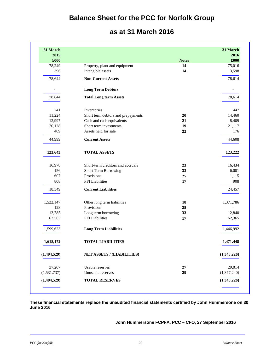### **Balance Sheet for the PCC for Norfolk Group**

### **as at 31 March 2016**

| 31 March    |                                    |              | 31 March    |
|-------------|------------------------------------|--------------|-------------|
| 2015        |                                    |              | 2016        |
| £000        |                                    | <b>Notes</b> | £000        |
| 78,249      | Property, plant and equipment      | 14           | 75,016      |
| 396         | Intangible assets                  | 14           | 3,598       |
| 78,644      | <b>Non-Current Assets</b>          |              | 78,614      |
|             | <b>Long Term Debtors</b>           |              |             |
| 78,644      | <b>Total Long term Assets</b>      |              | 78,614      |
| 241         | Inventories                        |              | 447         |
| 11,224      | Short term debtors and prepayments | 20           | 14,460      |
| 12,997      | Cash and cash equivalents          | 21           | 8,409       |
| 20,128      | Short term investments             | 19           | 21,117      |
| 409         | Assets held for sale               | $22\,$       | 176         |
| 44.999      | <b>Current Assets</b>              |              | 44,608      |
| 123,643     | <b>TOTAL ASSETS</b>                |              | 123,222     |
| 16,978      | Short-term creditors and accruals  | 23           | 16,434      |
| 156         | Short Term Borrowing               | 33           | 6,001       |
| 607         | Provisions                         | 25           | 1,115       |
| 808         | PFI Liabilities                    | 17           | 908         |
| 18,549      | <b>Current Liabilities</b>         |              | 24,457      |
| 1,522,147   | Other long term liabilities        | 18           | 1,371,786   |
| 128         | Provisions                         | 25           |             |
| 13,785      | Long term borrowing                | 33           | 12,840      |
| 63,563      | <b>PFI</b> Liabilities             | 17           | 62,365      |
| 1,599,623   | <b>Long Term Liabilities</b>       |              | 1,446,992   |
| 1,618,172   | <b>TOTAL LIABILITIES</b>           |              | 1,471,448   |
| (1,494,529) | NET ASSETS / (LIABILITIES)         |              | (1,348,226) |
| 37,207      | Usable reserves                    | 27           | 29,014      |
| (1,531,737) | Unusable reserves                  | 29           | (1,377,240) |
| (1,494,529) | <b>TOTAL RESERVES</b>              |              | (1,348,226) |

**These financial statements replace the unaudited financial statements certified by John Hummersone on 30 June 2016** 

**John Hummersone FCPFA, PCC – CFO, 27 September 2016** 

L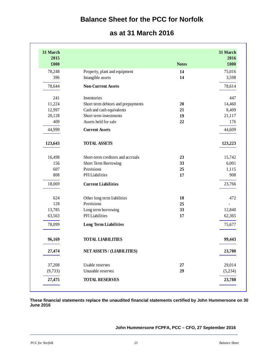### **Balance Sheet for the PCC for Norfolk**

### **as at 31 March 2016**

| 31 March<br>2016<br>£000 | <b>Notes</b> |                                    | 31 March<br>2015<br>£000 |
|--------------------------|--------------|------------------------------------|--------------------------|
| 75,016                   | 14           | Property, plant and equipment      | 78,248                   |
| 3,598                    | 14           | Intangible assets                  | 396                      |
| 78,614                   |              | <b>Non-Current Assets</b>          | 78,644                   |
| 447                      |              | Inventories                        | 241                      |
| 14,460                   | 20           | Short term debtors and prepayments | 11,224                   |
| 8,409                    | 21           | Cash and cash equivalents          | 12,997                   |
| 21,117                   | 19           | Short term investments             | 20,128                   |
| 176                      | 22           | Assets held for sale               | 409                      |
| 44,609                   |              | <b>Current Assets</b>              | 44,999                   |
| 123,223                  |              | <b>TOTAL ASSETS</b>                | 123,643                  |
| 15,742                   | 23           | Short-term creditors and accruals  | 16,498                   |
| 6,001                    | 33           | Short Term Borrowing               | 156                      |
| 1,115                    | 25           | Provisions                         | 607                      |
| 908                      | 17           | PFI Liabilities                    | 808                      |
| 23,766                   |              | <b>Current Liabilities</b>         | 18,069                   |
| 472                      | 18           | Other long term liabilities        | 624                      |
|                          | 25           | Provisions                         | 128                      |
| 12,840                   | 33           | Long term borrowing                | 13,785                   |
| 62,365                   | 17           | PFI Liabilities                    | 63,563                   |
| 75,677                   |              | <b>Long Term Liabilities</b>       | 78,099                   |
| 99,443                   |              | <b>TOTAL LIABILITIES</b>           | 96,169                   |
| 23,780                   |              | <b>NET ASSETS / (LIABILITIES)</b>  | 27,474                   |
| 29,014                   | $\bf 27$     | Usable reserves                    | 37,208                   |
| (5,234)                  | 29           | Unusable reserves                  | (9, 733)                 |
| 23,780                   |              | <b>TOTAL RESERVES</b>              | 27,475                   |

**These financial statements replace the unaudited financial statements certified by John Hummersone on 30 June 2016** 

**John Hummersone FCPFA, PCC – CFO, 27 September 2016**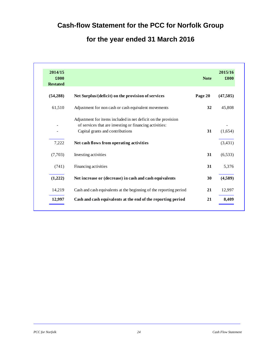### **Cash-flow Statement for the PCC for Norfolk Group**

### **for the year ended 31 March 2016**

| 2014/15<br>£000<br><b>Restated</b> |                                                                                                                                                              | <b>Note</b> | 2015/16<br>£000 |
|------------------------------------|--------------------------------------------------------------------------------------------------------------------------------------------------------------|-------------|-----------------|
| (54, 288)                          | Net Surplus/(deficit) on the provision of services                                                                                                           | Page 20     | (47, 585)       |
| 61,510                             | Adjustment for non cash or cash equivalent movements                                                                                                         | 32          | 45,808          |
|                                    | Adjustment for items included in net deficit on the provision<br>of services that are investing or financing activities:<br>Capital grants and contributions | 31          | (1,654)         |
| 7,222                              | Net cash flows from operating activities                                                                                                                     |             | (3, 431)        |
| (7,703)                            | Investing activities                                                                                                                                         | 31          | (6,533)         |
| (741)                              | Financing activities                                                                                                                                         | 31          | 5,376           |
| (1,222)                            | Net increase or (decrease) in cash and cash equivalents                                                                                                      | 30          | (4,589)         |
| 14,219                             | Cash and cash equivalents at the beginning of the reporting period                                                                                           | 21          | 12,997          |
| 12,997                             | Cash and cash equivalents at the end of the reporting period                                                                                                 | 21          | 8,409           |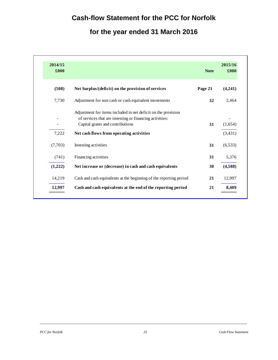### **Cash-flow Statement for the PCC for Norfolk**

### **for the year ended 31 March 2016**

| 2014/15<br>£000 |                                                                                                                                                              | <b>Note</b> | 2015/16<br>£000 |
|-----------------|--------------------------------------------------------------------------------------------------------------------------------------------------------------|-------------|-----------------|
| (508)           | Net Surplus/(deficit) on the provision of services                                                                                                           | Page 21     | (4,241)         |
| 7,730           | Adjustment for non cash or cash equivalent movements                                                                                                         | 32          | 2,464           |
|                 | Adjustment for items included in net deficit on the provision<br>of services that are investing or financing activities:<br>Capital grants and contributions | 31          | (1,654)         |
| 7,222           | Net cash flows from operating activities                                                                                                                     |             | (3, 431)        |
| (7,703)         | Investing activities                                                                                                                                         | 31          | (6, 533)        |
| (741)           | Financing activities                                                                                                                                         | 31          | 5,376           |
| (1,222)         | Net increase or (decrease) in cash and cash equivalents                                                                                                      | 30          | (4,588)         |
| 14,219          | Cash and cash equivalents at the beginning of the reporting period                                                                                           | 21          | 12,997          |
| 12,997          | Cash and cash equivalents at the end of the reporting period                                                                                                 | 21          | 8,409           |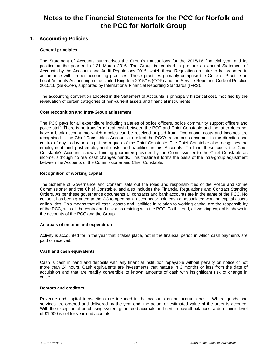### **Notes to the Financial Statements for the PCC for Norfolk and the PCC for Norfolk Group**

### **1. Accounting Policies**

### **General principles**

The Statement of Accounts summarises the Group's transactions for the 2015/16 financial year and its position at the year-end of 31 March 2016. The Group is required to prepare an annual Statement of Accounts by the Accounts and Audit Regulations 2015, which those Regulations require to be prepared in accordance with proper accounting practices. These practices primarily comprise the Code of Practice on Local Authority Accounting in the United Kingdom 2015/16 (COP) and the Service Reporting Code of Practice 2015/16 (SeRCoP), supported by International Financial Reporting Standards (IFRS).

The accounting convention adopted in the Statement of Accounts is principally historical cost, modified by the revaluation of certain categories of non-current assets and financial instruments.

### **Cost recognition and Intra-Group adjustment**

The PCC pays for all expenditure including salaries of police officers, police community support officers and police staff. There is no transfer of real cash between the PCC and Chief Constable and the latter does not have a bank account into which monies can be received or paid from. Operational costs and incomes are recognised in the Chief Constable's Accounts to reflect the PCC's resources consumed in the direction and control of day-to-day policing at the request of the Chief Constable. The Chief Constable also recognises the employment and post-employment costs and liabilities in his Accounts. To fund these costs the Chief Constable's Accounts show a funding guarantee provided by the Commissioner to the Chief Constable as income, although no real cash changes hands. This treatment forms the basis of the intra-group adjustment between the Accounts of the Commissioner and Chief Constable.

### **Recognition of working capital**

The Scheme of Governance and Consent sets out the roles and responsibilities of the Police and Crime Commissioner and the Chief Constable, and also includes the Financial Regulations and Contract Standing Orders. As per these governance documents all contracts and bank accounts are in the name of the PCC. No consent has been granted to the CC to open bank accounts or hold cash or associated working capital assets or liabilities. This means that all cash, assets and liabilities in relation to working capital are the responsibility of the PCC, with all the control and risk also residing with the PCC. To this end, all working capital is shown in the accounts of the PCC and the Group.

### **Accruals of income and expenditure**

Activity is accounted for in the year that it takes place, not in the financial period in which cash payments are paid or received.

### **Cash and cash equivalents**

Cash is cash in hand and deposits with any financial institution repayable without penalty on notice of not more than 24 hours. Cash equivalents are investments that mature in 3 months or less from the date of acquisition and that are readily convertible to known amounts of cash with insignificant risk of change in value.

### **Debtors and creditors**

Revenue and capital transactions are included in the accounts on an accruals basis. Where goods and services are ordered and delivered by the year-end, the actual or estimated value of the order is accrued. With the exception of purchasing system generated accruals and certain payroll balances, a de-minimis level of £1,000 is set for year-end accruals.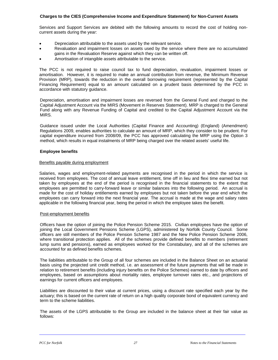### **Charges to the CIES (Comprehensive Income and Expenditure Statement) for Non-Current Assets**

Services and Support Services are debited with the following amounts to record the cost of holding noncurrent assets during the year:

- Depreciation attributable to the assets used by the relevant service.
- Revaluation and impairment losses on assets used by the service where there are no accumulated gains in the Revaluation Reserve against which they can be written off.
- Amortisation of intangible assets attributable to the service.

The PCC is not required to raise council tax to fund depreciation, revaluation, impairment losses or amortisation. However, it is required to make an annual contribution from revenue, the Minimum Revenue Provision (MRP), towards the reduction in the overall borrowing requirement (represented by the Capital Financing Requirement) equal to an amount calculated on a prudent basis determined by the PCC in accordance with statutory guidance.

Depreciation, amortisation and impairment losses are reversed from the General Fund and charged to the Capital Adjustment Account via the MIRS (Movement in Reserves Statement). MRP is charged to the General Fund along with any Revenue Funding of Capital and credited to the Capital Adjustment Account via the MIRS.

Guidance issued under the Local Authorities (Capital Finance and Accounting) (England) (Amendment) Regulations 2009, enables authorities to calculate an amount of MRP, which they consider to be prudent. For capital expenditure incurred from 2008/09, the PCC has approved calculating the MRP using the Option 3 method, which results in equal instalments of MRP being charged over the related assets' useful life.

### **Employee benefits**

### Benefits payable during employment

Salaries, wages and employment-related payments are recognised in the period in which the service is received from employees. The cost of annual leave entitlement, time off in lieu and flexi time earned but not taken by employees at the end of the period is recognised in the financial statements to the extent that employees are permitted to carry-forward leave or similar balances into the following period. An accrual is made for the cost of holiday entitlements earned by employees but not taken before the year end which the employees can carry forward into the next financial year. The accrual is made at the wage and salary rates applicable in the following financial year, being the period in which the employee takes the benefit.

### Post-employment benefits

Officers have the option of joining the Police Pension Scheme 2015. Civilian employees have the option of joining the Local Government Pensions Scheme (LGPS), administered by Norfolk County Council. Some officers are still members of the Police Pension Scheme 1987 and the New Police Pension Scheme 2006, where transitional protection applies. All of the schemes provide defined benefits to members (retirement lump sums and pensions), earned as employees worked for the Constabulary, and all of the schemes are accounted for as defined benefits schemes.

The liabilities attributable to the Group of all four schemes are included in the Balance Sheet on an actuarial basis using the projected unit credit method, i.e. an assessment of the future payments that will be made in relation to retirement benefits (including injury benefits on the Police Schemes) earned to date by officers and employees, based on assumptions about mortality rates, employee turnover rates etc., and projections of earnings for current officers and employees.

Liabilities are discounted to their value at current prices, using a discount rate specified each year by the actuary; this is based on the current rate of return on a high quality corporate bond of equivalent currency and term to the scheme liabilities.

The assets of the LGPS attributable to the Group are included in the balance sheet at their fair value as follows: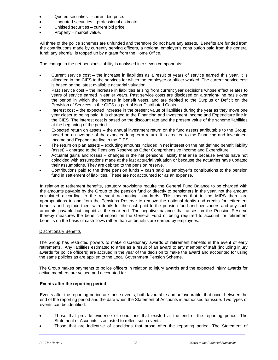- Quoted securities current bid price.
- Unquoted securities professional estimate.
- Unitised securities current bid price.
- Property market value.

All three of the police schemes are unfunded and therefore do not have any assets. Benefits are funded from the contributions made by currently serving officers, a notional employer's contribution paid from the general fund; any shortfall is topped up by a grant from the Home Office.

The change in the net pensions liability is analysed into seven components:

- Current service cost the increase in liabilities as a result of years of service earned this year, it is allocated in the CIES to the services for which the employee or officer worked**.** The current service cost is based on the latest available actuarial valuation.
- Past service cost the increase in liabilities arising from current year decisions whose effect relates to years of service earned in earlier years. Past service costs are disclosed on a straight-line basis over the period in which the increase in benefit vests, and are debited to the Surplus or Deficit on the Provision of Services in the CIES as part of Non-Distributed Costs.
- Interest cost the expected increase in the present value of liabilities during the year as they move one year closer to being paid. It is charged to the Financing and Investment Income and Expenditure line in the CIES. The interest cost is based on the discount rate and the present value of the scheme liabilities at the beginning of the period.
- Expected return on assets the annual investment return on the fund assets attributable to the Group, based on an average of the expected long-term return. It is credited to the Financing and Investment Income and Expenditure line in the CIES.
- The return on plan assets excluding amounts included in net interest on the net defined benefit liability (asset) – charged to the Pensions Reserve as Other Comprehensive Income and Expenditure.
- Actuarial gains and losses changes in the net pensions liability that arise because events have not coincided with assumptions made at the last actuarial valuation or because the actuaries have updated their assumptions. They are debited to the pension reserve.
- Contributions paid to the three pension funds cash paid as employer's contributions to the pension fund in settlement of liabilities. These are not accounted for as an expense.

In relation to retirement benefits, statutory provisions require the General Fund Balance to be charged with the amounts payable by the Group to the pension fund or directly to pensioners in the year, not the amount calculated according to the relevant accounting standards. This means that in the MIRS there are appropriations to and from the Pensions Reserve to remove the notional debits and credits for retirement benefits and replace them with debits for the cash paid to the pension fund and pensioners and any such amounts payable but unpaid at the year-end. The negative balance that arises on the Pension Reserve thereby measures the beneficial impact on the General Fund of being required to account for retirement benefits on the basis of cash flows rather than as benefits are earned by employees.

### Discretionary Benefits

The Group has restricted powers to make discretionary awards of retirement benefits in the event of early retirements. Any liabilities estimated to arise as a result of an award to any member of staff (including injury awards for police officers) are accrued in the year of the decision to make the award and accounted for using the same policies as are applied to the Local Government Pension Scheme.

The Group makes payments to police officers in relation to injury awards and the expected injury awards for active members are valued and accounted for.

### **Events after the reporting period**

Events after the reporting period are those events, both favourable and unfavourable, that occur between the end of the reporting period and the date when the Statement of Accounts is authorised for issue. Two types of events can be identified.

- Those that provide evidence of conditions that existed at the end of the reporting period. The Statement of Accounts is adjusted to reflect such events.
- Those that are indicative of conditions that arose after the reporting period. The Statement of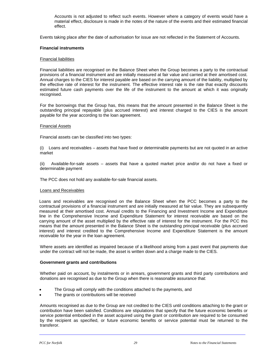Accounts is not adjusted to reflect such events. However where a category of events would have a material effect, disclosure is made in the notes of the nature of the events and their estimated financial effect.

Events taking place after the date of authorisation for issue are not reflected in the Statement of Accounts.

#### **Financial instruments**

#### Financial liabilities

Financial liabilities are recognised on the Balance Sheet when the Group becomes a party to the contractual provisions of a financial instrument and are initially measured at fair value and carried at their amortised cost. Annual charges to the CIES for interest payable are based on the carrying amount of the liability, multiplied by the effective rate of interest for the instrument. The effective interest rate is the rate that exactly discounts estimated future cash payments over the life of the instrument to the amount at which it was originally recognised.

For the borrowings that the Group has, this means that the amount presented in the Balance Sheet is the outstanding principal repayable (plus accrued interest) and interest charged to the CIES is the amount payable for the year according to the loan agreement.

#### Financial Assets

Financial assets can be classified into two types:

(i) Loans and receivables – assets that have fixed or determinable payments but are not quoted in an active market

(ii) Available-for-sale assets – assets that have a quoted market price and/or do not have a fixed or determinable payment

The PCC does not hold any available-for-sale financial assets.

#### Loans and Receivables

Loans and receivables are recognised on the Balance Sheet when the PCC becomes a party to the contractual provisions of a financial instrument and are initially measured at fair value. They are subsequently measured at their amortised cost. Annual credits to the Financing and Investment Income and Expenditure line in the Comprehensive Income and Expenditure Statement for interest receivable are based on the carrying amount of the asset multiplied by the effective rate of interest for the instrument. For the PCC this means that the amount presented in the Balance Sheet is the outstanding principal receivable (plus accrued interest) and interest credited to the Comprehensive Income and Expenditure Statement is the amount receivable for the year in the loan agreement.

Where assets are identified as impaired because of a likelihood arising from a past event that payments due under the contract will not be made, the asset is written down and a charge made to the CIES.

### **Government grants and contributions**

Whether paid on account, by instalments or in arrears, government grants and third party contributions and donations are recognised as due to the Group when there is reasonable assurance that:

- The Group will comply with the conditions attached to the payments, and
- The grants or contributions will be received

Amounts recognised as due to the Group are not credited to the CIES until conditions attaching to the grant or contribution have been satisfied. Conditions are stipulations that specify that the future economic benefits or service potential embodied in the asset acquired using the grant or contribution are required to be consumed by the recipient as specified, or future economic benefits or service potential must be returned to the transferor.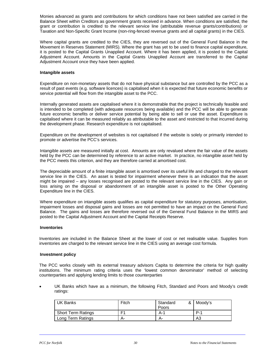Monies advanced as grants and contributions for which conditions have not been satisfied are carried in the Balance Sheet within Creditors as government grants received in advance. When conditions are satisfied, the grant or contribution is credited to the relevant service line (attributable revenue grants/contributions) or Taxation and Non-Specific Grant Income (non-ring-fenced revenue grants and all capital grants) in the CIES.

Where capital grants are credited to the CIES, they are reversed out of the General Fund Balance in the Movement in Reserves Statement (MIRS). Where the grant has yet to be used to finance capital expenditure, it is posted to the Capital Grants Unapplied Account. Where it has been applied, it is posted to the Capital Adjustment Account. Amounts in the Capital Grants Unapplied Account are transferred to the Capital Adjustment Account once they have been applied.

### **Intangible assets**

Expenditure on non-monetary assets that do not have physical substance but are controlled by the PCC as a result of past events (e.g. software licences) is capitalised when it is expected that future economic benefits or service potential will flow from the intangible asset to the PCC.

Internally generated assets are capitalised where it is demonstrable that the project is technically feasible and is intended to be completed (with adequate resources being available) and the PCC will be able to generate future economic benefits or deliver service potential by being able to sell or use the asset. Expenditure is capitalised where it can be measured reliably as attributable to the asset and restricted to that incurred during the development phase. Research expenditure is not capitalised.

Expenditure on the development of websites is not capitalised if the website is solely or primarily intended to promote or advertise the PCC's services.

Intangible assets are measured initially at cost. Amounts are only revalued where the fair value of the assets held by the PCC can be determined by reference to an active market. In practice, no intangible asset held by the PCC meets this criterion, and they are therefore carried at amortised cost.

The depreciable amount of a finite intangible asset is amortised over its useful life and charged to the relevant service line in the CIES. An asset is tested for impairment whenever there is an indication that the asset might be impaired – any losses recognised are posted to the relevant service line in the CIES. Any gain or loss arising on the disposal or abandonment of an intangible asset is posted to the Other Operating Expenditure line in the CIES.

Where expenditure on intangible assets qualifies as capital expenditure for statutory purposes, amortisation, impairment losses and disposal gains and losses are not permitted to have an impact on the General Fund Balance. The gains and losses are therefore reversed out of the General Fund Balance in the MIRS and posted to the Capital Adjustment Account and the Capital Receipts Reserve.

### **Inventories**

Inventories are included in the Balance Sheet at the lower of cost or net realisable value. Supplies from inventories are charged to the relevant service line in the CIES using an average cost formula.

### **Investment policy**

The PCC works closely with its external treasury advisors Capita to determine the criteria for high quality institutions. The minimum rating criteria uses the 'lowest common denominator' method of selecting counterparties and applying lending limits to those counterparties

 UK Banks which have as a minimum, the following Fitch, Standard and Poors and Moody's credit ratings:

| UK Banks           | Fitch          | &<br>Standard<br>Poors | Moody's    |
|--------------------|----------------|------------------------|------------|
| Short Term Ratings | E <sub>1</sub> | A-1                    | <b>D.1</b> |
| Long Term Ratings  | А-             | А-                     | A3         |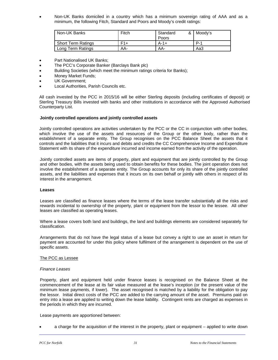Non-UK Banks domiciled in a country which has a minimum sovereign rating of AAA and as a minimum, the following Fitch, Standard and Poors and Moody's credit ratings:

| Non-UK Banks              | Fitch | Standard<br>Poors | & Moody's  |
|---------------------------|-------|-------------------|------------|
| <b>Short Term Ratings</b> | $F1+$ | $A-1+$            | <b>D.1</b> |
| Long Term Ratings         | AA-   | AA-               | Aa3        |

- Part Nationalised UK Banks;
- The PCC's Corporate Banker (Barclays Bank plc)
- Building Societies (which meet the minimum ratings criteria for Banks);
- Money Market Funds;
- UK Government;
- Local Authorities, Parish Councils etc.

All cash invested by the PCC in 2015/16 will be either Sterling deposits (including certificates of deposit) or Sterling Treasury Bills invested with banks and other institutions in accordance with the Approved Authorised Counterparty List.

### **Jointly controlled operations and jointly controlled assets**

Jointly controlled operations are activities undertaken by the PCC or the CC in conjunction with other bodies, which involve the use of the assets and resources of the Group or the other body, rather than the establishment of a separate entity. The Group recognises on the PCC Balance Sheet the assets that it controls and the liabilities that it incurs and debits and credits the CC Comprehensive Income and Expenditure Statement with its share of the expenditure incurred and income earned from the activity of the operation.

Jointly controlled assets are items of property, plant and equipment that are jointly controlled by the Group and other bodies, with the assets being used to obtain benefits for these bodies. The joint operation does not involve the establishment of a separate entity. The Group accounts for only its share of the jointly controlled assets, and the liabilities and expenses that it incurs on its own behalf or jointly with others in respect of its interest in the arrangement.

#### **Leases**

Leases are classified as finance leases where the terms of the lease transfer substantially all the risks and rewards incidental to ownership of the property, plant or equipment from the lessor to the lessee. All other leases are classified as operating leases.

Where a lease covers both land and buildings, the land and buildings elements are considered separately for classification.

Arrangements that do not have the legal status of a lease but convey a right to use an asset in return for payment are accounted for under this policy where fulfilment of the arrangement is dependent on the use of specific assets.

### The PCC as Lessee

#### *Finance Leases*

Property, plant and equipment held under finance leases is recognised on the Balance Sheet at the commencement of the lease at its fair value measured at the lease's inception (or the present value of the minimum lease payments, if lower). The asset recognised is matched by a liability for the obligation to pay the lessor. Initial direct costs of the PCC are added to the carrying amount of the asset. Premiums paid on entry into a lease are applied to writing down the lease liability. Contingent rents are charged as expenses in the periods in which they are incurred.

Lease payments are apportioned between:

a charge for the acquisition of the interest in the property, plant or equipment – applied to write down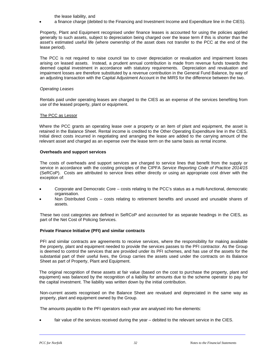the lease liability, and

a finance charge (debited to the Financing and Investment Income and Expenditure line in the CIES).

Property, Plant and Equipment recognised under finance leases is accounted for using the policies applied generally to such assets, subject to depreciation being charged over the lease term if this is shorter than the asset's estimated useful life (where ownership of the asset does not transfer to the PCC at the end of the lease period).

The PCC is not required to raise council tax to cover depreciation or revaluation and impairment losses arising on leased assets. Instead, a prudent annual contribution is made from revenue funds towards the deemed capital investment in accordance with statutory requirements. Depreciation and revaluation and impairment losses are therefore substituted by a revenue contribution in the General Fund Balance, by way of an adjusting transaction with the Capital Adjustment Account in the MIRS for the difference between the two.

### *Operating Leases*

Rentals paid under operating leases are charged to the CIES as an expense of the services benefiting from use of the leased property, plant or equipment.

### The PCC as Lessor

Where the PCC grants an operating lease over a property or an item of plant and equipment, the asset is retained in the Balance Sheet. Rental income is credited to the Other Operating Expenditure line in the CIES. Initial direct costs incurred in negotiating and arranging the lease are added to the carrying amount of the relevant asset and charged as an expense over the lease term on the same basis as rental income.

### **Overheads and support services**

The costs of overheads and support services are charged to service lines that benefit from the supply or service in accordance with the costing principles of the CIPFA *Service Reporting Code of Practice 2014/15* (SeRCoP). Costs are attributed to service lines either directly or using an appropriate cost driver with the exception of:

- Corporate and Democratic Core costs relating to the PCC's status as a multi-functional, democratic organisation.
- Non Distributed Costs costs relating to retirement benefits and unused and unusable shares of assets.

These two cost categories are defined in SeRCoP and accounted for as separate headings in the CIES, as part of the Net Cost of Policing Services.

### **Private Finance Initiative (PFI) and similar contracts**

PFI and similar contracts are agreements to receive services, where the responsibility for making available the property, plant and equipment needed to provide the services passes to the PFI contractor. As the Group is deemed to control the services that are provided under its PFI schemes, and has use of the assets for the substantial part of their useful lives, the Group carries the assets used under the contracts on its Balance Sheet as part of Property, Plant and Equipment.

The original recognition of these assets at fair value (based on the cost to purchase the property, plant and equipment) was balanced by the recognition of a liability for amounts due to the scheme operator to pay for the capital investment. The liability was written down by the initial contribution.

Non-current assets recognised on the Balance Sheet are revalued and depreciated in the same way as property, plant and equipment owned by the Group.

The amounts payable to the PFI operators each year are analysed into five elements:

fair value of the services received during the year – debited to the relevant service in the CIES.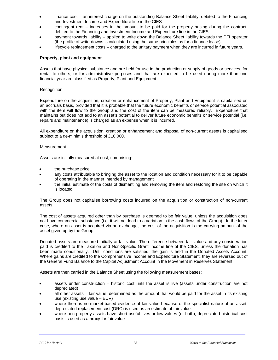- finance cost an interest charge on the outstanding Balance Sheet liability, debited to the Financing and Investment Income and Expenditure line in the CIES
- contingent rent increases in the amount to be paid for the property arising during the contract, debited to the Financing and Investment Income and Expenditure line in the CIES.
- payment towards liability applied to write down the Balance Sheet liability towards the PFI operator (the profile of write-downs is calculated using the same principles as for a finance lease).
- lifecycle replacement costs charged to the unitary payment when they are incurred in future years.

### **Property, plant and equipment**

Assets that have physical substance and are held for use in the production or supply of goods or services, for rental to others, or for administrative purposes and that are expected to be used during more than one financial year are classified as Property, Plant and Equipment.

### **Recognition**

Expenditure on the acquisition, creation or enhancement of Property, Plant and Equipment is capitalised on an accruals basis, provided that it is probable that the future economic benefits or service potential associated with the item will flow to the Group and the cost of the item can be measured reliably. Expenditure that maintains but does not add to an asset's potential to deliver future economic benefits or service potential (i.e. repairs and maintenance) is charged as an expense when it is incurred.

All expenditure on the acquisition, creation or enhancement and disposal of non-current assets is capitalised subject to a de-minimis threshold of £10,000.

### Measurement

Assets are initially measured at cost, comprising:

- the purchase price
- any costs attributable to bringing the asset to the location and condition necessary for it to be capable of operating in the manner intended by management
- the initial estimate of the costs of dismantling and removing the item and restoring the site on which it is located

The Group does not capitalise borrowing costs incurred on the acquisition or construction of non-current assets.

The cost of assets acquired other than by purchase is deemed to be fair value, unless the acquisition does not have commercial substance (i.e. it will not lead to a variation in the cash flows of the Group). In the latter case, where an asset is acquired via an exchange, the cost of the acquisition is the carrying amount of the asset given up by the Group.

Donated assets are measured initially at fair value. The difference between fair value and any consideration paid is credited to the Taxation and Non-Specific Grant Income line of the CIES, unless the donation has been made conditionally. Until conditions are satisfied, the gain is held in the Donated Assets Account. Where gains are credited to the Comprehensive Income and Expenditure Statement, they are reversed out of the General Fund Balance to the Capital Adjustment Account in the Movement in Reserves Statement.

Assets are then carried in the Balance Sheet using the following measurement bases:

- assets under construction historic cost until the asset is live (assets under construction are not depreciated)
- all other assets fair value, determined as the amount that would be paid for the asset in its existing use (existing use value – EUV)
- where there is no market-based evidence of fair value because of the specialist nature of an asset, depreciated replacement cost (DRC) is used as an estimate of fair value.
- where non-property assets have short useful lives or low values (or both), depreciated historical cost basis is used as a proxy for fair value.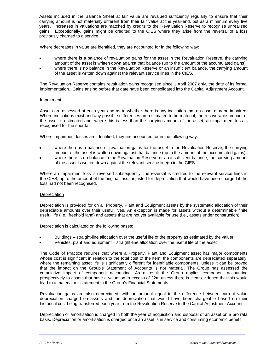Assets included in the Balance Sheet at fair value are revalued sufficiently regularly to ensure that their carrying amount is not materially different from their fair value at the year-end, but as a minimum every five years. Increases in valuations are matched by credits to the Revaluation Reserve to recognise unrealised gains. Exceptionally, gains might be credited to the CIES where they arise from the reversal of a loss previously charged to a service.

Where decreases in value are identified, they are accounted for in the following way:

- where there is a balance of revaluation gains for the asset in the Revaluation Reserve, the carrying amount of the asset is written down against that balance (up to the amount of the accumulated gains)
- where there is no balance in the Revaluation Reserve or an insufficient balance, the carrying amount of the asset is written down against the relevant service lines in the CIES.

The Revaluation Reserve contains revaluation gains recognised since 1 April 2007 only, the date of its formal implementation. Gains arising before that date have been consolidated into the Capital Adjustment Account.

### **Impairment**

Assets are assessed at each year-end as to whether there is any indication that an asset may be impaired. Where indications exist and any possible differences are estimated to be material, the recoverable amount of the asset is estimated and, where this is less than the carrying amount of the asset, an impairment loss is recognised for the shortfall.

Where impairment losses are identified, they are accounted for in the following way:

- where there is a balance of revaluation gains for the asset in the Revaluation Reserve, the carrying amount of the asset is written down against that balance (up to the amount of the accumulated gains)
- where there is no balance in the Revaluation Reserve or an insufficient balance, the carrying amount of the asset is written down against the relevant service line(s) in the CIES.

Where an impairment loss is reversed subsequently, the reversal is credited to the relevant service lines in the CIES, up to the amount of the original loss, adjusted for depreciation that would have been charged if the loss had not been recognised.

### **Depreciation**

Depreciation is provided for on all Property, Plant and Equipment assets by the systematic allocation of their depreciable amounts over their useful lives. An exception is made for assets without a determinable finite useful life (i.e., freehold land) and assets that are not yet available for use (i.e., assets under construction).

Depreciation is calculated on the following bases:

- Buildings straight-line allocation over the useful life of the property as estimated by the valuer
- Vehicles, plant and equipment straight-line allocation over the useful life of the asset

The Code of Practice requires that where a Property, Plant and Equipment asset has major components whose cost is significant in relation to the total cost of the item, the components are depreciated separately, where the remaining asset life is significantly different for identifiable components, unless it can be proved that the impact on the Group's Statement of Accounts is not material. The Group has assessed the cumulative impact of component accounting. As a result the Group applies component accounting prospectively to assets that have a valuation in excess of £2m unless there is clear evidence that this would lead to a material misstatement in the Group's Financial Statements.

Revaluation gains are also depreciated, with an amount equal to the difference between current value depreciation charged on assets and the depreciation that would have been chargeable based on their historical cost being transferred each year from the Revaluation Reserve to the Capital Adjustment Account.

Depreciation or amortisation is charged in both the year of acquisition and disposal of an asset on a pro rata basis. Depreciation or amortisation is charged once an asset is in service and consuming economic benefit.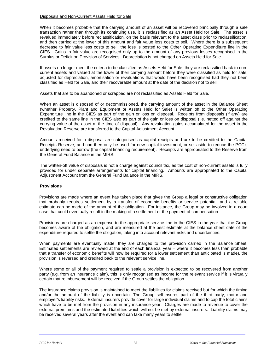#### Disposals and Non-Current Assets Held for Sale

When it becomes probable that the carrying amount of an asset will be recovered principally through a sale transaction rather than through its continuing use, it is reclassified as an Asset Held for Sale. The asset is revalued immediately before reclassification, on the basis relevant to the asset class prior to reclassification, and then carried at the lower of this amount and fair value less costs to sell. Where there is a subsequent decrease to fair value less costs to sell, the loss is posted to the Other Operating Expenditure line in the CIES. Gains in fair value are recognised only up to the amount of any previous losses recognised in the Surplus or Deficit on Provision of Services. Depreciation is not charged on Assets Held for Sale.

If assets no longer meet the criteria to be classified as Assets Held for Sale, they are reclassified back to noncurrent assets and valued at the lower of their carrying amount before they were classified as held for sale; adjusted for depreciation, amortisation or revaluations that would have been recognised had they not been classified as Held for Sale, and their recoverable amount at the date of the decision not to sell.

Assets that are to be abandoned or scrapped are not reclassified as Assets Held for Sale.

When an asset is disposed of or decommissioned, the carrying amount of the asset in the Balance Sheet (whether Property, Plant and Equipment or Assets Held for Sale) is written off to the Other Operating Expenditure line in the CIES as part of the gain or loss on disposal. Receipts from disposals (if any) are credited to the same line in the CIES also as part of the gain or loss on disposal (i.e. netted off against the carrying value of the asset at the time of disposal). Any revaluation gains accumulated for the asset in the Revaluation Reserve are transferred to the Capital Adjustment Account.

Amounts received for a disposal are categorised as capital receipts and are to be credited to the Capital Receipts Reserve, and can then only be used for new capital investment, or set aside to reduce the PCC's underlying need to borrow (the capital financing requirement). Receipts are appropriated to the Reserve from the General Fund Balance in the MIRS.

The written-off value of disposals is not a charge against council tax, as the cost of non-current assets is fully provided for under separate arrangements for capital financing. Amounts are appropriated to the Capital Adjustment Account from the General Fund Balance in the MIRS.

## **Provisions**

Provisions are made where an event has taken place that gives the Group a legal or constructive obligation that probably requires settlement by a transfer of economic benefits or service potential, and a reliable estimate can be made of the amount of the obligation. For instance, the Group may be involved in a court case that could eventually result in the making of a settlement or the payment of compensation.

Provisions are charged as an expense to the appropriate service line in the CIES in the year that the Group becomes aware of the obligation, and are measured at the best estimate at the balance sheet date of the expenditure required to settle the obligation, taking into account relevant risks and uncertainties.

When payments are eventually made, they are charged to the provision carried in the Balance Sheet. Estimated settlements are reviewed at the end of each financial year – where it becomes less than probable that a transfer of economic benefits will now be required (or a lower settlement than anticipated is made), the provision is reversed and credited back to the relevant service line.

Where some or all of the payment required to settle a provision is expected to be recovered from another party (e.g. from an insurance claim), this is only recognised as income for the relevant service if it is virtually certain that reimbursement will be received if the Group settles the obligation.

The insurance claims provision is maintained to meet the liabilities for claims received but for which the timing and/or the amount of the liability is uncertain. The Group self-insures part of the third party, motor and employer's liability risks. External insurers provide cover for large individual claims and to cap the total claims which have to be met from the provision in any insurance year. Charges are made to revenue to cover the external premiums and the estimated liabilities which will not be met by external insurers. Liability claims may be received several years after the event and can take many years to settle.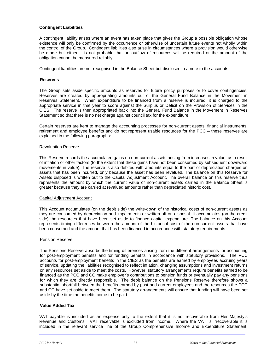## **Contingent Liabilities**

A contingent liability arises where an event has taken place that gives the Group a possible obligation whose existence will only be confirmed by the occurrence or otherwise of uncertain future events not wholly within the control of the Group. Contingent liabilities also arise in circumstances where a provision would otherwise be made but either it is not probable that an outflow of resources will be required or the amount of the obligation cannot be measured reliably.

Contingent liabilities are not recognised in the Balance Sheet but disclosed in a note to the accounts.

#### **Reserves**

The Group sets aside specific amounts as reserves for future policy purposes or to cover contingencies*.*  Reserves are created by appropriating amounts out of the General Fund Balance in the Movement in Reserves Statement. When expenditure to be financed from a reserve is incurred, it is charged to the appropriate service in that year to score against the Surplus or Deficit on the Provision of Services in the CIES. The reserve is then appropriated back into the General Fund Balance in the Movement in Reserves Statement so that there is no net charge against council tax for the expenditure.

Certain reserves are kept to manage the accounting processes for non-current assets, financial instruments, retirement and employee benefits and do not represent usable resources for the PCC – these reserves are explained in the following paragraphs:

#### Revaluation Reserve

This Reserve records the accumulated gains on non-current assets arising from increases in value, as a result of inflation or other factors (to the extent that these gains have not been consumed by subsequent downward movements in value). The reserve is also debited with amounts equal to the part of depreciation charges on assets that has been incurred, only because the asset has been revalued. The balance on this Reserve for Assets disposed is written out to the Capital Adjustment Account. The overall balance on this reserve thus represents the amount by which the current value of non-current assets carried in the Balance Sheet is greater because they are carried at revalued amounts rather than depreciated historic cost.

#### Capital Adjustment Account

This Account accumulates (on the debit side) the write-down of the historical costs of non-current assets as they are consumed by depreciation and impairments or written off on disposal. It accumulates (on the credit side) the resources that have been set aside to finance capital expenditure. The balance on this Account represents timing differences between the amount of the historical cost of the non-current assets that have been consumed and the amount that has been financed in accordance with statutory requirements.

#### Pension Reserve

The Pensions Reserve absorbs the timing differences arising from the different arrangements for accounting for post-employment benefits and for funding benefits in accordance with statutory provisions. The PCC accounts for post-employment benefits in the CIES as the benefits are earned by employees accruing years of service, updating the liabilities recognised to reflect inflation, changing assumptions and investment returns on any resources set aside to meet the costs. However, statutory arrangements require benefits earned to be financed as the PCC and CC make employer's contributions to pension funds or eventually pay any pensions for which they are directly responsible. The debit balance on the Pensions Reserve therefore shows a substantial shortfall between the benefits earned by past and current employees and the resources the PCC and CC have set aside to meet them. The statutory arrangements will ensure that funding will have been set aside by the time the benefits come to be paid.

#### **Value Added Tax**

VAT payable is included as an expense only to the extent that it is not recoverable from Her Majesty's Revenue and Customs. VAT receivable is excluded from income. Where the VAT is irrecoverable it is included in the relevant service line of the Group Comprehensive Income and Expenditure Statement.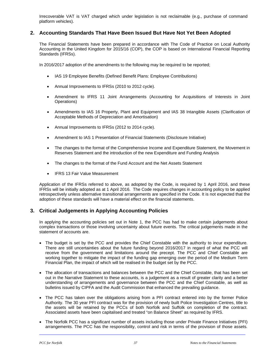Irrecoverable VAT is VAT charged which under legislation is not reclaimable (e.g., purchase of command platform vehicles).

# **2. Accounting Standards That Have Been Issued But Have Not Yet Been Adopted**

The Financial Statements have been prepared in accordance with The Code of Practice on Local Authority Accounting in the United Kingdom for 2015/16 (COP), the COP is based on International Financial Reporting Standards (IFRSs).

In 2016/2017 adoption of the amendments to the following may be required to be reported;

- IAS 19 Employee Benefits (Defined Benefit Plans: Employee Contributions)
- Annual Improvements to IFRSs (2010 to 2012 cycle).
- Amendment to IFRS 11 Joint Arrangements (Accounting for Acquisitions of Interests in Joint Operations)
- Amendments to IAS 16 Property, Plant and Equipment and IAS 38 Intangible Assets (Clarification of Acceptable Methods of Depreciation and Amortisation)
- Annual Improvements to IFRSs (2012 to 2014 cycle).
- Amendment to IAS 1 Presentation of Financial Statements (Disclosure Initiative)
- The changes to the format of the Comprehensive Income and Expenditure Statement, the Movement in Reserves Statement and the introduction of the new Expenditure and Funding Analysis
- The changes to the format of the Fund Account and the Net Assets Statement
- IFRS 13 Fair Value Measurement

Application of the IFRSs referred to above, as adopted by the Code, is required by 1 April 2016, and these IFRSs will be initially adopted as at 1 April 2016. The Code requires changes in accounting policy to be applied retrospectively unless alternative transitional arrangements are specified in the Code. It is not expected that the adoption of these standards will have a material effect on the financial statements.

# **3. Critical Judgements in Applying Accounting Policies**

In applying the accounting policies set out in Note 1, the PCC has had to make certain judgements about complex transactions or those involving uncertainty about future events. The critical judgements made in the statement of accounts are.

- The budget is set by the PCC and provides the Chief Constable with the authority to incur expenditure. There are still uncertainties about the future funding beyond 2016/2017 in regard of what the PCC will receive from the government and limitations around the precept. The PCC and Chief Constable are working together to mitigate the impact of the funding gap emerging over the period of the Medium Term Financial Plan, the impact of which will be realised in the budget set by the PCC.
- The allocation of transactions and balances between the PCC and the Chief Constable, that has been set out in the Narrative Statement to these accounts, is a judgement as a result of greater clarity and a better understanding of arrangements and governance between the PCC and the Chief Constable, as well as bulletins issued by CIPFA and the Audit Commission that enhanced the prevailing guidance.
- The PCC has taken over the obligations arising from a PFI contract entered into by the former Police Authority. The 30 year PFI contract was for the provision of newly built Police Investigation Centres, title to the assets will be retained by the PCCs of both Norfolk and Suffolk on completion of the contract. Associated assets have been capitalised and treated "on Balance Sheet" as required by IFRS.
- The Norfolk PCC has a significant number of assets including those under Private Finance Initiatives (PFI) arrangements. The PCC has the responsibility, control and risk in terms of the provision of those assets.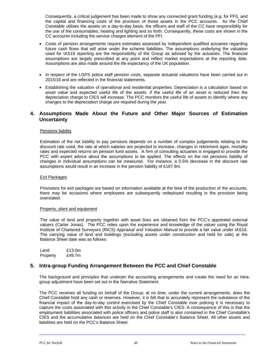Consequently, a critical judgement has been made to show any connected grant funding (e.g. for PFI), and the capital and financing costs of the provision of those assets in the PCC accounts. As the Chief Constable utilises the assets on a day-to-day basis, the officers and staff of the CC have responsibility for the use of the consumables, heating and lighting and so forth. Consequently, these costs are shown in the CC accounts including the service charges element of the PFI.

- Costs of pension arrangements require estimates assessed by independent qualified actuaries regarding future cash flows that will arise under the scheme liabilities. The assumptions underlying the valuation used for IAS19 reporting are the responsibility of the Group as advised by the actuaries. The financial assumptions are largely prescribed at any point and reflect market expectations at the reporting date. Assumptions are also made around the life expectancy of the UK population.
- In respect of the LGPS police staff pension costs, separate actuarial valuations have been carried out in 2015/16 and are reflected in the financial statements.
- Establishing the valuation of operational and residential properties. Depreciation is a calculation based on asset value and expected useful life of the assets. If the useful life of an asset is reduced then the depreciation charge to CIES will increase. The PCC monitors the useful life of assets to identify where any changes to the depreciation charge are required during the year.

# **4. Assumptions Made About the Future and Other Major Sources of Estimation Uncertainty**

## Pensions liability

Estimation of the net liability to pay pensions depends on a number of complex judgements relating to the discount rate used, the rate at which salaries are projected to increase, changes in retirement ages, mortality rates and expected returns on pension fund assets. A firm of consulting actuaries is engaged to provide the PCC with expert advice about the assumptions to be applied. The effects on the net pensions liability of changes in individual assumptions can be measured. For instance, a 0.5% decrease in the discount rate assumptions would result in an increase in the pension liability of £167.9m.

#### Exit Packages

Provisions for exit packages are based on information available at the time of the production of the accounts, there may be occasions where employees are subsequently redeployed resulting in the provision being overstated.

#### Property, plant and equipment

The value of land and property together with asset lives are obtained from the PCC's appointed external valuers (Carter Jonas). The PCC relies upon the experience and knowledge of the valuer using the Royal Institute of Chartered Surveyors (RICS) *Appraisal and Valuation Manual* to provide a fair value under IAS16. The carrying value of land and buildings (excluding assets under construction and held for sale) at the Balance Sheet date was as follows:

Land £13.0m Property £49.7m

# **5. Intra-group Funding Arrangement Between the PCC and Chief Constable**

The background and principles that underpin the accounting arrangements and create the need for an intragroup adjustment have been set out in the Narrative Statement.

The PCC receives all funding on behalf of the Group; at no time, under the current arrangements, does the Chief Constable hold any cash or reserves. However, it is felt that to accurately represent the substance of the financial impact of the day-to-day control exercised by the Chief Constable over policing it is necessary to capture the costs associated with this activity in the Chief Constable's CIES. A consequence of this is that the employment liabilities associated with police officers and police staff is also contained in the Chief Constable's CIES and the accumulative balances are held on the Chief Constable's Balance Sheet. All other assets and liabilities are held on the PCC's Balance Sheet.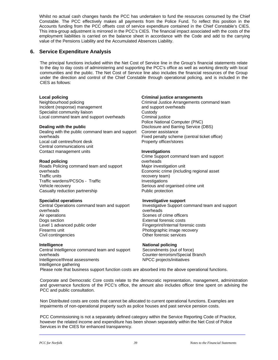Whilst no actual cash changes hands the PCC has undertaken to fund the resources consumed by the Chief Constable. The PCC effectively makes all payments from the Police Fund. To reflect this position in the Accounts funding from the PCC offsets cost of service expenditure contained in the Chief Constable's CIES. This intra-group adjustment is mirrored in the PCC's CIES. The financial impact associated with the costs of the employment liabilities is carried on the balance sheet in accordance with the Code and add to the carrying value of the Pensions Liability and the Accumulated Absences Liability.

# **6. Service Expenditure Analysis**

The principal functions included within the Net Cost of Service line in the Group's financial statements relate to the day to day costs of administering and supporting the PCC's office as well as working directly with local communities and the public. The Net Cost of Service line also includes the financial resources of the Group under the direction and control of the Chief Constable through operational policing, and is included in the CIES as follows:

## **Local policing**

Neighbourhood policing Incident (response) management Specialist community liaison Local command team and support overheads

## **Dealing with the public**

Dealing with the public command team and support overheads Local call centres/front desk Central communications unit Contact management units

## **Road policing**

Roads Policing command team and support overheads Traffic units Traffic wardens/PCSOs - Traffic Vehicle recovery Casualty reduction partnership

## **Specialist operations**

Central Operations command team and support overheads Air operations Dogs section Level 1 advanced public order Firearms unit Civil contingencies

#### **Intelligence**

Central Intelligence command team and support overheads Intelligence/threat assessments Intelligence gathering

## **Criminal justice arrangements**

Criminal Justice Arrangements command team and support overheads **Custody** Criminal justice Police National Computer (PNC) Disclosure and Barring Service (DBS) Coroner assistance Fixed penalty scheme (central ticket office) Property officer/stores

## **Investigations**

Crime Support command team and support overheads Major investigation unit Economic crime (including regional asset recovery team) Investigations Serious and organised crime unit Public protection

#### **Investigative support**

Investigative Support command team and support overheads Scenes of crime officers External forensic costs Fingerprint/Internal forensic costs Photographic image recovery Other forensic services

## **National policing**

Secondments (out of force) Counter-terrorism/Special Branch NPCC projects/initiatives

Please note that business support function costs are absorbed into the above operational functions.

Corporate and Democratic Core costs relate to the democratic representation, management, administration and governance functions of the PCC's office, the amount also includes officer time spent on advising the PCC and public consultation.

Non Distributed costs are costs that cannot be allocated to current operational functions. Examples are impairments of non-operational property such as police houses and past service pension costs.

PCC Commissioning is not a separately defined category within the Service Reporting Code of Practice, however the related income and expenditure has been shown separately within the Net Cost of Police Services in the CIES for enhanced transparency.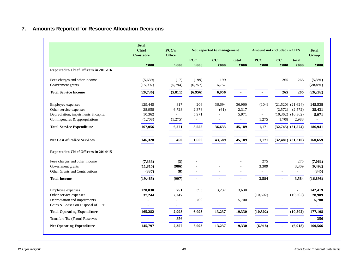# **7. Amounts Reported for Resource Allocation Decisions**

|                                       | <b>Total</b><br><b>Chief</b><br><b>Constable</b> | PCC's<br>Office |                     | Not reported to management |                          | <b>Amount not included in CIES</b> |                |                          | <b>Total</b><br>Group |
|---------------------------------------|--------------------------------------------------|-----------------|---------------------|----------------------------|--------------------------|------------------------------------|----------------|--------------------------|-----------------------|
|                                       |                                                  |                 | <b>PCC</b>          | CC                         | total                    | <b>PCC</b>                         | CC             | total                    |                       |
| Reported to Chief Officers in 2015/16 | £000                                             | £000            | £000                | £000                       | £000                     | £000                               | £000           | £000                     | £000                  |
|                                       |                                                  |                 |                     |                            |                          |                                    |                |                          |                       |
| Fees charges and other income         | (5,639)                                          | (17)            | (199)               | 199                        |                          |                                    | 265            | 265                      | (5,391)               |
| Government grants                     | (15,097)                                         | (5,794)         | (6,757)             | 6,757                      |                          |                                    |                | $\overline{a}$           | (20, 891)             |
| <b>Total Service Income</b>           | (20, 736)                                        | (5, 811)        | (6,956)             | 6,956                      |                          | $\blacksquare$                     | 265            | 265                      | (26, 282)             |
|                                       |                                                  |                 |                     |                            |                          |                                    |                |                          |                       |
| Employee expenses                     | 129,445                                          | 817             | 206                 | 36,694                     | 36,900                   | (104)                              |                | $(21,520)$ $(21,624)$    | 145,538               |
| Other service expenses                | 28,958                                           | 6,728           | 2,378               | (61)                       | 2,317                    | $\sim$                             | (2,572)        | (2,572)                  | 35,431                |
| Depreciation, impairments & capital   | 10,362                                           |                 | 5,971               | L,                         | 5,971                    | $\overline{\phantom{a}}$           |                | $(10,362)$ $(10,362)$    | 5,971                 |
| Contingencies & appropriations        | (1,708)                                          | (1,275)         | $\bar{\phantom{a}}$ | ٠                          | $\overline{\phantom{a}}$ | 1,275                              | 1,708          | 2,983                    | $\blacksquare$        |
| <b>Total Service Expenditure</b>      | 167,056                                          | 6,271           | 8,555               | 36,633                     | 45,189                   | 1,171                              |                | $(32,745)$ $(31,574)$    | 186,941               |
| <b>Net Cost of Police Services</b>    | 146,320                                          | 460             | 1,600               | 43,589                     | 45,189                   | 1,171                              |                | $(32,481)$ $(31,310)$    | 160,659               |
| Reported to Chief Officers in 2014/15 |                                                  |                 |                     |                            |                          |                                    |                |                          |                       |
| Fees charges and other income         | (7,333)                                          | (3)             |                     |                            |                          | 275                                |                | 275                      | (7,061)               |
| Government grants                     | (11, 815)                                        | (986)           |                     |                            |                          | 3,309                              |                | 3,309                    | (9, 492)              |
| Other Grants and Contributions        | (337)                                            | (8)             |                     | ÷                          | $\sim$                   | $\overline{\phantom{a}}$           | $\sim$         | $\overline{\phantom{a}}$ | (345)                 |
| <b>Total Income</b>                   | (19, 485)                                        | (997)           | $\blacksquare$      |                            | $\blacksquare$           | 3,584                              | $\blacksquare$ | 3,584                    | (16, 898)             |
| Employee expenses                     | 128,038                                          | 751             | 393                 | 13,237                     | 13,630                   |                                    |                | $\overline{a}$           | 142,419               |
| Other service expenses                | 37,244                                           | 2,247           |                     |                            | ÷                        | (10,502)                           |                | (10, 502)                | 28,989                |
| Depreciation and impairments          |                                                  | $\blacksquare$  | 5,700               |                            | 5,700                    |                                    |                |                          | 5,700                 |
| Gains & Losses on Disposal of PPE     | $\blacksquare$                                   | $\blacksquare$  |                     | $\overline{a}$             | $\blacksquare$           |                                    |                | ٠                        |                       |
| <b>Total Operating Expenditure</b>    | 165,282                                          | 2,998           | 6,093               | 13,237                     | 19,330                   | (10, 502)                          | $\blacksquare$ | (10, 502)                | 177,108               |
| Transfers To/ (From) Reserves         |                                                  | 356             |                     |                            | $\sim$                   |                                    |                |                          | 356                   |
| <b>Net Operating Expenditure</b>      | 145,797                                          | 2,357           | 6,093               | 13,237                     | 19,330                   | (6,918)                            |                | (6,918)                  | 160,566               |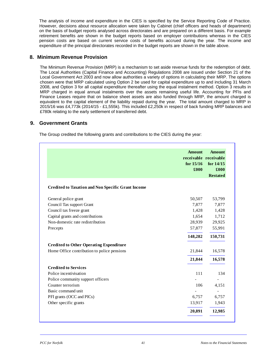The analysis of income and expenditure in the CIES is specified by the Service Reporting Code of Practice. However, decisions about resource allocation were taken by Cabinet (chief officers and heads of department) on the basis of budget reports analysed across directorates and are prepared on a different basis. For example retirement benefits are shown in the budget reports based on employer contributions whereas in the CIES pension costs are based on current service costs of benefits accrued during the year. The income and expenditure of the principal directorates recorded in the budget reports are shown in the table above.

# **8. Minimum Revenue Provision**

The Minimum Revenue Provision (MRP) is a mechanism to set aside revenue funds for the redemption of debt. The Local Authorities (Capital Finance and Accounting) Regulations 2008 are issued under Section 21 of the Local Government Act 2003 and now allow authorities a variety of options in calculating their MRP. The options chosen were that MRP calculated using Option 2 be used for capital expenditure up to and including 31 March 2008, and Option 3 for all capital expenditure thereafter using the equal instalment method. Option 3 results in MRP charged in equal annual instalments over the assets remaining useful life. Accounting for PFIs and Finance Leases require that on balance sheet assets are also funded through MRP, the amount charged is equivalent to the capital element of the liability repaid during the year. The total amount charged to MRP in 2015/16 was £4,773k (2014/15 - £1,555k). This included £2,250k in respect of back funding MRP balances and £780k relating to the early settlement of transferred debt.

# **9. Government Grants**

The Group credited the following grants and contributions to the CIES during the year:

|                                                           | <b>Amount</b><br>receivable receivable<br>for $15/16$<br>£000 | <b>Amount</b><br>for $14/15$<br>£000<br><b>Restated</b> |
|-----------------------------------------------------------|---------------------------------------------------------------|---------------------------------------------------------|
| <b>Credited to Taxation and Non Specific Grant Income</b> |                                                               |                                                         |
| General police grant                                      | 50,507                                                        | 53,799                                                  |
| Council Tax support Grant                                 | 7,877                                                         | 7,877                                                   |
| Council tax freeze grant                                  | 1,428                                                         | 1,428                                                   |
| Capital grants and contributions                          | 1,654                                                         | 1,712                                                   |
| Non-domestic rate redistribution                          | 28,939                                                        | 29,925                                                  |
| Precepts                                                  | 57,877                                                        | 55,991                                                  |
|                                                           | 148,282                                                       | 150,731                                                 |
| <b>Credited to Other Operating Expenditure</b>            |                                                               |                                                         |
| Home Office contribution to police pensions               | 21,844                                                        | 16,578                                                  |
|                                                           | 21,844                                                        | 16,578                                                  |
| <b>Credited to Services</b>                               |                                                               |                                                         |
| Police incentivisation                                    | 111                                                           | 134                                                     |
| Police community support officers                         |                                                               |                                                         |
| Counter terrorism                                         | 106                                                           | 4,151                                                   |
| Basic command unit                                        |                                                               |                                                         |
| PFI grants (OCC and PICs)                                 | 6,757                                                         | 6,757                                                   |
| Other specific grants                                     | 13,917                                                        | 1,943                                                   |
|                                                           | 20,891                                                        | 12,985                                                  |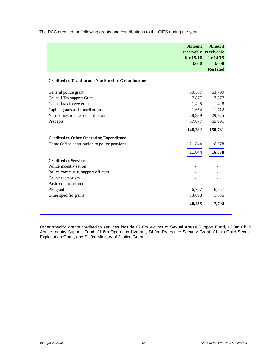|                                                           | <b>Amount</b><br>receivable receivable<br>for $15/16$<br>£000 | <b>Amount</b><br>for $14/15$<br>£000 |
|-----------------------------------------------------------|---------------------------------------------------------------|--------------------------------------|
|                                                           |                                                               | <b>Restated</b>                      |
| <b>Credited to Taxation and Non Specific Grant Income</b> |                                                               |                                      |
| General police grant                                      | 50,507                                                        | 53,799                               |
| Council Tax support Grant                                 | 7,877                                                         | 7,877                                |
| Council tax freeze grant                                  | 1,428                                                         | 1,428                                |
| Capital grants and contributions                          | 1,654                                                         | 1,712                                |
| Non-domestic rate redistribution                          | 28,939                                                        | 29,925                               |
| Precepts                                                  | 57,877                                                        | 55,991                               |
|                                                           | 148,282                                                       | 150,731                              |
| <b>Credited to Other Operating Expenditure</b>            |                                                               |                                      |
| Home Office contribution to police pensions               | 21,844                                                        | 16,578                               |
|                                                           | 21,844                                                        | 16,578                               |
| <b>Credited to Services</b>                               |                                                               |                                      |
| Police incentivisation                                    |                                                               |                                      |
| Police community support officers                         |                                                               |                                      |
| Counter terrorism                                         |                                                               |                                      |
| Basic command unit                                        |                                                               |                                      |
| PFI grant                                                 | 6,757                                                         | 6,757                                |
| Other specific grants                                     | 13,698                                                        | 1,035                                |
|                                                           | 20,455                                                        | 7,792                                |

The PCC credited the following grants and contributions to the CIES during the year:

Other specific grants credited to services include £2.8m Victims of Sexual Abuse Support Fund, £2.0m Child Abuse Inquiry Support Fund, £1.8m Operation Hydrant, £4.0m Protective Security Grant, £1.1m Child Sexual Exploitation Grant, and £1.0m Ministry of Justice Grant.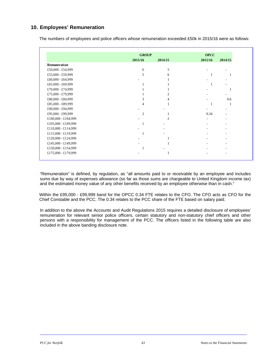# **10. Employees' Remuneration**

|  |  | The numbers of employees and police officers whose remuneration exceeded £50k in 2015/16 were as follows: |
|--|--|-----------------------------------------------------------------------------------------------------------|
|--|--|-----------------------------------------------------------------------------------------------------------|

|                     | <b>GROUP</b> |                | <b>OPCC</b> |         |
|---------------------|--------------|----------------|-------------|---------|
|                     | 2015/16      | 2014/15        | 2015/16     | 2014/15 |
| Remuneration        |              |                |             |         |
| £50,000 - £54,999   | 6            | 5              |             |         |
| £55,000 - £59,999   |              | 6              | 1           |         |
| £60,000 - £64,999   |              |                |             |         |
| £65,000 - £69,999   |              |                | 1           |         |
| £70,000 - £74,999   |              |                |             |         |
| £75,000 - £79,999   |              | 2              |             |         |
| £80,000 - £84,999   | 3            |                |             | 0.6     |
| £85,000 - £89,999   | 4            |                | 1           |         |
| £90,000 - £94,999   |              |                |             |         |
| £95,000 - £99,999   | 2            |                | 0.34        |         |
| £100,000 - £104,999 |              | $\mathfrak{D}$ |             |         |
| £105,000 - £109,999 |              |                |             |         |
| £110,000 - £114,999 |              |                |             |         |
| £115,000 - £119,999 |              |                |             |         |
| £120,000 - £124,999 |              |                |             |         |
| £145,000 - £149,999 |              |                |             |         |
| £150,000 - £154,999 |              |                |             |         |
| £175,000 - £179,999 |              |                |             |         |

"Remuneration" is defined, by regulation, as "all amounts paid to or receivable by an employee and includes sums due by way of expenses allowance (so far as those sums are chargeable to United Kingdom income tax) and the estimated money value of any other benefits received by an employee otherwise than in cash."

Within the £95,000 - £99,999 band for the OPCC 0.34 FTE relates to the CFO. The CFO acts as CFO for the Chief Constable and the PCC. The 0.34 relates to the PCC share of the FTE based on salary paid.

In addition to the above the Accounts and Audit Regulations 2015 requires a detailed disclosure of employees' remuneration for relevant senior police officers, certain statutory and non-statutory chief officers and other persons with a responsibility for management of the PCC. The officers listed in the following table are also included in the above banding disclosure note.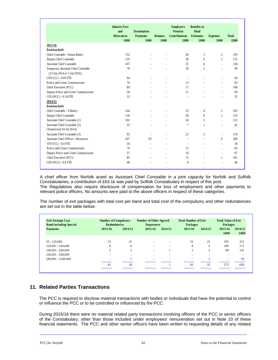|                                            | <b>Salaries Fees</b><br>and<br><b>Allowances</b> | <b>Termination</b><br><b>Payments</b> | <b>Bonuses</b> | <b>Employers</b><br>Pension<br><b>Contributions</b> | <b>Benefits</b> in<br>Kind<br><b>Estimates</b> | <b>Expenses</b>          | <b>Total</b> |
|--------------------------------------------|--------------------------------------------------|---------------------------------------|----------------|-----------------------------------------------------|------------------------------------------------|--------------------------|--------------|
|                                            | £000                                             | £000                                  | £000           | £000                                                | £000                                           | £000                     | £000         |
| 2015/16                                    |                                                  |                                       |                |                                                     |                                                |                          |              |
| <b>Position held</b>                       | 152                                              |                                       |                |                                                     |                                                |                          | 193          |
| Chief Constable - Simon Bailey             |                                                  |                                       |                | 36                                                  | 3                                              | $\overline{c}$           |              |
| Deputy Chief Constable                     | 119                                              |                                       |                | 28                                                  | 6                                              | $\overline{c}$           | 155          |
| <b>Assistant Chief Constable</b>           | 107                                              |                                       |                | 25                                                  | $\overline{4}$                                 | $\overline{a}$           | 136          |
| Temporary Assistant Chief Constable        | 79                                               |                                       |                | 18                                                  | $\overline{c}$                                 | $\overline{a}$           | 99           |
| (23 Jun 2014 to 3 Jan 2016)                |                                                  |                                       |                |                                                     |                                                |                          |              |
| CFO (CC) - 0.66 FTE                        | 64                                               |                                       |                | $\overline{\phantom{a}}$                            |                                                |                          | 64           |
| Police and Crime Commissioner              | 70                                               |                                       | $\overline{a}$ | 13                                                  |                                                | $\overline{a}$           | 83           |
| Chief Executive (PCC)                      | 89                                               |                                       | $\overline{a}$ | 17                                                  | $\overline{a}$                                 | $\overline{a}$           | 106          |
| Deputy Police and Crime Commissioner       | 58                                               |                                       | $\overline{a}$ | 11                                                  |                                                | $\overline{\phantom{a}}$ | 69           |
| CFO (PCC) - 0.34 FTE                       | 33                                               |                                       |                | $\overline{a}$                                      |                                                | $\overline{\phantom{a}}$ | 33           |
| 2014/15                                    |                                                  |                                       |                |                                                     |                                                |                          |              |
| <b>Position held</b>                       |                                                  |                                       |                |                                                     |                                                |                          |              |
| Chief Constable - S Bailey                 | 144                                              |                                       |                | 33                                                  | 4                                              | 2                        | 183          |
| Deputy Chief Constable                     | 118                                              | $\overline{a}$                        | $\overline{a}$ | 28                                                  | 6                                              | $\mathbf{1}$             | 153          |
| Assistant Chief Constable (1)              | 102                                              |                                       |                | 24                                                  | 5                                              | $\overline{\phantom{a}}$ | 131          |
| Assistant Chief Constable (2)              | 33                                               |                                       |                | 7                                                   | 1                                              | $\overline{a}$           | 41           |
| (Transferred 18 Jul 2014)                  |                                                  |                                       |                |                                                     |                                                |                          |              |
| Assistant Chief Constable (3)              | 95                                               | $\overline{a}$                        |                | 21                                                  | 3                                              | $\overline{a}$           | 119          |
| <b>Assistant Chief Officer - Resources</b> | 107                                              | 93                                    | $\overline{a}$ | $\overline{a}$                                      | $\overline{a}$                                 | 6                        | 206          |
| $CFO$ (CC) - 0.4 FTE                       | 34                                               | $\overline{a}$                        | $\overline{a}$ | $\overline{a}$                                      | $\overline{a}$                                 | $\overline{a}$           | 34           |
| Police and Crime Commissioner              | 70                                               | $\overline{a}$                        | $\overline{a}$ | 13                                                  | $\overline{a}$                                 | $\overline{\phantom{a}}$ | 83           |
| Deputy Police and Crime Commissioner       | 57                                               |                                       | $\overline{a}$ | 10                                                  | $\overline{a}$                                 | $\overline{\phantom{a}}$ | 67           |
| Chief Executive (PCC)                      | 85                                               |                                       | $\overline{a}$ | 15                                                  |                                                | 1                        | 101          |
| CFO (PCC) - 0.6 FTE                        | 48                                               |                                       |                | $\mathbf{0}$                                        |                                                |                          | 48           |

A chief officer from Norfolk acted as Assistant Chief Constable in a joint capacity for Norfolk and Suffolk Constabularies; a contribution of £63.1k was paid by Suffolk Constabulary in respect of this post. The Regulations also require disclosure of compensation for loss of employment and other payments to relevant police officers. No amounts were paid to the above officers in respect of these categories.

The number of exit packages with total cost per band and total cost of the compulsory and other redundancies are set out in the table below:

| <b>Exit Package Cost</b><br><b>Band including Special</b> | <b>Number of Compulsory</b><br><b>Redundancies</b> |                          | <b>Number of Other Agreed</b><br><b>Departures</b> |                          | <b>Total Number of Exit</b><br><b>Packages</b> |                          | <b>Total Value of Exit</b><br><b>Packages</b> |                 |
|-----------------------------------------------------------|----------------------------------------------------|--------------------------|----------------------------------------------------|--------------------------|------------------------------------------------|--------------------------|-----------------------------------------------|-----------------|
| <b>Payments</b>                                           | 2015/16                                            | 2014/15                  | 2015/16                                            | 2014/15                  | 2015/16                                        | 2014/15                  | 2015/16<br>£000                               | 2014/15<br>£000 |
| £0 - £20,000                                              | 33                                                 | 25                       |                                                    | $\overline{\phantom{a}}$ | 33                                             | 25                       | 295                                           | 251             |
| £20,001 - £40,000                                         | 8                                                  | 6                        | $\overline{\phantom{a}}$                           | $\overline{\phantom{a}}$ | 8                                              | 6                        | 189                                           | 171             |
| £40,001 - £60,000                                         | $\gamma$                                           | $\overline{c}$           | $\overline{\phantom{a}}$                           |                          | 2                                              | 3                        | 89                                            | 141             |
| £60,001 - £80,000                                         |                                                    | $\overline{\phantom{a}}$ | $\overline{\phantom{a}}$                           |                          |                                                | $\overline{\phantom{a}}$ | $\overline{\phantom{a}}$                      |                 |
| £80,001 - £100,000                                        |                                                    |                          | $\sim$                                             |                          |                                                |                          | ۰                                             | 93              |
|                                                           | 43                                                 | 34                       | $\overline{\phantom{a}}$                           |                          | 43                                             | 35                       | 573                                           | 656             |

# **11. Related Parties Transactions**

The PCC is required to disclose material transactions with bodies or individuals that have the potential to control or influence the PCC or to be controlled or influenced by the PCC.

During 2015/16 there were no material related party transactions involving officers of the PCC or senior officers of the Constabulary, other than those included under employees' remuneration set out in Note 10 of these financial statements. The PCC and other senior officers have been written to requesting details of any related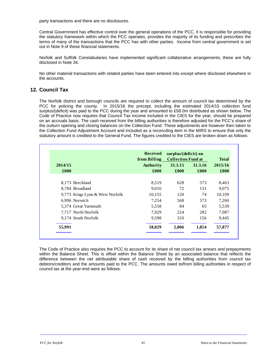party transactions and there are no disclosures.

Central Government has effective control over the general operations of the PCC, it is responsible for providing the statutory framework within which the PCC operates, provides the majority of its funding and prescribes the terms of many of the transactions that the PCC has with other parties. Income from central government is set out in Note 9 of these financial statements.

Norfolk and Suffolk Constabularies have implemented significant collaborative arrangements; these are fully disclosed in Note 34.

No other material transactions with related parties have been entered into except where disclosed elsewhere in the accounts.

# **12. Council Tax**

The Norfolk district and borough councils are required to collect the amount of council tax determined by the PCC for policing the county. In 2015/16 the precept, including the estimated 2014/15 collection fund surplus/(deficit) was paid to the PCC during the year and amounted to £58.0m distributed as shown below. The Code of Practice now requires that Council Tax income included in the CIES for the year, should be prepared on an accruals basis. The cash received from the billing authorities is therefore adjusted for the PCC's share of the outturn opening and closing balances on the Collection Fund. These adjustments are however then taken to the Collection Fund Adjustment Account and included as a reconciling item in the MIRS to ensure that only the statutory amount is credited to the General Fund. The figures credited to the CIES are broken down as follows:

|                 |                                 | <b>Received</b><br>from Billing | surplus/(deficit) on<br><b>Collection Fund at</b> |                 | <b>Total</b>    |
|-----------------|---------------------------------|---------------------------------|---------------------------------------------------|-----------------|-----------------|
| 2014/15<br>£000 |                                 | <b>Authority</b><br>£000        | 31.3.15<br>£000                                   | 31.3.16<br>£000 | 2015/16<br>£000 |
|                 | 8,173 Breckland                 | 8,519                           | 628                                               | 573             | 8,463           |
|                 | 8,784 Broadland                 | 9,016                           | 72                                                | 131             | 9,075           |
|                 | 9,773 Kings Lynn & West Norfolk | 10,155                          | 120                                               | 74              | 10,109          |
|                 | 6,996 Norwich                   | 7,254                           | 568                                               | 573             | 7,260           |
|                 | 5,374 Great Yarmouth            | 5,558                           | 84                                                | 65              | 5,539           |
|                 | 7,717 North Norfolk             | 7,929                           | 224                                               | 282             | 7,987           |
|                 | 9,174 South Norfolk             | 9,598                           | 310                                               | 156             | 9,445           |
| 55,991          |                                 | 58,029                          | 2,006                                             | 1,854           | 57,877          |

The Code of Practice also requires the PCC to account for its share of net council tax arrears and prepayments within the Balance Sheet. This is offset within the Balance Sheet by an associated balance that reflects the difference between the net attributable share of cash received by the billing authorities from council tax debtors/creditors and the amounts paid to the PCC. The amounts owed to/from billing authorities in respect of council tax at the year-end were as follows: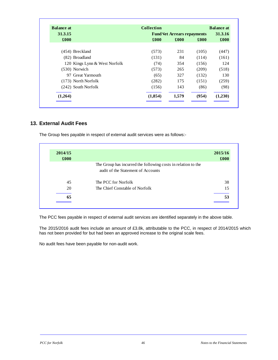| <b>Balance at</b> |                               | <b>Collection</b> |                                    |       | <b>Balance at</b>  |
|-------------------|-------------------------------|-------------------|------------------------------------|-------|--------------------|
| 31.3.15           |                               |                   | <b>Fund Net Arrears repayments</b> |       | 31.3.16            |
| £000              |                               | £000              | £000                               | £000  | $\pmb{\pounds}000$ |
|                   | (454) Breckland               | (573)             | 231                                | (105) | (447)              |
|                   | (82) Broadland                | (131)             | 84                                 | (114) | (161)              |
|                   | 120 Kings Lynn & West Norfolk | (74)              | 354                                | (156) | 124                |
|                   | $(530)$ Norwich               | (573)             | 265                                | (209) | (518)              |
|                   | 97 Great Yarmouth             | (65)              | 327                                | (132) | 130                |
|                   | (173) North Norfolk           | (282)             | 175                                | (151) | (259)              |
|                   | (242) South Norfolk           | (156)             | 143                                | (86)  | (98)               |
| (1,264)           |                               | (1, 854)          | 1,579                              | (954) | (1,230)            |

# **13. External Audit Fees**

The Group fees payable in respect of external audit services were as follows:-

| 2014/15<br>£000 |                                                                                                     | 2015/16<br>£000 |
|-----------------|-----------------------------------------------------------------------------------------------------|-----------------|
|                 | The Group has incurred the following costs in relation to the<br>audit of the Statement of Accounts |                 |
| 45              | The PCC for Norfolk                                                                                 | 38              |
| 20              | The Chief Constable of Norfolk                                                                      | 15              |
| 65              |                                                                                                     | 53              |

The PCC fees payable in respect of external audit services are identified separately in the above table.

The 2015/2016 audit fees include an amount of £3.8k, attributable to the PCC, in respect of 2014/2015 which has not been provided for but had been an approved increase to the original scale fees.

No audit fees have been payable for non-audit work.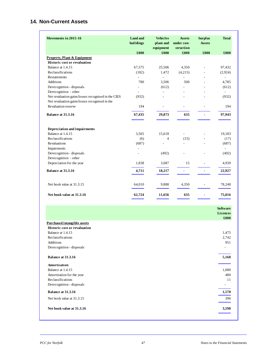# **14. Non-Current Assets**

| Movements in 2015-16                                | <b>Land and</b><br>buildings | <b>Vehicles</b><br>plant and | <b>Assets</b><br>under con- | <b>Surplus</b><br><b>Assets</b> | <b>Total</b>                       |
|-----------------------------------------------------|------------------------------|------------------------------|-----------------------------|---------------------------------|------------------------------------|
|                                                     | £000                         | equipment<br>£000            | struction<br>£000           | £000                            | £000                               |
| <b>Property, Plant &amp; Equipment</b>              |                              |                              |                             |                                 |                                    |
| <b>Historic cost or revaluation</b>                 |                              |                              |                             |                                 |                                    |
| Balance at 1.4.15                                   | 67,575                       | 25,506                       | 4,350                       | $\frac{1}{2}$                   | 97,432                             |
| Reclassifications                                   | (182)                        | 1,472                        | (4,215)                     | $\overline{\phantom{a}}$        | (2,924)                            |
| <b>Restatements</b>                                 | $\overline{a}$               | $\overline{a}$               | $\overline{a}$              | $\overline{a}$                  | $\overline{\phantom{a}}$           |
| Additions                                           | 780                          | 3,506                        | 500                         | ÷.                              | 4,785                              |
| Derecognition - disposals                           | $\overline{a}$               | (612)                        |                             | L.                              | (612)                              |
| Derecognition - other                               | $\overline{\phantom{a}}$     | $\overline{a}$               | ÷                           |                                 | $\overline{\phantom{a}}$           |
| Net revaluation gains/losses recognised in the CIES | (932)                        | L.                           |                             | L.                              | (932)                              |
| Net revaluation gains/losses recognised in the      |                              |                              |                             |                                 |                                    |
| Revaluation reserve                                 | 194                          | $\overline{\phantom{a}}$     |                             |                                 | 194                                |
|                                                     |                              |                              |                             |                                 |                                    |
| Balance at 31.3.16                                  | 67,435                       | 29,873                       | 635                         |                                 | 97,943                             |
|                                                     |                              |                              |                             |                                 |                                    |
| Depreciation and impairments<br>Balance at 1.4.15   |                              |                              | $\overline{a}$              |                                 | 19,183                             |
| Reclassifications                                   | 3,565<br>(6)                 | 15,618<br>$\overline{4}$     | (15)                        | $\overline{a}$                  |                                    |
| Revaluations                                        | (687)                        | $\frac{1}{2}$                | $\overline{a}$              | $\overline{a}$                  | (17)<br>(687)                      |
| Impairments                                         | Ĭ.                           |                              |                             |                                 |                                    |
| Derecognition - disposals                           | L,                           | (492)                        | L.                          |                                 | (492)                              |
| Derecognition - other                               |                              |                              |                             |                                 |                                    |
| Depreciation for the year                           | 1,838                        | 3,087                        | 15                          | $\overline{\phantom{a}}$        | 4,939                              |
| Balance at 31.3.16                                  |                              |                              |                             |                                 |                                    |
|                                                     | 4,711                        | 18,217                       | $\blacksquare$              | $\blacksquare$                  | 22,927                             |
| Net book value at 31.3.15                           | 64,010                       | 9,888                        | 4,350                       | $\overline{\phantom{a}}$        | 78,248                             |
| Net book value at 31.3.16                           | 62,724                       | 11,656                       | 635                         | $\qquad \qquad \blacksquare$    | 75,016                             |
|                                                     |                              |                              |                             |                                 |                                    |
|                                                     |                              |                              |                             |                                 | <b>Software</b><br><b>Licences</b> |
|                                                     |                              |                              |                             |                                 | £000                               |
| <b>Purchased intangible assets</b>                  |                              |                              |                             |                                 |                                    |
| <b>Historic cost or revaluation</b>                 |                              |                              |                             |                                 |                                    |
| Balance at 1.4.15                                   |                              |                              |                             |                                 | 1,475                              |
| Reclassifications                                   |                              |                              |                             |                                 | 2,742                              |
| Additions                                           |                              |                              |                             |                                 | 951                                |
| Derecognition - disposals                           |                              |                              |                             |                                 | $\overline{\phantom{a}}$           |
| Balance at 31.3.16                                  |                              |                              |                             |                                 | 5,168                              |
| Amortisation                                        |                              |                              |                             |                                 |                                    |
|                                                     |                              |                              |                             |                                 |                                    |

| Darance at 91.9.10        | v, rvo |
|---------------------------|--------|
| Amortisation              |        |
| Balance at 1.4.15         | 1,080  |
| Amortisation for the year | 480    |
| Reclassifications         | 11     |
| Derecognition - disposals | ۰      |
| Balance at 31.3.16        | 1,570  |
| Net book value at 31.3.15 | 396    |
| Net book value at 31.3.16 | 3,598  |
|                           |        |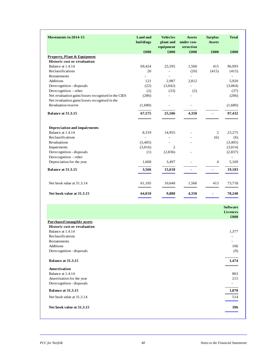| Movements in 2014-15                                | <b>Land and</b><br>buildings | <b>Vehicles</b><br>plant and<br>equipment | <b>Assets</b><br>under con-<br>struction | <b>Surplus</b><br><b>Assets</b> | <b>Total</b>             |
|-----------------------------------------------------|------------------------------|-------------------------------------------|------------------------------------------|---------------------------------|--------------------------|
|                                                     | £000                         | £000                                      | £000                                     | £000                            | £000                     |
| <b>Property, Plant &amp; Equipment</b>              |                              |                                           |                                          |                                 |                          |
| <b>Historic cost or revaluation</b>                 |                              |                                           |                                          |                                 |                          |
| Balance at 1.4.14                                   | 69,424                       | 25,595                                    | 1,560                                    | 415                             | 96,993                   |
| Reclassifications                                   | 20                           | $\overline{a}$                            | (20)                                     | (415)                           | (415)                    |
| <b>Restatements</b>                                 | $\overline{a}$               | $\overline{a}$                            |                                          |                                 | $\overline{\phantom{a}}$ |
| <b>Additions</b>                                    | 121                          | 2,987                                     | 2,812                                    |                                 | 5,920                    |
| Derecognition - disposals                           | (22)                         | (3,042)                                   | $\overline{a}$                           |                                 | (3,064)                  |
| Derecognition - other                               | (2)                          | (33)                                      | (2)                                      |                                 | (37)                     |
| Net revaluation gains/losses recognised in the CIES | (286)                        |                                           |                                          |                                 | (286)                    |
| Net revaluation gains/losses recognised in the      |                              |                                           |                                          |                                 |                          |
| Revaluation reserve                                 | (1,680)                      | $\overline{\phantom{a}}$                  | $\overline{\phantom{a}}$                 |                                 | (1,680)                  |
| Balance at 31.3.15                                  | 67,575                       | 25,506                                    | 4,350                                    |                                 | 97,432                   |
| Depreciation and impairments                        |                              |                                           |                                          |                                 |                          |
| Balance at 1.4.14                                   | 8,319                        | 14,955                                    |                                          | 2                               | 23,275                   |
| Reclassifications                                   | $\overline{a}$               |                                           |                                          | (6)                             | (6)                      |
| <b>Revaluations</b>                                 | (3,405)                      |                                           |                                          |                                 | (3,405)                  |
| Impairments                                         | (3,016)                      | 2                                         |                                          |                                 | (3,014)                  |
| Derecognition - disposals                           | (1)                          | (2,836)                                   |                                          |                                 | (2,837)                  |
| Derecognition - other                               |                              |                                           |                                          |                                 |                          |
| Depreciation for the year                           | 1,668                        | 3,497                                     | $\overline{a}$                           | $\overline{4}$                  | 5,169                    |
| <b>Balance at 31.3.15</b>                           | 3,566                        | 15,618                                    |                                          |                                 | 19,183                   |
| Net book value at 31.3.14                           | 61,105                       | 10,640                                    | 1,560                                    | 413                             | 73,718                   |
| Net book value at 31.3.15                           | 64,010                       | 9,888                                     | 4,350                                    | $\blacksquare$                  | 78,248                   |

|                                     | <b>Software</b> |
|-------------------------------------|-----------------|
|                                     | <b>Licences</b> |
|                                     | £000            |
| <b>Purchased intangible assets</b>  |                 |
| <b>Historic cost or revaluation</b> |                 |
| Balance at 1.4.14                   | 1,377           |
| Reclassifications                   |                 |
| Restatements                        |                 |
| Additions                           | 106             |
| Derecognition - disposals           | (9)             |
|                                     |                 |
| Balance at 31.3.15                  | 1,474           |
| <b>Amortisation</b>                 |                 |
| Balance at 1.4.14                   | 863             |
| Amortisation for the year           | 215             |
| Derecognition - disposals           |                 |
| Balance at 31.3.15                  | 1,078           |
| Net book value at 31.3.14           | 514             |
| Net book value at 31.3.15           | 396             |
|                                     |                 |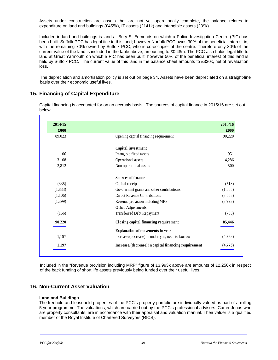Assets under construction are assets that are not yet operationally complete, the balance relates to expenditure on land and buildings (£455k), IT assets (£141k) and intangible assets (£39k).

Included in land and buildings is land at Bury St Edmunds on which a Police Investigation Centre (PIC) has been built. Suffolk PCC has legal title to this land; however Norfolk PCC owns 30% of the beneficial interest in, with the remaining 70% owned by Suffolk PCC, who is co-occupier of the centre. Therefore only 30% of the current value of the land is included in the table above, amounting to £0.48m. The PCC also holds legal title to land at Great Yarmouth on which a PIC has been built, however 50% of the beneficial interest of this land is held by Suffolk PCC. The current value of this land in the balance sheet amounts to £330k, net of revaluation loss.

The depreciation and amortisation policy is set out on page 34. Assets have been depreciated on a straight-line basis over their economic useful lives.

# **15. Financing of Capital Expenditure**

Capital financing is accounted for on an accruals basis. The sources of capital finance in 2015/16 are set out below.

| 2015/16 |                                                      | 2014/15 |
|---------|------------------------------------------------------|---------|
| £000    |                                                      | £000    |
| 90,220  | Opening capital financing requirement                | 89.023  |
|         | Capital investment                                   |         |
| 951     | Intangible fixed assets                              | 106     |
| 4,286   | Operational assets                                   | 3,108   |
| 500     | Non operational assets                               | 2,812   |
|         | Sources of finance                                   |         |
| (513)   | Capital receipts                                     | (335)   |
| (1,665) | Government grants and other contributions            | (1,833) |
| (3,558) | Direct Revenue Contributions                         | (1,106) |
| (3,993) | Revenue provision including MRP                      | (1,399) |
|         | <b>Other Adjustments</b>                             |         |
| (780)   | <b>Transferred Debt Repayment</b>                    | (156)   |
| 85,446  | Closing capital financing requirement                | 90,220  |
|         | <b>Explanation of movements in year</b>              |         |
| (4,773) | Increase/(decrease) in underlying need to borrow     | 1,197   |
| (4,773) | Increase/(decrease) in capital financing requirement | 1,197   |

Included in the "Revenue provision including MRP" figure of £3,993k above are amounts of £2,250k in respect of the back funding of short life assets previously being funded over their useful lives.

# **16. Non-Current Asset Valuation**

#### **Land and Buildings**

The freehold and leasehold properties of the PCC's property portfolio are individually valued as part of a rolling 5 year programme. The valuations, which are carried out by the PCC's professional advisors, Carter Jonas who are property consultants, are in accordance with their appraisal and valuation manual. Their valuer is a qualified member of the Royal Institute of Chartered Surveyors (RICS).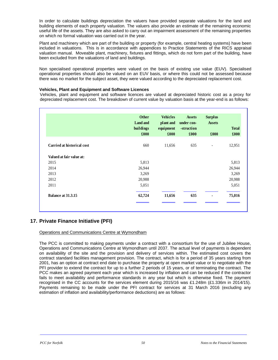In order to calculate buildings depreciation the valuers have provided separate valuations for the land and building elements of each property valuation. The valuers also provide an estimate of the remaining economic useful life of the assets. They are also asked to carry out an impairment assessment of the remaining properties on which no formal valuation was carried out in the year.

Plant and machinery which are part of the building or property (for example, central heating systems) have been included in valuations. This is in accordance with appendices to Practice Statements of the RICS appraisal valuation manual. Moveable plant, machinery, fixtures and fittings, which do not form part of the building, have been excluded from the valuations of land and buildings.

Non specialised operational properties were valued on the basis of existing use value (EUV). Specialised operational properties should also be valued on an EUV basis, or where this could not be assessed because there was no market for the subject asset, they were valued according to the depreciated replacement cost.

## **Vehicles, Plant and Equipment and Software Licences**

Vehicles, plant and equipment and software licences are valued at depreciated historic cost as a proxy for depreciated replacement cost. The breakdown of current value by valuation basis at the year-end is as follows:

|                            | <b>Other</b><br><b>Land and</b><br>buildings<br>£000 | <b>Vehicles</b><br>plant and<br>equipment<br>£000 | <b>Assets</b><br>under con-<br>-struction<br>£000 | <b>Surplus</b><br><b>Assets</b><br>£000 | <b>Total</b><br>£000 |
|----------------------------|------------------------------------------------------|---------------------------------------------------|---------------------------------------------------|-----------------------------------------|----------------------|
| Carried at historical cost | 660                                                  | 11,656                                            | 635                                               | $\overline{\phantom{a}}$                | 12,951               |
| Valued at fair value at:   |                                                      |                                                   |                                                   |                                         |                      |
| 2015                       | 5,813                                                |                                                   |                                                   |                                         | 5,813                |
| 2014                       | 26,944                                               |                                                   |                                                   |                                         | 26,944               |
| 2013                       | 3,269                                                |                                                   |                                                   |                                         | 3,269                |
| 2012                       | 20,988                                               |                                                   |                                                   |                                         | 20,988               |
| 2011                       | 5,051                                                |                                                   |                                                   |                                         | 5,051                |
| Balance at 31.3.15         | 62,724                                               | 11,656                                            | 635                                               | $\blacksquare$                          | 75,016               |

# **17. Private Finance Initiative (PFI)**

Operations and Communications Centre at Wymondham

The PCC is committed to making payments under a contract with a consortium for the use of Jubilee House, Operations and Communications Centre at Wymondham until 2037. The actual level of payments is dependent on availability of the site and the provision and delivery of services within. The estimated cost covers the contract standard facilities management provision. The contract, which is for a period of 35 years starting from 2001, has an option at contract end date to purchase the property at open market value or to negotiate with the PFI provider to extend the contract for up to a further 2 periods of 15 years, or of terminating the contract. The PCC makes an agreed payment each year which is increased by inflation and can be reduced if the contractor fails to meet availability and performance standards in any year but which is otherwise fixed. The payment recognised in the CC accounts for the services element during 2015/16 was £1.248m (£1.336m in 2014/15). Payments remaining to be made under the PFI contract for services at 31 March 2016 (excluding any estimation of inflation and availability/performance deductions) are as follows: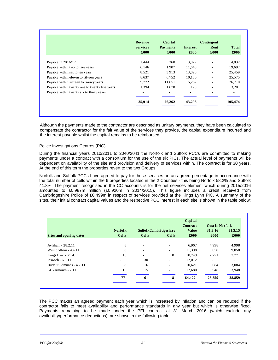|                                                | <b>Revenue</b>  | Capital |        | Contingent |                    |                 |      |              |
|------------------------------------------------|-----------------|---------|--------|------------|--------------------|-----------------|------|--------------|
|                                                | <b>Services</b> |         |        |            | <b>Payments</b>    | <b>Interest</b> | Rent | <b>Total</b> |
|                                                | £000            | £000    | £000   | £000       | $\pmb{\pounds}000$ |                 |      |              |
| Payable in 2016/17                             | 1,444           | 360     | 3,027  | ۰          | 4,832              |                 |      |              |
| Payable within two to five years               | 6,146           | 1,907   | 11,643 |            | 19,697             |                 |      |              |
| Payable within six to ten years                | 8,521           | 3,913   | 13,025 |            | 25,459             |                 |      |              |
| Payable within eleven to fifteen years         | 8,637           | 6,752   | 10,186 |            | 25,575             |                 |      |              |
| Payable within sixteen to twenty years         | 9,772           | 11,651  | 5,287  |            | 26,710             |                 |      |              |
| Payable within twenty one to twenty five years | 1,394           | 1,678   | 129    |            | 3,201              |                 |      |              |
| Payable within twenty six to thirty years      | ٠               | ۰.      | $\sim$ | -          |                    |                 |      |              |
|                                                | 35,914          | 26,262  | 43,298 |            | 105,474            |                 |      |              |

Although the payments made to the contractor are described as unitary payments, they have been calculated to compensate the contractor for the fair value of the services they provide, the capital expenditure incurred and the interest payable whilst the capital remains to be reimbursed.

## Police Investigations Centres (PIC)

During the financial years 2010/2011 to 2040/2041 the Norfolk and Suffolk PCCs are committed to making payments under a contract with a consortium for the use of the six PICs. The actual level of payments will be dependent on availability of the site and provision and delivery of services within. The contract is for 30 years. At the end of this term the properties revert to the two Groups.

Norfolk and Suffolk PCCs have agreed to pay for these services on an agreed percentage in accordance with the total number of cells within the 6 properties located in the 2 Counties - this being Norfolk 58.2% and Suffolk 41.8%. The payment recognised in the CC accounts is for the net services element which during 2015/2016 amounted to £0.987m million (£0.920m in 2014/2015). This figure includes a credit received from Cambridgeshire Police of £0.499m in respect of services provided at the Kings Lynn PIC. A summary of the sites, their initial contract capital values and the respective PCC interest in each site is shown in the table below:

|                          |                |                               |                          | Capital         |                        |         |
|--------------------------|----------------|-------------------------------|--------------------------|-----------------|------------------------|---------|
|                          |                |                               |                          | <b>Contract</b> | <b>Cost in Norfolk</b> |         |
|                          | <b>Norfolk</b> | <b>Suffolk Cambridgeshire</b> |                          | <b>Value</b>    | 31.3.16                | 31.3.15 |
| Sites and opening dates  | <b>Cells</b>   | <b>Cells</b>                  | <b>Cells</b>             | £000            | $\pounds 000$          | £000    |
| Aylsham - 28.2.11        | 8              | ٠                             | $\overline{\phantom{a}}$ | 6,967           | 4,998                  | 4,998   |
| Wymondham - 4.4.11       | 30             | ۰.                            |                          | 11,398          | 9,058                  | 9,058   |
| Kings Lynn - 25.4.11     | 16             | $\overline{\phantom{a}}$      | 8                        | 10.749          | 7,771                  | 7,771   |
| Ipswich - $6.6.11$       |                | 30                            | ٠                        | 12,012          | ٠                      | ٠       |
| Bury St Edmunds - 4.7.11 | 8              | 16                            |                          | 10,621          | 3,084                  | 3,084   |
| Gt Yarmouth - 7.11.11    | 15             | 15                            | ٠                        | 12,680          | 3,948                  | 3,948   |
|                          | 77             | 61                            | 8                        | 64,427          | 28,859                 | 28,859  |

The PCC makes an agreed payment each year which is increased by inflation and can be reduced if the contractor fails to meet availability and performance standards in any year but which is otherwise fixed. Payments remaining to be made under the PFI contract at 31 March 2016 (which exclude any availability/performance deductions), are shown in the following table: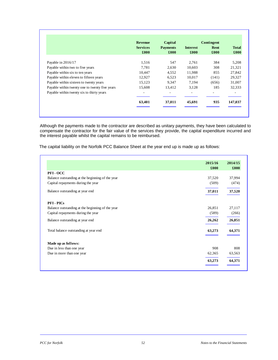|                                                | <b>Revenue</b>          | Capital                  |                          | Contingent   |                      |  |
|------------------------------------------------|-------------------------|--------------------------|--------------------------|--------------|----------------------|--|
|                                                | <b>Services</b><br>£000 | <b>Payments</b><br>£000  | <b>Interest</b><br>£000  | Rent<br>£000 | <b>Total</b><br>£000 |  |
| Payable in 2016/17                             | 1,516                   | 547                      | 2.761                    | 384          | 5,208                |  |
| Payable within two to five years               | 7.781                   | 2,630                    | 10,603                   | 308          | 21,321               |  |
| Payable within six to ten years                | 10,447                  | 4,552                    | 11,988                   | 855          | 27,842               |  |
| Payable within eleven to fifteen years         | 12,927                  | 6,523                    | 10,017                   | (141)        | 29,327               |  |
| Payable within sixteen to twenty years         | 15,123                  | 9,347                    | 7,194                    | (656)        | 31,007               |  |
| Payable within twenty one to twenty five years | 15,608                  | 13,412                   | 3,128                    | 185          | 32,333               |  |
| Payable within twenty six to thirty years      |                         | $\overline{\phantom{a}}$ | $\overline{\phantom{a}}$ | ۰.           | ۰.                   |  |
|                                                | 63,401                  | 37,011                   | 45,691                   | 935          | 147,037              |  |

Although the payments made to the contractor are described as unitary payments, they have been calculated to compensate the contractor for the fair value of the services they provide, the capital expenditure incurred and the interest payable whilst the capital remains to be reimbursed.

The capital liability on the Norfolk PCC Balance Sheet at the year end up is made up as follows:

|                                                  | 2015/16<br>£000 | 2014/15<br>£000 |
|--------------------------------------------------|-----------------|-----------------|
| PFI-OCC                                          |                 |                 |
| Balance outstanding at the beginning of the year | 37,520          | 37,994          |
| Capital repayments during the year               | (509)           | (474)           |
| Balance outstanding at year end                  | 37,011          | 37,520          |
| <b>PFI-PICs</b>                                  |                 |                 |
| Balance outstanding at the beginning of the year | 26,851          | 27,117          |
| Capital repayments during the year               | (589)           | (266)           |
| Balance outstanding at year end                  | 26,262          | 26,851          |
| Total balance outstanding at year end            | 63,273          | 64,371          |
| Made up as follows:                              |                 |                 |
| Due in less than one year                        | 908             | 808             |
| Due in more than one year                        | 62,365          | 63,563          |
|                                                  | 63,273          | 64,371          |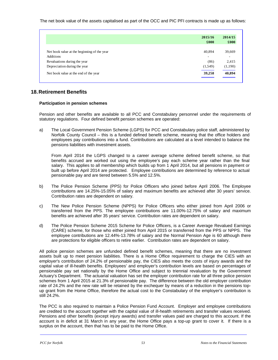The net book value of the assets capitalised as part of the OCC and PIC PFI contracts is made up as follows:

|                                             | 2015/16                  | 2014/15                  |
|---------------------------------------------|--------------------------|--------------------------|
|                                             | £000                     | £000                     |
|                                             |                          |                          |
| Net book value at the beginning of the year | 40,894                   | 39,669                   |
| <b>Additions</b>                            | $\overline{\phantom{a}}$ | $\overline{\phantom{a}}$ |
| Revaluations during the year                | (86)                     | 2,415                    |
| Depreciation during the year                | (1,549)                  | (1,190)                  |
| Net book value at the end of the year       | 39,258                   | 40,894                   |

# **18. Retirement Benefits**

## **Participation in pension schemes**

Pension and other benefits are available to all PCC and Constabulary personnel under the requirements of statutory regulations. Four defined benefit pension schemes are operated:

a) The Local Government Pension Scheme (LGPS) for PCC and Constabulary police staff, administered by Norfolk County Council – this is a funded defined benefit scheme, meaning that the office holders and employees pay contributions into a fund. Contributions are calculated at a level intended to balance the pensions liabilities with investment assets.

From April 2014 the LGPS changed to a career average scheme defined benefit scheme, so that benefits accrued are worked out using the employee's pay each scheme year rather than the final salary. This applies to all membership which builds up from 1 April 2014, but all pensions in payment or built up before April 2014 are protected. Employee contributions are determined by reference to actual pensionable pay and are tiered between 5.5% and 12.5%.

- b) The Police Pension Scheme (PPS) for Police Officers who joined before April 2006. The Employee contributions are 14.25%-15.05% of salary and maximum benefits are achieved after 30 years' service. Contribution rates are dependent on salary.
- c) The New Police Pension Scheme (NPPS) for Police Officers who either joined from April 2006 or transferred from the PPS. The employee contributions are 11.00%-12.75% of salary and maximum benefits are achieved after 35 years' service. Contribution rates are dependent on salary.
- d) The Police Pension Scheme 2015 Scheme for Police Officers, is a Career Average Revalued Earnings (CARE) scheme, for those who either joined from April 2015 or transferred from the PPS or NPPS. The employee contributions are 12.44%-13.78% of salary and the Normal Pension Age is 60 although there are protections for eligible officers to retire earlier. Contribution rates are dependent on salary.

All police pension schemes are unfunded defined benefit schemes, meaning that there are no investment assets built up to meet pension liabilities. There is a Home Office requirement to charge the CIES with an employer's contribution of 24.2% of pensionable pay, the CIES also meets the costs of injury awards and the capital value of ill-health benefits. Employees' and employer's contribution levels are based on percentages of pensionable pay set nationally by the Home Office and subject to triennial revaluation by the Government Actuary's Department. The actuarial valuation has set the employer contribution rate for all three police pension schemes from 1 April 2015 at 21.3% of pensionable pay. The difference between the old employer contribution rate of 24.2% and the new rate will be retained by the exchequer by means of a reduction in the pensions topup grant from the Home Office, therefore the actual cost to the Constabulary of the employer's contribution is still 24.2%.

The PCC is also required to maintain a Police Pension Fund Account. Employer and employee contributions are credited to the account together with the capital value of ill-health retirements and transfer values received. Pensions and other benefits (except injury awards) and transfer values paid are charged to this account. If the account is in deficit at 31 March in any year, the Home Office pays a top-up grant to cover it. If there is a surplus on the account, then that has to be paid to the Home Office.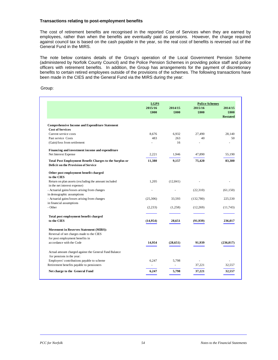#### **Transactions relating to post-employment benefits**

The cost of retirement benefits are recognised in the reported Cost of Services when they are earned by employees, rather than when the benefits are eventually paid as pensions. However, the charge required against council tax is based on the cash payable in the year, so the real cost of benefits is reversed out of the General Fund in the MIRS.

The note below contains details of the Group's operation of the Local Government Pension Scheme (administered by Norfolk County Council) and the Police Pension Schemes in providing police staff and police officers with retirement benefits. In addition, the Group has arrangements for the payment of discretionary benefits to certain retired employees outside of the provisions of the schemes. The following transactions have been made in the CIES and the General Fund via the MIRS during the year:

Group:

|                                                                                                | <b>LGPS</b> |           | <b>Police Schemes</b> |                 |
|------------------------------------------------------------------------------------------------|-------------|-----------|-----------------------|-----------------|
|                                                                                                | 2015/16     | 2014/15   | 2015/16               | 2014/15         |
|                                                                                                | £000        | £000      | £000                  | £000            |
|                                                                                                |             |           |                       | <b>Restated</b> |
| <b>Comprehensive Income and Expenditure Statement</b>                                          |             |           |                       |                 |
| <b>Cost of Services</b>                                                                        |             |           |                       |                 |
| Current service costs                                                                          | 8.676       | 6,932     | 27,490                | 28.140          |
| Past service Costs                                                                             | 483         | 263       | 40                    | 50              |
| (Gain)/loss from settlement                                                                    |             | 16        |                       |                 |
| Financing and investment income and expenditure                                                |             |           |                       |                 |
| Net Interest Expense                                                                           | 2,221       | 1,946     | 47,890                | 55,190          |
| Total Post Employment Benefit Charges to the Surplus or<br>Deficit on the Provision of Service | 11,380      | 9,157     | 75,420                | 83,380          |
| Other post employment benefit charged<br>to the CIES                                           |             |           |                       |                 |
| Return on plan assets (excluding the amount included<br>in the net interest expense)           | 1,205       | (12, 841) |                       |                 |
| - Actuarial gains/losses arising from changes                                                  |             |           | (22,310)              | (61, 150)       |
| in demographic assumptions                                                                     |             |           |                       |                 |
| - Actuarial gains/losses arising from changes                                                  | (25,306)    | 33,593    | (132,780)             | 225,530         |
| in financial assumptions                                                                       |             |           |                       |                 |
| - Other                                                                                        | (2,233)     | (1,258)   | (12,269)              | (11,743)        |
| Total post employment benefit charged                                                          |             |           |                       |                 |
| to the CIES                                                                                    | (14,954)    | 28,651    | (91, 939)             | 236.017         |
| <b>Movement in Reserves Statement (MIRS):</b>                                                  |             |           |                       |                 |
| Reversal of net charges made to the CIES                                                       |             |           |                       |                 |
| for post employment benefits in                                                                |             |           |                       |                 |
| accordance with the Code                                                                       | 14,954      | (28, 651) | 91,939                | (236, 017)      |
| Actual amount charged against the General Fund Balance                                         |             |           |                       |                 |
| for pensions in the year:                                                                      |             |           |                       |                 |
| Employers' contributions payable to scheme                                                     | 6,247       | 5,798     |                       |                 |
| Retirement benefits payable to pensioners                                                      | L.          | ÷.        | 37,221                | 32.557          |
| Net charge to the General Fund                                                                 | 6,247       | 5,798     | 37,221                | 32,557          |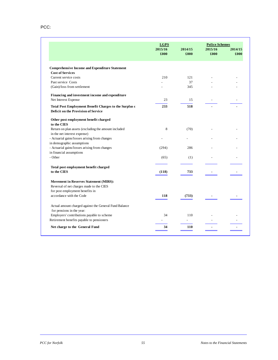|                                                                                               | <b>LGPS</b>     |                 | <b>Police Schemes</b> |                 |
|-----------------------------------------------------------------------------------------------|-----------------|-----------------|-----------------------|-----------------|
|                                                                                               | 2015/16<br>£000 | 2014/15<br>£000 | 2015/16<br>£000       | 2014/15<br>£000 |
| <b>Comprehensive Income and Expenditure Statement</b>                                         |                 |                 |                       |                 |
| <b>Cost of Services</b>                                                                       |                 |                 |                       |                 |
| Current service costs                                                                         | 210             | 121             |                       |                 |
| Past service Costs                                                                            |                 | 37              |                       |                 |
| (Gain)/loss from settlement                                                                   |                 | 345             |                       |                 |
| Financing and investment income and expenditure                                               |                 |                 |                       |                 |
| Net Interest Expense                                                                          | 23              | 15              |                       |                 |
| Total Post Employment Benefit Charges to the Surplus o<br>Deficit on the Provision of Service | 233             | 518             |                       |                 |
| Other post employment benefit charged<br>to the CIES                                          |                 |                 |                       |                 |
| Return on plan assets (excluding the amount included                                          | 8               | (70)            |                       |                 |
| in the net interest expense)                                                                  |                 |                 |                       |                 |
| - Actuarial gains/losses arising from changes                                                 |                 |                 |                       |                 |
| in demographic assumptions                                                                    |                 |                 |                       |                 |
| - Actuarial gains/losses arising from changes                                                 | (294)           | 286             |                       |                 |
| in financial assumptions                                                                      |                 |                 |                       |                 |
| - Other                                                                                       | (65)            | (1)             |                       |                 |
| Total post employment benefit charged                                                         |                 |                 |                       |                 |
| to the CIES                                                                                   | (118)           | 733             |                       |                 |
| <b>Movement in Reserves Statement (MIRS):</b>                                                 |                 |                 |                       |                 |
| Reversal of net charges made to the CIES                                                      |                 |                 |                       |                 |
| for post employment benefits in                                                               |                 |                 |                       |                 |
| accordance with the Code                                                                      | 118             | (733)           |                       |                 |
| Actual amount charged against the General Fund Balance                                        |                 |                 |                       |                 |
| for pensions in the year:                                                                     |                 |                 |                       |                 |
| Employers' contributions payable to scheme                                                    | 34              | 110             |                       |                 |
| Retirement benefits payable to pensioners                                                     |                 | $\overline{a}$  |                       |                 |
| Net charge to the General Fund                                                                | 34              | <b>110</b>      |                       |                 |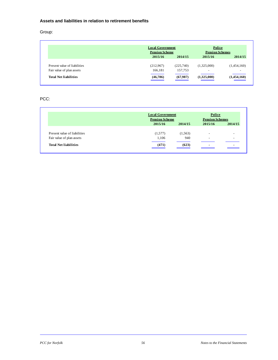## **Assets and liabilities in relation to retirement benefits**

Group:

|                              | <b>Local Government</b> |           | Police                 |                          |
|------------------------------|-------------------------|-----------|------------------------|--------------------------|
|                              | <b>Pension Scheme</b>   |           | <b>Pension Schemes</b> |                          |
|                              | 2015/16                 | 2014/15   | 2015/16                | 2014/15                  |
| Present value of liabilities | (212,967)               | (225,740) | (1,325,000)            | (1,454,160)              |
| Fair value of plan assets    | 166.181                 | 157,753   | $\sim$                 | $\overline{\phantom{a}}$ |
| <b>Total Net liabilities</b> | (46,786)                | (67,987)  | (1,325,000)            | (1,454,160)              |

## PCC:

|                              | <b>Local Government</b><br><b>Pension Scheme</b> |          | Police<br><b>Pension Schemes</b> |         |
|------------------------------|--------------------------------------------------|----------|----------------------------------|---------|
|                              |                                                  |          |                                  |         |
|                              | 2015/16                                          | 2014/15  | 2015/16                          | 2014/15 |
| Present value of liabilities | (1,577)                                          | (1, 563) | $\overline{\phantom{a}}$         | -       |
| Fair value of plan assets    | 1,106                                            | 940      | $\overline{\phantom{0}}$         |         |
| <b>Total Net liabilities</b> | (471)                                            | (623)    | $\overline{\phantom{0}}$         | -       |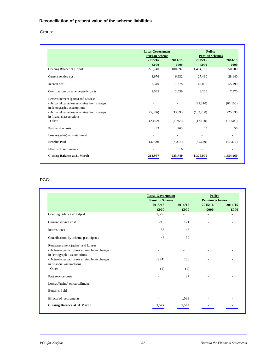# **Reconciliation of present value of the scheme liabilities**

# Group:

|                                               | <b>Local Government</b> |         | Police                 |           |
|-----------------------------------------------|-------------------------|---------|------------------------|-----------|
|                                               | <b>Pension Scheme</b>   |         | <b>Pension Schemes</b> |           |
|                                               | 2015/16                 | 2014/15 | 2015/16                | 2014/15   |
|                                               | £000                    | £000    | £000                   | £000      |
| Opening Balance at 1 April                    | 225,740                 | 180,692 | 1,454,160              | 1,250,700 |
| Current service cost                          | 8,676                   | 6,932   | 27,490                 | 28,140    |
| Interest cost                                 | 7,340                   | 7,778   | 47,890                 | 55,190    |
| Contributions by scheme participants          | 2,045                   | 2,039   | 8,260                  | 7,570     |
| Remeasurement (gains) and Losses:             |                         |         |                        |           |
| - Actuarial gains/losses arising from changes |                         |         | (22,310)               | (61,150)  |
| in demographic assumptions                    |                         |         |                        |           |
| - Actuarial gains/losses arising from changes | (25,306)                | 33,593  | (132,780)              | 225,530   |
| in financial assumptions                      |                         |         |                        |           |
| - Other                                       | (2,102)                 | (1,258) | (12,120)               | (11,500)  |
| Past service costs                            | 483                     | 263     | 40                     | 50        |
| Losses/(gains) on curtailment                 |                         |         |                        |           |
| <b>Benefits Paid</b>                          | (3,909)                 | (4,315) | (45,630)               | (40,370)  |
| Effects of settlements                        |                         | 16      |                        |           |
| <b>Closing Balance at 31 March</b>            | 212,967                 | 225,740 | 1.325.000              | 1,454,160 |

# PCC:

|                                               | <b>Local Government</b><br><b>Pension Scheme</b> |                          | Police<br><b>Pension Schemes</b> |                 |
|-----------------------------------------------|--------------------------------------------------|--------------------------|----------------------------------|-----------------|
|                                               | 2015/16<br>£000                                  | 2014/15<br>£000          | 2015/16<br>£000                  | 2014/15<br>£000 |
| Opening Balance at 1 April                    | 1,563                                            | $\overline{\phantom{0}}$ | ٠                                |                 |
| Current service cost                          | 210                                              | 121                      |                                  |                 |
| Interest cost                                 | 56                                               | 48                       |                                  |                 |
| Contributions by scheme participants          | 43                                               | 39                       |                                  |                 |
| Remeasurement (gains) and Losses:             |                                                  |                          |                                  |                 |
| - Actuarial gains/losses arising from changes |                                                  |                          |                                  |                 |
| in demographic assumptions                    |                                                  |                          |                                  |                 |
| - Actuarial gains/losses arising from changes | (294)                                            | 286                      |                                  |                 |
| in financial assumptions                      |                                                  |                          |                                  |                 |
| - Other                                       | (1)                                              | (1)                      |                                  |                 |
| Past service costs                            |                                                  | 37                       |                                  |                 |
| Losses/(gains) on curtailment                 |                                                  |                          |                                  |                 |
| <b>Benefits Paid</b>                          |                                                  |                          |                                  |                 |
| Effects of settlements                        |                                                  | 1,033                    |                                  |                 |
| <b>Closing Balance at 31 March</b>            | 1,577                                            | 1,563                    |                                  |                 |

L

 $\overline{\phantom{a}}$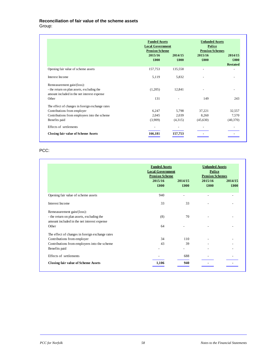# **Reconciliation of fair value of the scheme assets**

Group:

|                                                 | <b>Funded Assets</b><br><b>Local Government</b><br><b>Pension Scheme</b> |         | <b>Unfunded Assets</b><br>Police<br><b>Pension Schemes</b> |                 |
|-------------------------------------------------|--------------------------------------------------------------------------|---------|------------------------------------------------------------|-----------------|
|                                                 | 2015/16                                                                  | 2014/15 | 2015/16                                                    | 2014/15         |
|                                                 | £000                                                                     | £000    | £000                                                       | £000            |
|                                                 |                                                                          |         |                                                            | <b>Restated</b> |
| Opening fair value of scheme assets             | 157,753                                                                  | 135,558 |                                                            |                 |
| Interest Income                                 | 5,119                                                                    | 5,832   |                                                            |                 |
| Remeasurement gain/(loss):                      |                                                                          |         |                                                            |                 |
| - the return on plan assets, excluding the      | (1,205)                                                                  | 12,841  |                                                            |                 |
| amount included in the net interest expense     |                                                                          |         |                                                            |                 |
| Other                                           | 131                                                                      |         | 149                                                        | 243             |
| The effect of changes in foreign exchange rates |                                                                          |         |                                                            |                 |
| Contributions from employer                     | 6,247                                                                    | 5,798   | 37,221                                                     | 32,557          |
| Contributions from employees into the scheme    | 2,045                                                                    | 2,039   | 8,260                                                      | 7,570           |
| Benefits paid                                   | (3,909)                                                                  | (4,315) | (45,630)                                                   | (40,370)        |
| Effects of settlements                          |                                                                          |         |                                                            |                 |
| <b>Closing fair value of Scheme Assets</b>      | 166.181                                                                  | 157,753 |                                                            |                 |

# PCC:

|                                                 | <b>Funded Assets</b><br><b>Local Government</b><br><b>Pension Scheme</b><br>2015/16<br>£000 | 2014/15<br>£000 | <b>Unfunded Assets</b><br>Police<br><b>Pension Schemes</b><br>2015/16<br>£000 | 2014/15<br>£000 |
|-------------------------------------------------|---------------------------------------------------------------------------------------------|-----------------|-------------------------------------------------------------------------------|-----------------|
| Opening fair value of scheme assets             | 940                                                                                         |                 |                                                                               |                 |
| <b>Interest Income</b>                          | 33                                                                                          | 33              |                                                                               |                 |
| Remeasurement gain/(loss):                      |                                                                                             |                 |                                                                               |                 |
| - the return on plan assets, excluding the      | (8)                                                                                         | 70              |                                                                               |                 |
| amount included in the net interest expense     |                                                                                             |                 |                                                                               |                 |
| Other                                           | 64                                                                                          |                 |                                                                               |                 |
| The effect of changes in foreign exchange rates |                                                                                             |                 |                                                                               |                 |
| Contributions from employer                     | 34                                                                                          | 110             |                                                                               |                 |
| Contributions from employees into the scheme    | 43                                                                                          | 39              |                                                                               |                 |
| Benefits paid                                   |                                                                                             |                 |                                                                               |                 |
| Effects of settlements                          |                                                                                             | 688             |                                                                               |                 |
| <b>Closing fair value of Scheme Assets</b>      | 1,106                                                                                       | 940             |                                                                               |                 |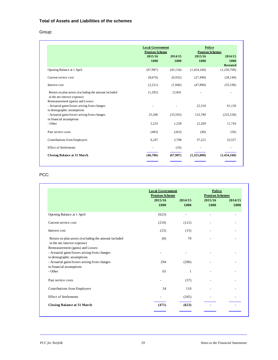# **Total of Assets and Liabilities of the schemes**

# Group:

|                                                                                                                  | <b>Local Government</b><br><b>Pension Scheme</b> |                 | Police<br><b>Pension Schemes</b> |                                    |
|------------------------------------------------------------------------------------------------------------------|--------------------------------------------------|-----------------|----------------------------------|------------------------------------|
|                                                                                                                  | 2015/16<br>£000                                  | 2014/15<br>£000 | 2015/16<br>£000                  | 2014/15<br>£000<br><b>Restated</b> |
| Opening Balance at 1 April                                                                                       | (67,987)                                         | (45, 134)       | (1,454,160)                      | (1,250,700)                        |
| Current service cost                                                                                             | (8,676)                                          | (6.932)         | (27, 490)                        | (28, 140)                          |
| Interest cost                                                                                                    | (2,221)                                          | (1,946)         | (47, 890)                        | (55,190)                           |
| Return on plan assets (excluding the amount included<br>in the net interest expense)                             | (1,205)                                          | 12,841          |                                  |                                    |
| Remeasurement (gains) and Losses:<br>- Actuarial gains/losses arising from changes<br>in demographic assumptions |                                                  |                 | 22,310                           | 61,150                             |
| - Actuarial gains/losses arising from changes<br>in financial assumptions                                        | 25,306                                           | (33,593)        | 132,780                          | (225, 530)                         |
| - Other                                                                                                          | 2,233                                            | 1,258           | 12,269                           | 11,743                             |
| Past service costs                                                                                               | (483)                                            | (263)           | (40)                             | (50)                               |
| Contributions from Employers                                                                                     | 6,247                                            | 5,798           | 37,221                           | 32,557                             |
| <b>Effect of Settlements</b>                                                                                     |                                                  | (16)            |                                  |                                    |
| <b>Closing Balance at 31 March</b>                                                                               | (46, 786)                                        | (67,987)        | (1,325,000)                      | (1,454,160)                        |

## PCC:

|                                                                                                         | <b>Local Government</b><br><b>Pension Scheme</b> |                 | Police<br><b>Pension Schemes</b> |                 |
|---------------------------------------------------------------------------------------------------------|--------------------------------------------------|-----------------|----------------------------------|-----------------|
|                                                                                                         | 2015/16<br>£000                                  | 2014/15<br>£000 | 2015/16<br>£000                  | 2014/15<br>£000 |
| Opening Balance at 1 April                                                                              | (623)                                            | ÷               | $\overline{a}$                   |                 |
| Current service cost                                                                                    | (210)                                            | (121)           |                                  |                 |
| Interest cost                                                                                           | (23)                                             | (15)            |                                  |                 |
| Return on plan assets (excluding the amount included<br>in the net interest expense)                    | (8)                                              | 70              |                                  |                 |
| Remeasurement (gains) and Losses:<br>- Actuarial gains/losses arising from changes                      |                                                  |                 |                                  |                 |
| in demographic assumptions<br>- Actuarial gains/losses arising from changes<br>in financial assumptions | 294                                              | (286)           |                                  |                 |
| - Other                                                                                                 | 65                                               | 1               |                                  |                 |
| Past service costs                                                                                      |                                                  | (37)            |                                  |                 |
| Contributions from Employers                                                                            | 34                                               | 110             |                                  |                 |
| <b>Effect of Settlements</b>                                                                            |                                                  | (345)           |                                  |                 |
| <b>Closing Balance at 31 March</b>                                                                      | (471)                                            | (623)           |                                  |                 |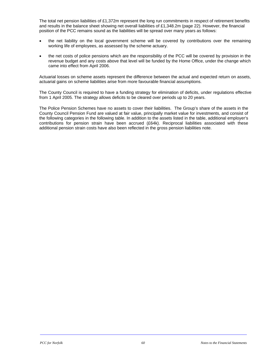The total net pension liabilities of £1,372m represent the long run commitments in respect of retirement benefits and results in the balance sheet showing net overall liabilities of £1,348.2m (page 22). However, the financial position of the PCC remains sound as the liabilities will be spread over many years as follows:

- the net liability on the local government scheme will be covered by contributions over the remaining working life of employees, as assessed by the scheme actuary.
- the net costs of police pensions which are the responsibility of the PCC will be covered by provision in the revenue budget and any costs above that level will be funded by the Home Office, under the change which came into effect from April 2006.

Actuarial losses on scheme assets represent the difference between the actual and expected return on assets, actuarial gains on scheme liabilities arise from more favourable financial assumptions.

The County Council is required to have a funding strategy for elimination of deficits, under regulations effective from 1 April 2005. The strategy allows deficits to be cleared over periods up to 20 years.

The Police Pension Schemes have no assets to cover their liabilities. The Group's share of the assets in the County Council Pension Fund are valued at fair value, principally market value for investments, and consist of the following categories in the following table. In addition to the assets listed in the table, additional employer's contributions for pension strain have been accrued (£64k). Reciprocal liabilities associated with these additional pension strain costs have also been reflected in the gross pension liabilities note.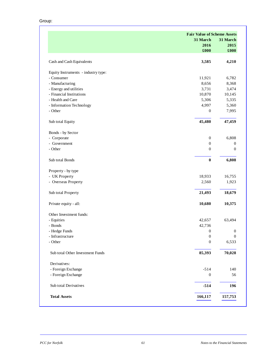Group:

|                                     | <b>Fair Value of Scheme Assets</b> |                  |
|-------------------------------------|------------------------------------|------------------|
|                                     | 31 March                           | 31 March         |
|                                     | 2016                               | 2015             |
|                                     | £000                               | £000             |
| Cash and Cash Equivalents           | 3,585                              | 4,210            |
| Equity Instruments - industry type: |                                    |                  |
| - Consumer                          | 11,921                             | 6,782            |
| - Manufacturing                     | 8,656                              | 8,368            |
| - Energy and utilities              | 3,731                              | 3,474            |
| - Financial Institutions            | 10,870                             | 10,145           |
| - Health and Care                   | 5,306                              | 5,335            |
| - Information Technology            | 4,997                              | 5,360            |
| - Other                             | $\mathbf{0}$                       | 7,995            |
| Sub total Equity                    | 45,480                             | 47,459           |
| Bonds - by Sector                   |                                    |                  |
| - Corporate                         | $\boldsymbol{0}$                   | 6,808            |
| - Government                        | $\boldsymbol{0}$                   | $\boldsymbol{0}$ |
| - Other                             | $\boldsymbol{0}$                   | $\overline{0}$   |
| Sub total Bonds                     | $\pmb{0}$                          | 6,808            |
| Property - by type                  |                                    |                  |
| - UK Property                       | 18,933                             | 16,755           |
| - Overseas Property                 | 2,560                              | 1,923            |
| Sub total Property                  | 21,493                             | 18,679           |
| Private equity - all:               | 10,680                             | 10,375           |
| Other Investment funds:             |                                    |                  |
| - Equities                          | 42,657                             | 63,494           |
| - Bonds                             | 42,736                             |                  |
| - Hedge Funds                       | $\boldsymbol{0}$                   | $\boldsymbol{0}$ |
| - Infrastructure                    | $\boldsymbol{0}$                   | $\boldsymbol{0}$ |
| - Other                             | $\boldsymbol{0}$                   | 6,533            |
| Sub total Other Investment Funds    | 85,393                             | 70,028           |
| Derivatives:                        |                                    |                  |
| - Foreign Exchange                  | $-514$                             | 140              |
| - Foreign Exchange                  | $\boldsymbol{0}$                   | 56               |
| Sub total Derivatives               | $-514$                             | 196              |
| <b>Total Assets</b>                 | 166,117                            | 157,753          |
|                                     |                                    |                  |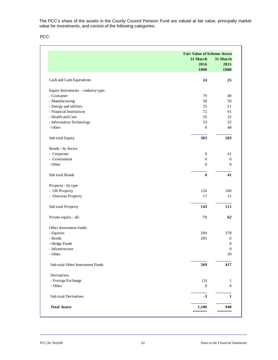The PCC's share of the assets in the County Council Pension Fund are valued at fair value, principally market value for investments, and consist of the following categories:

PCC:

|                                                    | <b>Fair Value of Scheme Assets</b> |                  |
|----------------------------------------------------|------------------------------------|------------------|
|                                                    | 31 March                           | 31 March         |
|                                                    | 2016                               | 2015             |
|                                                    | £000                               | £000             |
| Cash and Cash Equivalents                          | 24                                 | 25               |
|                                                    |                                    |                  |
| Equity Instruments - industry type:                |                                    |                  |
| - Consumer<br>- Manufacturing                      | 79                                 | 40               |
|                                                    | 58<br>25                           | 50<br>21         |
| - Energy and utilities<br>- Financial Institutions | 72                                 | 61               |
| - Health and Care                                  | 35                                 | 32               |
| - Information Technology                           | 33                                 | 32               |
| - Other                                            |                                    | 48               |
|                                                    | $\mathbf{0}$                       |                  |
| Sub total Equity                                   | 303                                | 283              |
| Bonds - by Sector                                  |                                    |                  |
| - Corporate                                        | $\mathbf{0}$                       | 41               |
| - Government                                       | $\mathbf{0}$                       | $\mathbf{0}$     |
| - Other                                            | $\overline{0}$                     | $\overline{0}$   |
| Sub total Bonds                                    | $\bf{0}$                           | 41               |
| Property - by type                                 |                                    |                  |
| - UK Property                                      | 126                                | 100              |
| - Overseas Property                                | 17                                 | 12               |
| Sub total Property                                 | 143                                | 111              |
| Private equity - all:                              | 71                                 | 62               |
| Other Investment funds:                            |                                    |                  |
| - Equities                                         | 284                                | 378              |
| - Bonds                                            | 285                                | $\boldsymbol{0}$ |
| - Hedge Funds                                      |                                    | $\overline{0}$   |
| Infrastructure                                     |                                    | $\boldsymbol{0}$ |
| - Other                                            |                                    | 39               |
| Sub total Other Investment Funds                   | 569                                | 417              |
| Derivatives:                                       |                                    |                  |
| - Foreign Exchange                                 | (3)                                | 1                |
| - Other                                            | $\mathbf{0}$                       | $\overline{0}$   |
| Sub total Derivatives                              | $-3$                               | $\mathbf{1}$     |
|                                                    |                                    |                  |
| <b>Total Assets</b>                                | 1,106                              | 940              |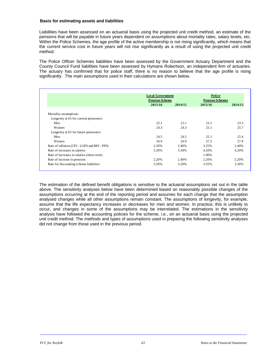#### **Basis for estimating assets and liabilities**

Liabilities have been assessed on an actuarial basis using the projected unit credit method, an estimate of the pensions that will be payable in future years dependent on assumptions about mortality rates, salary levels, etc. Within the Police Schemes, the age profile of the active membership is not rising significantly, which means that the current service cost in future years will not rise significantly as a result of using the projected unit credit method.

The Police Officer Schemes liabilities have been assessed by the Government Actuary Department and the County Council Fund liabilities have been assessed by Hymans Robertson, an independent firm of actuaries. The actuary has confirmed that for police staff, there is no reason to believe that the age profile is rising significantly. The main assumptions used in their calculations are shown below.

|                                              | <b>Local Government</b><br><b>Pension Scheme</b> |         | Police<br><b>Pension Schemes</b> |         |
|----------------------------------------------|--------------------------------------------------|---------|----------------------------------|---------|
|                                              |                                                  |         |                                  |         |
|                                              | 2015/16                                          | 2014/15 | 2015/16                          | 2014/15 |
| Mortality assumptions:                       |                                                  |         |                                  |         |
| Longevity at 65 for current pensioners       |                                                  |         |                                  |         |
| Men                                          | 22.1                                             | 22.1    | 23.1                             | 23.3    |
| Women                                        | 24.3                                             | 24.3    | 25.1                             | 25.7    |
| Longevity at 65 for future pensioners        |                                                  |         |                                  |         |
| Men                                          | 24.5                                             | 24.5    | 25.1                             | 25.4    |
| Women                                        | 26.9                                             | 26.9    | 27.2                             | 27.9    |
| Rate of inflation (CPI - LGPS and RPI - PPS) | 2.20%                                            | 2.40%   | 3.35%                            | 2.40%   |
| Rate of increases in salaries                | 3.20%                                            | 3.30%   | 4.20%                            | 4.20%   |
| Rate of increases in salaries (short term)   |                                                  |         | 1.00%                            |         |
| Rate of increase in pensions                 | 2.20%                                            | 2.40%   | 2.20%                            | 2.20%   |
| Rate for discounting scheme liabilities      | 3.50%                                            | 3.20%   | 3.55%                            | 3.30%   |

The estimation of the defined benefit obligations is sensitive to the actuarial assumptions set out in the table above. The sensitivity analyses below have been determined based on reasonably possible changes of the assumptions occurring at the end of the reporting period and assumes for each change that the assumption analysed changes while all other assumptions remain constant. The assumptions of longevity, for example, assume that the life expectancy increases or decreases for men and women. In practice, this is unlikely to occur, and changes in some of the assumptions may be interrelated. The estimations in the sensitivity analysis have followed the accounting policies for the scheme, i.e., on an actuarial basis using the projected unit credit method. The methods and types of assumptions used in preparing the following sensitivity analyses did not change from those used in the previous period.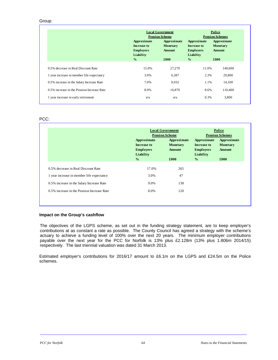## Group:

|                                            | Approximate<br><b>Increase to</b><br><b>Employers</b><br>Liability<br>$\frac{0}{0}$ | <b>Local Government</b><br><b>Pension Scheme</b><br>Approximate<br><b>Monetary</b><br><b>Amount</b><br>£000 | Approximate<br><b>Increase to</b><br><b>Employers</b><br>Liability<br>$\frac{0}{2}$ | Police<br><b>Pension Schemes</b><br>Approximate<br>Monetary<br><b>Amount</b><br>£000 |
|--------------------------------------------|-------------------------------------------------------------------------------------|-------------------------------------------------------------------------------------------------------------|-------------------------------------------------------------------------------------|--------------------------------------------------------------------------------------|
| 0.5% decrease in Real Discount Rate        | 15.0%                                                                               | 27,270                                                                                                      | 11.0%                                                                               | 140,600                                                                              |
| 1 year increase in member life expectancy  | 3.0%                                                                                | 6,387                                                                                                       | 2.3%                                                                                | 29,800                                                                               |
| 0.5% increase in the Salary Increase Rate  | 7.0%                                                                                | 9,932                                                                                                       | 1.1%                                                                                | 14,100                                                                               |
| 0.5% increase in the Pension Increase Rate | 8.0%                                                                                | 16,870                                                                                                      | 8.6%                                                                                | 110,400                                                                              |
| 1 year increase in early retirement        | n/a                                                                                 | n/a                                                                                                         | 0.3%                                                                                | 3,800                                                                                |

PCC:

|                                            |                                                             | <b>Local Government</b><br><b>Pension Scheme</b> |                                                             | Police<br><b>Pension Schemes</b>                |
|--------------------------------------------|-------------------------------------------------------------|--------------------------------------------------|-------------------------------------------------------------|-------------------------------------------------|
|                                            | Approximate<br>Increase to<br><b>Employers</b><br>Liability | Approximate<br><b>Monetary</b><br><b>Amount</b>  | Approximate<br>Increase to<br><b>Employers</b><br>Liability | Approximate<br><b>Monetary</b><br><b>Amount</b> |
|                                            | $\frac{0}{0}$                                               | £000                                             | $\frac{0}{2}$                                               | £000                                            |
| 0.5% decrease in Real Discount Rate        | 17.0%                                                       | 265                                              |                                                             |                                                 |
| 1 year increase in member life expectancy  | 3.0%                                                        | 47                                               |                                                             |                                                 |
| 0.5% increase in the Salary Increase Rate  | 9.0%                                                        | 138                                              |                                                             |                                                 |
| 0.5% increase in the Pension Increase Rate | 8.0%                                                        | 120                                              |                                                             |                                                 |

## **Impact on the Group's cashflow**

The objectives of the LGPS scheme, as set out in the funding strategy statement, are to keep employer's contributions at as constant a rate as possible. The County Council has agreed a strategy with the scheme's actuary to achieve a funding level of 100% over the next 20 years. The minimum employer contributions payable over the next year for the PCC for Norfolk is 13% plus £2.128m (13% plus 1.806m 2014/15) respectively. The last triennial valuation was dated 31 March 2013.

Estimated employer's contributions for 2016/17 amount to £6.1m on the LGPS and £24.5m on the Police schemes.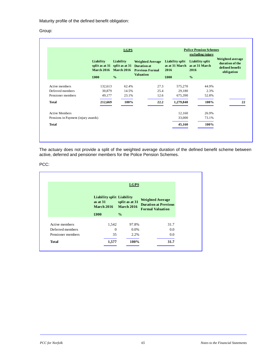Maturity profile of the defined benefit obligation:

## Group:

|                                     | <b>LGPS</b>                    |                                                                     |                                                                                             | <b>Police Pension Schemes</b><br>excluding injury |                                           |                                                                      |
|-------------------------------------|--------------------------------|---------------------------------------------------------------------|---------------------------------------------------------------------------------------------|---------------------------------------------------|-------------------------------------------|----------------------------------------------------------------------|
|                                     | Liability<br><b>March 2016</b> | Liability<br>split as at $31$ split as at $31$<br><b>March 2016</b> | <b>Weighted Average</b><br><b>Duration</b> at<br><b>Previous Formal</b><br><b>Valuation</b> | Liability split<br>as at 31 March<br>2016         | Liability split<br>as at 31 March<br>2016 | Weighted average<br>duration of the<br>defined benefit<br>obligation |
|                                     | £000                           | $\frac{0}{0}$                                                       |                                                                                             | £000                                              | $\frac{0}{0}$                             |                                                                      |
| Active members                      | 132,613                        | 62.4%                                                               | 27.3                                                                                        | 575,270                                           | 44.9%                                     |                                                                      |
| Deferred members                    | 30,879                         | 14.5%                                                               | 25.4                                                                                        | 29,180                                            | 2.3%                                      |                                                                      |
| Pensioner members                   | 49,177                         | 23.1%                                                               | 12.6                                                                                        | 675,390                                           | 52.8%                                     |                                                                      |
| <b>Total</b>                        | 212,669                        | 100%                                                                | 22.2                                                                                        | 1,279,840                                         | 100%                                      | 22                                                                   |
| <b>Active Members</b>               |                                |                                                                     |                                                                                             | 12,160                                            | 26.9%                                     |                                                                      |
| Pensions in Payment (injury awards) |                                |                                                                     |                                                                                             | 33,000                                            | 73.1%                                     |                                                                      |
| <b>Total</b>                        |                                |                                                                     |                                                                                             | 45,160                                            | 100%                                      |                                                                      |

The actuary does not provide a split of the weighted average duration of the defined benefit scheme between active, deferred and pensioner members for the Police Pension Schemes.

## PCC:

|                   |                                                                     | <b>LGPS</b>                         |                                                                                   |
|-------------------|---------------------------------------------------------------------|-------------------------------------|-----------------------------------------------------------------------------------|
|                   | <b>Liability split Liability</b><br>as at $31$<br><b>March 2016</b> | split as at 31<br><b>March 2016</b> | <b>Weighted Average</b><br><b>Duration at Previous</b><br><b>Formal Valuation</b> |
|                   | £000                                                                | $\frac{0}{0}$                       |                                                                                   |
| Active members    | 1,542                                                               | 97.8%                               | 31.7                                                                              |
| Deferred members  | $\Omega$                                                            | 0.0%                                | 0.0                                                                               |
| Pensioner members | 35                                                                  | 2.2%                                | 0.0                                                                               |
| <b>Total</b>      | 1,577                                                               | 100%                                | 31.7                                                                              |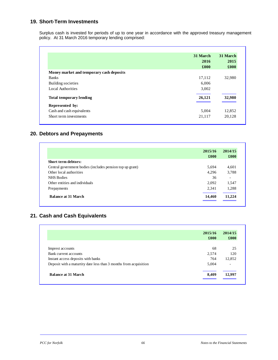# **19. Short-Term Investments**

Surplus cash is invested for periods of up to one year in accordance with the approved treasury management policy. At 31 March 2016 temporary lending comprised:

|                                          | 31 March<br>2016<br>£000 | 31 March<br>2015<br>£000 |
|------------------------------------------|--------------------------|--------------------------|
| Money market and temporary cash deposits |                          |                          |
| <b>Banks</b>                             | 17,112                   | 32,980                   |
| Building societies                       | 6,006                    |                          |
| Local Authorities                        | 3,002                    |                          |
| <b>Total temporary lending</b>           | 26,121                   | 32,980                   |
| Represented by:                          |                          |                          |
| Cash and cash equivalents                | 5,004                    | 12,852                   |
| Short term investments                   | 21,117                   | 20,128                   |

# **20. Debtors and Prepayments**

|                                                           | 2015/16 | 2014/15                  |
|-----------------------------------------------------------|---------|--------------------------|
|                                                           | £000    | £000                     |
| <b>Short term debtors:</b>                                |         |                          |
| Central government bodies (includes pension top up grant) | 5.694   | 4,601                    |
| Other local authorities                                   | 4.296   | 3,788                    |
| <b>NHS Bodies</b>                                         | 36      | $\overline{\phantom{0}}$ |
| Other entities and individuals                            | 2.092   | 1,547                    |
| Prepayments                                               | 2.341   | 1,288                    |
| <b>Balance at 31 March</b>                                | 14,460  | 11,224                   |

# **21. Cash and Cash Equivalents**

|                                                                  | 2015/16 | 2014/15                  |
|------------------------------------------------------------------|---------|--------------------------|
|                                                                  | £000    | $\pounds 000$            |
| Imprest accounts                                                 | 68      | 25                       |
| Bank current accounts                                            | 2,574   | 120                      |
| Instant access deposits with banks                               | 764     | 12,852                   |
| Deposit with a maturity date less than 3 months from acquisition | 5,004   | $\overline{\phantom{a}}$ |
| <b>Balance at 31 March</b>                                       | 8,409   | 12,997                   |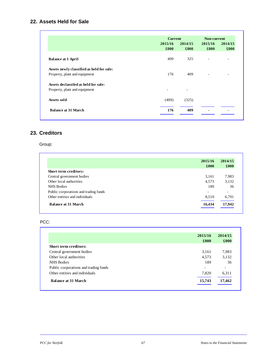# **22. Assets Held for Sale**

|                                           | <b>Current</b>  |                          | Non-current     |                          |
|-------------------------------------------|-----------------|--------------------------|-----------------|--------------------------|
|                                           | 2015/16<br>£000 | 2014/15<br>£000          | 2015/16<br>£000 | 2014/15<br>£000          |
| <b>Balance at 1 April</b>                 | 409             | 325                      | ٠               | $\overline{\phantom{0}}$ |
| Assets newly classified as held for sale: |                 |                          |                 |                          |
| Property, plant and equipment             | 176             | 409                      |                 | $\overline{\phantom{0}}$ |
| Assets declassifed as held for sale:      |                 |                          |                 |                          |
| Property, plant and equipment             |                 | $\overline{\phantom{a}}$ |                 |                          |
| Assets sold                               | (409)           | (325)                    |                 |                          |
| <b>Balance at 31 March</b>                | 176             | 409                      |                 |                          |

# **23. Creditors**

# Group:

|                                       | 2015/16 | 2014/15                  |
|---------------------------------------|---------|--------------------------|
|                                       | £000    | £000                     |
| <b>Short term creditors:</b>          |         |                          |
| Central government bodies             | 3,161   | 7,983                    |
| Other local authorities               | 4,573   | 3,132                    |
| <b>NHS Bodies</b>                     | 189     | 36                       |
| Public corporations and trading funds |         | $\overline{\phantom{a}}$ |
| Other entities and individuals        | 8.510   | 6,791                    |
| <b>Balance at 31 March</b>            | 16,434  | 17,942                   |

## PCC:

|                                       | 2015/16 | 2014/15<br>£000 |
|---------------------------------------|---------|-----------------|
|                                       | £000    |                 |
| <b>Short term creditors:</b>          |         |                 |
| Central government bodies             | 3,161   | 7,983           |
| Other local authorities               | 4,573   | 3,132           |
| <b>NHS</b> Bodies                     | 189     | 36              |
| Public corporations and trading funds | -       | -               |
| Other entities and individuals        | 7,820   | 6,311           |
| <b>Balance at 31 March</b>            | 15,743  | 17,462          |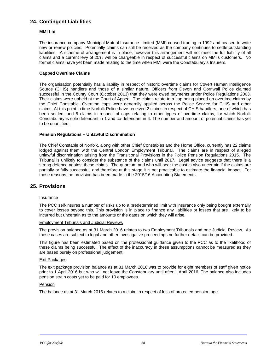# **24. Contingent Liabilities**

#### **MMI Ltd**

The insurance company Municipal Mutual Insurance Limited (MMI) ceased trading in 1992 and ceased to write new or renew policies. Potentially claims can still be received as the company continues to settle outstanding liabilities. A scheme of arrangement is in place, however this arrangement will not meet the full liability of all claims and a current levy of 25% will be chargeable in respect of successful claims on MMI's customers. No formal claims have yet been made relating to the time when MMI were the Constabulary's Insurers.

## **Capped Overtime Claims**

The organisation potentially has a liability in respect of historic overtime claims for Covert Human Intelligence Source (CHIS) handlers and those of a similar nature. Officers from Devon and Cornwall Police claimed successful in the County Court (October 2013) that they were owed payments under Police Regulations 2003. Their claims were upheld at the Court of Appeal. The claims relate to a cap being placed on overtime claims by the Chief Constable. Overtime caps were generally applied across the Police Service for CHIS and other claims. At this point in time Norfolk Police have received 2 claims in respect of CHIS handlers, one of which has been settled, and 5 claims in respect of caps relating to other types of overtime claims, for which Norfolk Constabulary is sole defendant in 1 and co-defendant in 4. The number and amount of potential claims has yet to be quantified.

## **Pension Regulations – Unlawful Discrimination**

The Chief Constable of Norfolk, along with other Chief Constables and the Home Office, currently has 22 claims lodged against them with the Central London Employment Tribunal. The claims are in respect of alleged unlawful discrimination arising from the Transitional Provisions in the Police Pension Regulations 2015. The Tribunal is unlikely to consider the substance of the claims until 2017. Legal advice suggests that there is a strong defence against these claims. The quantum and who will bear the cost is also uncertain if the claims are partially or fully successful, and therefore at this stage it is not practicable to estimate the financial impact. For these reasons, no provision has been made in the 2015/16 Accounting Statements.

# **25. Provisions**

#### Insurance

The PCC self-insures a number of risks up to a predetermined limit with insurance only being bought externally to cover losses beyond this. This provision is in place to finance any liabilities or losses that are likely to be incurred but uncertain as to the amounts or the dates on which they will arise.

#### Employment Tribunals and Judicial Reviews

The provision balance as at 31 March 2016 relates to two Employment Tribunals and one Judicial Review. As these cases are subject to legal and other investigative proceedings no further details can be provided.

This figure has been estimated based on the professional guidance given to the PCC as to the likelihood of these claims being successful. The effect of the inaccuracy in these assumptions cannot be measured as they are based purely on professional judgement.

#### Exit Packages

The exit package provision balance as at 31 March 2016 was to provide for eight members of staff given notice prior to 1 April 2016 but who will not leave the Constabulary until after 1 April 2016. The balance also includes pension strain costs yet to be paid for 10 employees.

#### Pension

The balance as at 31 March 2016 relates to a claim in respect of loss of protected pension age.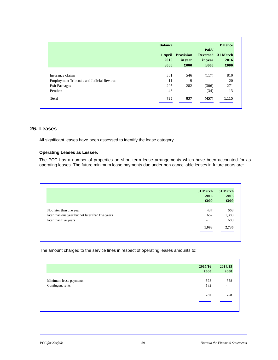|                                           | <b>Balance</b> |                   |                 | <b>Balance</b>   |
|-------------------------------------------|----------------|-------------------|-----------------|------------------|
|                                           |                |                   | Paid/           | 31 March<br>2016 |
|                                           |                | 1 April Provision | <b>Reversed</b> |                  |
|                                           | 2015           | in year           | in year         |                  |
|                                           | £000           | £000              | £000            | £000             |
|                                           |                |                   |                 |                  |
| Insurance claims                          | 381            | 546               | (117)           | 810              |
| Employment Tribunals and Judicial Reviews | 11             | 9                 | ۰               | 20               |
| Exit Packages                             | 295            | 282               | (306)           | 271              |
| Pension                                   | 48             | ٠                 | (34)            | 13               |
| <b>Total</b>                              | 735            | 837               | (457)           | 1,115            |

# **26. Leases**

All significant leases have been assessed to identify the lease category.

## **Operating Leases as Lessee:**

The PCC has a number of properties on short term lease arrangements which have been accounted for as operating leases. The future minimum lease payments due under non-cancellable leases in future years are:

|                                                   | 31 March<br>2016<br>£000 | 31 March<br>2015<br>£000 |
|---------------------------------------------------|--------------------------|--------------------------|
|                                                   |                          |                          |
| Not later than one year                           | 437                      | 668                      |
| later than one year but not later than five years | 657                      | 1,388                    |
| later than five years                             |                          | 680                      |
|                                                   | 1,093                    | 2,736                    |

The amount charged to the service lines in respect of operating leases amounts to:

| Minimum lease payments | £000 | £000                     |
|------------------------|------|--------------------------|
|                        |      |                          |
|                        |      |                          |
|                        | 598  | 758                      |
| Contingent rents       | 182  | $\overline{\phantom{a}}$ |
|                        | 780  | 758                      |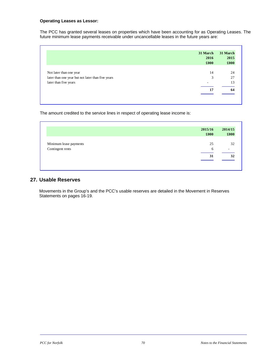## **Operating Leases as Lessor:**

The PCC has granted several leases on properties which have been accounting for as Operating Leases. The future minimum lease payments receivable under uncancellable leases in the future years are:

|                                                   | 31 March<br>2016<br>£000 | 31 March<br>2015<br>£000 |
|---------------------------------------------------|--------------------------|--------------------------|
| Not later than one year                           | 14                       | 24                       |
| later than one year but not later than five years | 3                        | 27                       |
| later than five years                             |                          | 13                       |
|                                                   | 17                       | 64                       |

The amount credited to the service lines in respect of operating lease income is:

|                        | 2015/16<br>£000 | 2014/15<br>£000 |
|------------------------|-----------------|-----------------|
| Minimum lease payments | 25              | 32              |
| Contingent rents       | 6               | ۰               |
|                        | 31              | 32              |

# **27. Usable Reserves**

Movements in the Group's and the PCC's usable reserves are detailed in the Movement in Reserves Statements on pages 16-19.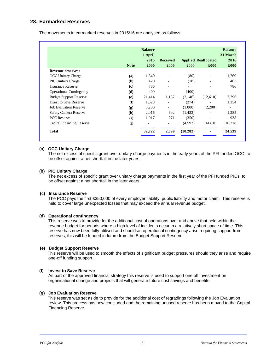# **28. Earmarked Reserves**

The movements in earmarked reserves in 2015/16 are analysed as follows:

|                                |             | <b>Balance</b><br>1 April<br>2015<br><b>Applied Reallocated</b><br><b>Received</b> |                          |           |                          | <b>Balance</b><br>31 March<br>2016 |  |
|--------------------------------|-------------|------------------------------------------------------------------------------------|--------------------------|-----------|--------------------------|------------------------------------|--|
|                                | <b>Note</b> | £000                                                                               | £000                     | £000      | £000                     | $\pmb{\pounds}000$                 |  |
| Revenue reserves:              |             |                                                                                    |                          |           |                          |                                    |  |
| <b>OCC Unitary Charge</b>      | (a)         | 1,840                                                                              |                          | (80)      |                          | 1,760                              |  |
| <b>PIC Unitary Charge</b>      | (b)         | 420                                                                                |                          | (18)      |                          | 402                                |  |
| <b>Insurance Reserve</b>       | (c)         | 786                                                                                |                          |           | $\overline{\phantom{a}}$ | 786                                |  |
| <b>Operational Contingency</b> | (d)         | 400                                                                                |                          | (400)     |                          | $\overline{\phantom{0}}$           |  |
| <b>Budget Support Reserve</b>  | (e)         | 21,414                                                                             | 1,137                    | (2,146)   | (12,610)                 | 7,796                              |  |
| <b>Invest to Save Reserve</b>  | (f)         | 1,628                                                                              |                          | (274)     |                          | 1,354                              |  |
| <b>Job Evaluation Reserve</b>  | (g)         | 3,200                                                                              | $\overline{\phantom{a}}$ | (1,000)   | (2,200)                  | -                                  |  |
| Safety Camera Reserve          | (h)         | 2,016                                                                              | 692                      | (1,422)   |                          | 1,285                              |  |
| <b>PCC</b> Reserve             | (i)         | 1,017                                                                              | 271                      | (350)     | $\overline{\phantom{a}}$ | 938                                |  |
| Capital Financing Reserve      | (i)         | -                                                                                  |                          | (4,592)   | 14,810                   | 10,218                             |  |
| Total                          |             | 32,722                                                                             | 2,099                    | (10, 282) |                          | 24,539                             |  |

# **(a) OCC Unitary Charge**

The net excess of specific grant over unitary charge payments in the early years of the PFI funded OCC, to be offset against a net shortfall in the later years.

# **(b) PIC Unitary Charge**

The net excess of specific grant over unitary charge payments in the first year of the PFI funded PICs, to be offset against a net shortfall in the later years.

# **(c) Insurance Reserve**

The PCC pays the first £350,000 of every employer liability, public liability and motor claim. This reserve is held to cover large unexpected losses that may exceed the annual revenue budget.

# **(d) Operational contingency**

This reserve was to provide for the additional cost of operations over and above that held within the revenue budget for periods where a high level of incidents occur in a relatively short space of time. This reserve has now been fully utilised and should an operational contingency arise requiring support from reserves, this will be funded in future from the Budget Support Reserve.

# **(e) Budget Support Reserve**

 This reserve will be used to smooth the effects of significant budget pressures should they arise and require one-off funding support.

# **(f) Invest to Save Reserve**

As part of the approved financial strategy this reserve is used to support one off investment on organisational change and projects that will generate future cost savings and benefits.

# **(g) Job Evaluation Reserve**

 This reserve was set aside to provide for the additional cost of regradings following the Job Evaluation review. This process has now concluded and the remaining unused reserve has been moved to the Capital Financing Reserve.

L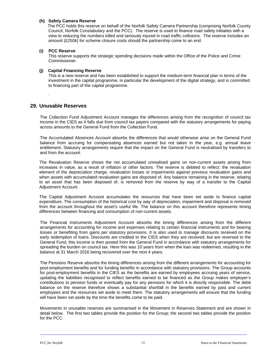# **(h) Safety Camera Reserve**

 The PCC holds this reserve on behalf of the Norfolk Safety Camera Partnership (comprising Norfolk County Council, Norfolk Constabulary and the PCC). The reserve is used to finance road safety initiaties with a view to reducing the numbers killed and seriously injured in road traffic collisions. The reserve includes an amount (£250k) for scheme closure costs should the partnership come to an end.

# **(i) PCC Reserve**

This reserve supports the strategic spending decisions made within the Office of the Police and Crime Commissioner.

# **(j) Capital Financing Reserve**

This is a new reserve and has been established to support the medium-term financial plan in terms of the investment in the capital programme, in particular the development of the digital strategy, and is committed to financing part of the capital programme.

# **29. Unusable Reserves**

.

The Collection Fund Adjustment Account manages the differences arising from the recognition of council tax income in the CIES as it falls due from council tax payers compared with the statutory arrangements for paying across amounts to the General Fund from the Collection Fund.

The Accumulated Absences Account absorbs the differences that would otherwise arise on the General Fund balance from accruing for compensating absences earned but not taken in the year, e.g. annual leave entitlement. Statutory arrangements require that the impact on the General Fund is neutralised by transfers to and from the account.

The Revaluation Reserve shows the net accumulated unrealised gains on non-current assets arising from increases in value, as a result of inflation or other factors. The reserve is debited to reflect: the revaluation element of the depreciation charge, revaluation losses or impairments against previous revaluation gains and when assets with accumulated revaluation gains are disposed of. Any balance remaining in the reserve, relating to an asset that has been disposed of, is removed from the reserve by way of a transfer to the Capital Adjustment Account.

The Capital Adjustment Account accumulates the resources that have been set aside to finance capital expenditure. The consumption of the historical cost by way of depreciation, impairment and disposal is removed from the account throughout the asset's useful life. The balance on this account therefore represents timing differences between financing and consumption of non-current assets.

The Financial Instruments Adjustment Account absorbs the timing differences arising from the different arrangements for accounting for income and expenses relating to certain financial instruments and for bearing losses or benefiting from gains per statutory provisions. It is also used to manage discounts received on the early redemption of loans. Discounts are credited to the CIES when they are received, but are reversed to the General Fund, this income is then posted from the General Fund in accordance with statutory arrangements for spreading the burden on council tax. Here this was 10 years from when the loan was redeemed, resulting in the balance at 31 March 2016 being recovered over the next 4 years.

The Pensions Reserve absorbs the timing differences arising from the different arrangements for accounting for post-employment benefits and for funding benefits in accordance with statutory provisions. The Group accounts for post-employment benefits in the CIES as the benefits are earned by employees accruing years of service, updating the liabilities recognised to reflect benefits earned to be financed as the Group makes employer's contributions to pension funds or eventually pay for any pensions for which it is directly responsible. The debit balance on the reserve therefore shows a substantial shortfall in the benefits earned by past and current employees and the resources set aside to meet them. The statutory arrangements will ensure that the funding will have been set aside by the time the benefits come to be paid.

Movements in unusable reserves are summarised in the Movement in Reserves Statement and are shown in detail below. The first two tables provide the position for the Group; the second two tables provide the position for the PCC.

L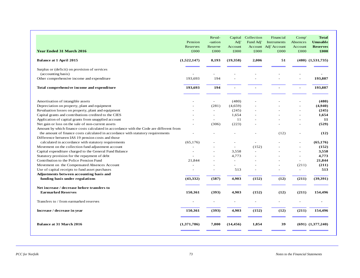| <b>Year Ended 31 March 2016</b>                                                         | Pension<br>Reserves<br>£000 | Reval-<br>-uation<br>Reserve<br>£000 | Capital<br>Adj'<br>Account<br>£000 | Collection<br>Fund Adj'<br>£000 | Financial<br>Instruments<br>Account Adj' Account<br>£000 | Comp'<br>Absences<br>Account<br>£000 | <b>Total</b><br><b>Unusable</b><br><b>Reserves</b><br>£000 |
|-----------------------------------------------------------------------------------------|-----------------------------|--------------------------------------|------------------------------------|---------------------------------|----------------------------------------------------------|--------------------------------------|------------------------------------------------------------|
| <b>Balance at 1 April 2015</b>                                                          | (1,522,147)                 | 8,193                                | (19,358)                           | 2,006                           | 51                                                       |                                      | $(480)$ $(1,531,735)$                                      |
| Surplus or (deficit) on provision of services<br>(accounting basis)                     |                             |                                      |                                    |                                 |                                                          |                                      |                                                            |
| Other comprehensive income and expenditure                                              | 193,693                     | 194                                  |                                    |                                 |                                                          | $\sim$                               | 193,887                                                    |
| Total comprehensive income and expenditure                                              | 193,693                     | 194                                  |                                    |                                 |                                                          |                                      | 193,887                                                    |
| Amortisation of intangible assets                                                       |                             |                                      | (480)                              |                                 |                                                          |                                      | (480)                                                      |
| Depreciation on property, plant and equipment                                           |                             | (281)                                | (4,659)                            |                                 |                                                          | $\overline{a}$                       | (4,940)                                                    |
| Revaluation losses on property, plant and equipment                                     |                             |                                      | (245)                              |                                 |                                                          |                                      | (245)                                                      |
| Capital grants and contributions credited to the CIES                                   |                             |                                      | 1,654                              |                                 |                                                          |                                      | 1,654                                                      |
| Application of capital grants from unapplied account                                    |                             | $\overline{a}$                       | 11                                 |                                 |                                                          | $\overline{\phantom{a}}$             | 11                                                         |
| Net gain or loss on the sale of non-current assets                                      |                             | (306)                                | (223)                              |                                 |                                                          |                                      | (529)                                                      |
| Amount by which finance costs calculated in accordance with the Code are different from |                             |                                      |                                    |                                 |                                                          |                                      |                                                            |
| the amount of finance costs calculated in accordance with statutory requirements        |                             |                                      |                                    |                                 | (12)                                                     |                                      | (12)                                                       |
| Difference between IAS 19 pension costs and those                                       |                             |                                      |                                    |                                 |                                                          |                                      |                                                            |
| calculated in accordance with statutory requirements                                    | (65.176)                    |                                      | $\overline{a}$                     | $\overline{a}$                  |                                                          |                                      | (65, 176)                                                  |
| Movement on the collection fund adjustment account                                      |                             |                                      | $\sim$                             | (152)                           |                                                          |                                      | (152)                                                      |
| Capital expenditure charged to the General Fund Balance                                 |                             |                                      | 3,558                              |                                 |                                                          |                                      | 3,558                                                      |
| Statutory provision for the repayment of debt                                           |                             |                                      | 4,773                              |                                 |                                                          | $\sim$                               | 4,773                                                      |
| Contribution to the Police Pension Fund                                                 | 21,844                      | $\overline{\phantom{a}}$             | $\sim$                             |                                 |                                                          | $\sim$                               | 21,844                                                     |
| Movement on the Compensated Absences Account                                            |                             |                                      |                                    |                                 |                                                          | (211)                                | (211)                                                      |
| Use of capital receipts to fund asset purchases                                         |                             | $\overline{\phantom{a}}$             | 513                                |                                 |                                                          | $\sim$                               | 513                                                        |
| Adjustments between accounting basis and                                                |                             |                                      |                                    |                                 |                                                          |                                      |                                                            |
| funding basis under regulations                                                         | (43, 332)                   | (587)                                | 4,903                              | (152)                           | (12)                                                     | (211)                                | (39,391)                                                   |
| Net increase / decrease before transfers to                                             |                             |                                      |                                    |                                 |                                                          |                                      |                                                            |
| <b>Earmarked Reserves</b>                                                               | 150,361                     | (393)                                | 4,903                              | (152)                           | (12)                                                     | (211)                                | 154,496                                                    |
| Transfers to / from earmarked reserves                                                  |                             | $\sim$                               |                                    | Ē,                              |                                                          |                                      |                                                            |
| Increase / decrease in year                                                             | 150,361                     | (393)                                | 4,903                              | (152)                           | (12)                                                     | (211)                                | 154,496                                                    |
| <b>Balance at 31 March 2016</b>                                                         | (1,371,786)                 | 7,800                                | (14, 456)                          | 1,854                           | 39                                                       |                                      | $(691)$ $(1,377,240)$                                      |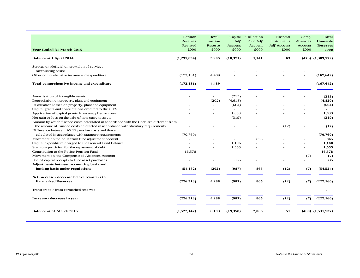| <b>Year Ended 31 March 2015</b>                                                         | Pension<br>Reserves<br>Restated<br>£000 | Reval-<br>-uation<br>Reserve<br>£000 | Capital<br>Adj'<br>Account<br>£000 | Collection<br>Fund Adj'<br>Account<br>£000 | Financial<br>Instruments<br>Adj' Account<br>£000 | Comp'<br>Absences<br>Account<br>£000 | <b>Total</b><br><b>Unusable</b><br><b>Reserves</b><br>£000 |
|-----------------------------------------------------------------------------------------|-----------------------------------------|--------------------------------------|------------------------------------|--------------------------------------------|--------------------------------------------------|--------------------------------------|------------------------------------------------------------|
| <b>Balance at 1 April 2014</b>                                                          | (1,295,834)                             | 3,905                                | (18,371)                           | 1,141                                      | 63                                               |                                      | $(473)$ $(1,309,572)$                                      |
|                                                                                         |                                         |                                      |                                    |                                            |                                                  |                                      |                                                            |
| Surplus or (deficit) on provision of services<br>(accounting basis)                     |                                         |                                      |                                    |                                            |                                                  |                                      |                                                            |
| Other comprehensive income and expenditure                                              | (172, 131)                              | 4.489                                |                                    |                                            |                                                  |                                      | (167, 642)                                                 |
| Total comprehensive income and expenditure                                              | (172, 131)                              | 4,489                                |                                    |                                            |                                                  |                                      | (167, 642)                                                 |
|                                                                                         |                                         |                                      |                                    |                                            |                                                  |                                      |                                                            |
| Amortisation of intangible assets                                                       |                                         | ÷                                    | (215)                              |                                            |                                                  |                                      | (215)                                                      |
| Depreciation on property, plant and equipment                                           |                                         | (202)                                | (4,618)                            |                                            |                                                  |                                      | (4,820)                                                    |
| Revaluation losses on property, plant and equipment                                     |                                         |                                      | (664)                              |                                            |                                                  | $\sim$                               | (664)                                                      |
| Capital grants and contributions credited to the CIES                                   |                                         |                                      |                                    |                                            |                                                  |                                      |                                                            |
| Application of capital grants from unapplied account                                    |                                         |                                      | 1.833                              |                                            |                                                  | $\overline{\phantom{a}}$             | 1.833                                                      |
| Net gain or loss on the sale of non-current assets                                      |                                         |                                      | (319)                              |                                            |                                                  |                                      | (319)                                                      |
| Amount by which finance costs calculated in accordance with the Code are different from |                                         |                                      |                                    |                                            |                                                  |                                      |                                                            |
| the amount of finance costs calculated in accordance with statutory requirements        |                                         |                                      |                                    |                                            | (12)                                             |                                      | (12)                                                       |
| Difference between IAS 19 pension costs and those                                       |                                         |                                      |                                    |                                            |                                                  |                                      |                                                            |
| calculated in accordance with statutory requirements                                    | (70.760)                                |                                      |                                    |                                            |                                                  |                                      | (70, 760)                                                  |
| Movement on the collection fund adjustment account                                      |                                         |                                      | ÷                                  | 865                                        |                                                  |                                      | 865                                                        |
| Capital expenditure charged to the General Fund Balance                                 |                                         |                                      | 1,106                              |                                            |                                                  |                                      | 1,106                                                      |
| Statutory provision for the repayment of debt                                           |                                         |                                      | 1.555                              |                                            |                                                  |                                      | 1,555                                                      |
| Contribution to the Police Pension Fund                                                 | 16.578                                  | $\overline{a}$                       | ÷.                                 | $\equiv$                                   |                                                  | $\sim$                               | 16.578                                                     |
| Movement on the Compensated Absences Account                                            |                                         |                                      |                                    |                                            |                                                  | (7)                                  | (7)                                                        |
| Use of capital receipts to fund asset purchases                                         |                                         | ٠                                    | 335                                |                                            |                                                  | ÷                                    | 335                                                        |
| Adjustments between accounting basis and                                                |                                         |                                      |                                    |                                            |                                                  |                                      |                                                            |
| funding basis under regulations                                                         | (54, 182)                               | (202)                                | (987)                              | 865                                        | (12)                                             | (7)                                  | (54, 524)                                                  |
| Net increase / decrease before transfers to                                             |                                         |                                      |                                    |                                            |                                                  |                                      |                                                            |
| <b>Earmarked Reserves</b>                                                               | (226,313)                               | 4,288                                | (987)                              | 865                                        | (12)                                             | (7)                                  | (222,166)                                                  |
| Transfers to / from earmarked reserves                                                  | $\sim$                                  | $\overline{a}$                       |                                    | ÷,                                         |                                                  |                                      |                                                            |
| Increase / decrease in year                                                             | (226,313)                               | 4,288                                | (987)                              | 865                                        | (12)                                             | (7)                                  | (222,166)                                                  |
| <b>Balance at 31 March 2015</b>                                                         | (1,522,147)                             | 8.193                                | (19,358)                           | 2,006                                      | 51                                               |                                      | $(480)$ $(1,531,737)$                                      |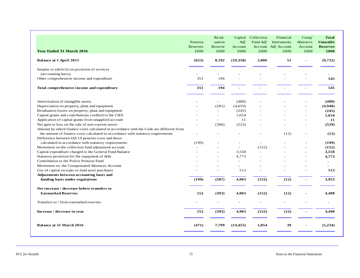| <b>Year Ended 31 March 2016</b>                                                         | Pension<br>Reserves<br>£000 | Reval-<br>-uation<br>Reserve<br>£000 | Capital<br>Adj'<br>Account<br>£000 | Collection<br>Fund Adj'<br>£000 | Financial<br><b>Instruments</b><br>Account Adj' Account<br>£000 | Comp <sup>′</sup><br>Absences<br>Account<br>£000 | <b>Total</b><br><b>Unusable</b><br><b>Reserves</b><br>£000 |
|-----------------------------------------------------------------------------------------|-----------------------------|--------------------------------------|------------------------------------|---------------------------------|-----------------------------------------------------------------|--------------------------------------------------|------------------------------------------------------------|
| Balance at 1 April 2015                                                                 | (623)                       | 8,192                                | (19,358)                           | 2,006                           | 51                                                              | Ĭ.                                               | (9,732)                                                    |
| Surplus or (deficit) on provision of services<br>(accounting basis)                     |                             |                                      |                                    |                                 |                                                                 |                                                  |                                                            |
| Other comprehensive income and expenditure                                              | 351                         | 194                                  |                                    |                                 |                                                                 |                                                  | 545                                                        |
| Total comprehensive income and expenditure                                              | 351                         | 194                                  |                                    |                                 |                                                                 |                                                  | 545                                                        |
| Amortisation of intangible assets                                                       |                             |                                      | (480)                              |                                 |                                                                 |                                                  | (480)                                                      |
| Depreciation on property, plant and equipment                                           |                             | (281)                                | (4,659)                            |                                 |                                                                 |                                                  | (4,940)                                                    |
| Revaluation losses on property, plant and equipment                                     |                             |                                      | (245)                              |                                 |                                                                 |                                                  | (245)                                                      |
| Capital grants and contributions credited to the CIES                                   |                             | $\overline{a}$                       | 1,654                              |                                 |                                                                 | $\overline{a}$                                   | 1,654                                                      |
| Application of capital grants from unapplied account                                    |                             | $\sim$                               | 11                                 |                                 |                                                                 | $\overline{\phantom{a}}$                         | 11                                                         |
| Net gain or loss on the sale of non-current assets                                      |                             | (306)                                | (223)                              |                                 |                                                                 |                                                  | (529)                                                      |
| Amount by which finance costs calculated in accordance with the Code are different from |                             |                                      |                                    |                                 |                                                                 |                                                  |                                                            |
| the amount of finance costs calculated in accordance with statutory requirements        |                             |                                      |                                    |                                 | (12)                                                            |                                                  | (12)                                                       |
| Difference between IAS 19 pension costs and those                                       |                             |                                      |                                    |                                 |                                                                 |                                                  |                                                            |
| calculated in accordance with statutory requirements                                    | (199)                       |                                      |                                    | $\overline{a}$                  |                                                                 |                                                  | (199)                                                      |
| Movement on the collection fund adjustment account                                      |                             |                                      | $\overline{a}$                     | (152)                           |                                                                 |                                                  | (152)                                                      |
| Capital expenditure charged to the General Fund Balance                                 |                             |                                      | 3,558                              |                                 |                                                                 |                                                  | 3,558                                                      |
| Statutory provision for the repayment of debt                                           |                             | $\overline{a}$                       | 4,773                              |                                 |                                                                 |                                                  | 4,773                                                      |
| Contribution to the Police Pension Fund                                                 |                             | $\overline{a}$                       | $\sim$                             |                                 |                                                                 | $\overline{a}$                                   | $\overline{\phantom{a}}$                                   |
| Movement on the Compensated Absences Account                                            |                             |                                      |                                    |                                 |                                                                 |                                                  |                                                            |
| Use of capital receipts to fund asset purchases                                         |                             | $\overline{a}$                       | 513                                |                                 |                                                                 |                                                  | 513                                                        |
| Adjustments between accounting basis and                                                |                             |                                      |                                    |                                 |                                                                 |                                                  |                                                            |
| funding basis under regulations                                                         | (199)                       | (587)                                | 4,903                              | (152)                           | (12)                                                            |                                                  | 3,953                                                      |
| Net increase / decrease before transfers to                                             |                             |                                      |                                    |                                 |                                                                 |                                                  |                                                            |
| <b>Earmarked Reserves</b>                                                               | 152                         | (393)                                | 4,903                              | (152)                           | (12)                                                            |                                                  | 4,498                                                      |
| Transfers to / from earmarked reserves                                                  |                             | $\overline{a}$                       |                                    | $\blacksquare$                  |                                                                 |                                                  | $\overline{a}$                                             |
| Increase / decrease in year                                                             | 152                         | (393)                                | 4,903                              | (152)                           | (12)                                                            | $\sim$                                           | 4,498                                                      |
| <b>Balance at 31 March 2016</b>                                                         | (471)                       | 7,799                                | (14, 455)                          | 1,854                           | 39                                                              |                                                  | (5,234)                                                    |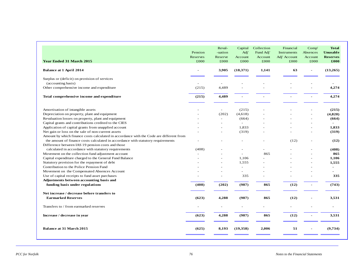| <b>Year Ended 31 March 2015</b>                                                         | Pension<br>Reserves<br>£000 | Reval-<br>-uation<br>Reserve<br>£000 | Capital<br>Adj'<br>Account<br>£000 | Collection<br>Fund Adj'<br>Account<br>£000 | Financial<br>Instruments<br>Adj' Account<br>£000 | Comp'<br>Absences<br>Account<br>£000 | <b>Total</b><br>Unusable<br><b>Reserves</b><br>£000 |
|-----------------------------------------------------------------------------------------|-----------------------------|--------------------------------------|------------------------------------|--------------------------------------------|--------------------------------------------------|--------------------------------------|-----------------------------------------------------|
| <b>Balance at 1 April 2014</b>                                                          |                             | 3,905                                | (18,371)                           | 1,141                                      | 63                                               | $\blacksquare$                       | (13,265)                                            |
| Surplus or (deficit) on provision of services                                           |                             |                                      |                                    |                                            |                                                  |                                      |                                                     |
| (accounting basis)                                                                      |                             |                                      |                                    |                                            |                                                  |                                      |                                                     |
| Other comprehensive income and expenditure                                              | (215)                       | 4,489                                |                                    |                                            |                                                  |                                      | 4,274                                               |
| Total comprehensive income and expenditure                                              | (215)                       | 4,489                                |                                    |                                            |                                                  |                                      | 4,274                                               |
|                                                                                         |                             |                                      |                                    |                                            |                                                  |                                      |                                                     |
| Amortisation of intangible assets                                                       |                             | ÷.                                   | (215)                              |                                            |                                                  |                                      | (215)                                               |
| Depreciation on property, plant and equipment                                           | $\equiv$                    | (202)                                | (4,618)                            |                                            |                                                  | $\overline{a}$                       | (4,820)                                             |
| Revaluation losses on property, plant and equipment                                     |                             |                                      | (664)                              |                                            |                                                  |                                      | (664)                                               |
| Capital grants and contributions credited to the CIES                                   |                             |                                      | $\sim$                             |                                            |                                                  | $\overline{a}$                       |                                                     |
| Application of capital grants from unapplied account                                    |                             |                                      | 1,833                              |                                            |                                                  | $\sim$                               | 1.833                                               |
| Net gain or loss on the sale of non-current assets                                      |                             |                                      | (319)                              |                                            |                                                  | $\blacksquare$                       | (319)                                               |
| Amount by which finance costs calculated in accordance with the Code are different from |                             |                                      |                                    |                                            |                                                  |                                      |                                                     |
| the amount of finance costs calculated in accordance with statutory requirements        |                             |                                      |                                    |                                            | (12)                                             |                                      | (12)                                                |
| Difference between IAS 19 pension costs and those                                       |                             |                                      |                                    |                                            |                                                  |                                      |                                                     |
| calculated in accordance with statutory requirements                                    | (408)                       |                                      |                                    |                                            |                                                  |                                      | (408)                                               |
| Movement on the collection fund adjustment account                                      |                             |                                      | $\sim$                             | 865                                        |                                                  |                                      | 865                                                 |
| Capital expenditure charged to the General Fund Balance                                 |                             |                                      | 1,106                              |                                            |                                                  | $\overline{a}$                       | 1,106                                               |
| Statutory provision for the repayment of debt                                           |                             |                                      | 1,555                              |                                            |                                                  |                                      | 1,555                                               |
| Contribution to the Police Pension Fund                                                 |                             |                                      | ٠                                  |                                            |                                                  |                                      |                                                     |
| Movement on the Compensated Absences Account                                            |                             |                                      |                                    |                                            |                                                  |                                      |                                                     |
| Use of capital receipts to fund asset purchases                                         |                             |                                      | 335                                |                                            |                                                  |                                      | 335                                                 |
| Adjustments between accounting basis and                                                |                             |                                      |                                    |                                            |                                                  |                                      |                                                     |
| funding basis under regulations                                                         | (408)                       | (202)                                | (987)                              | 865                                        | (12)                                             | $\overline{\phantom{a}}$             | (743)                                               |
| Net increase / decrease before transfers to                                             |                             |                                      |                                    |                                            |                                                  |                                      |                                                     |
| <b>Earmarked Reserves</b>                                                               | (623)                       | 4,288                                | (987)                              | 865                                        | (12)                                             |                                      | 3,531                                               |
| Transfers to / from earmarked reserves                                                  |                             |                                      |                                    |                                            |                                                  |                                      |                                                     |
| Increase / decrease in year                                                             | (623)                       | 4,288                                | (987)                              | 865                                        | (12)                                             | $\overline{\phantom{a}}$             | 3,531                                               |
| <b>Balance at 31 March 2015</b>                                                         | (625)                       | 8,193                                | (19,358)                           | 2,006                                      | 51                                               |                                      | (9,734)                                             |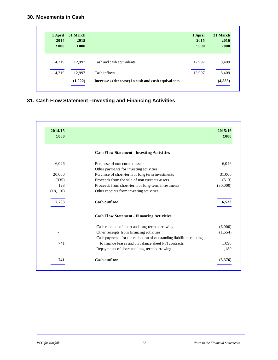# **30. Movements in Cash**

| 1 April<br>2014<br>£000 | 31 March<br>2015<br>£000 |                                                    | 1 April<br>2015<br>£000 | 31 March<br>2016<br>£000 |
|-------------------------|--------------------------|----------------------------------------------------|-------------------------|--------------------------|
| 14.219                  | 12.997                   | Cash and cash equivalents                          | 12.997                  | 8,409                    |
| 14,219                  | 12,997                   | Cash inflows                                       | 12,997                  | 8,409                    |
|                         | (1,222)                  | Increase / (decrease) in cash and cash equivalents |                         | (4,588)                  |

# **31. Cash Flow Statement –Investing and Financing Activities**

| 2014/15<br>£000 |                                                                     | 2015/16<br>£000 |
|-----------------|---------------------------------------------------------------------|-----------------|
|                 | <b>Cash Flow Statement - Investing Activities</b>                   |                 |
| 6,026           | Purchase of non current assets                                      | 6,046           |
|                 | Other payments for investing activities                             |                 |
| 20,000          | Purchase of short-term or long term investments                     | 31,000          |
| (335)           | Proceeds from the sale of non currents assets                       | (513)           |
| 128             | Proceeds from short-term or long-term investments                   | (30,000)        |
| (18, 116)       | Other receipts from investing activities                            |                 |
| 7,703           | Cash outflow                                                        | 6,533           |
|                 | <b>Cash Flow Statement - Financing Activities</b>                   |                 |
|                 | Cash receipts of short and long-term borrowing                      | (6,000)         |
|                 | Other receipts from financing activities                            | (1,654)         |
|                 | Cash payments for the reduction of outstanding liabilities relating |                 |
| 741             | to finance leases and on balance sheet PFI contracts                | 1,098           |
|                 | Repayments of short and long-term borrowing                         | 1,180           |
| 741             | <b>Cash outflow</b>                                                 | (5,376)         |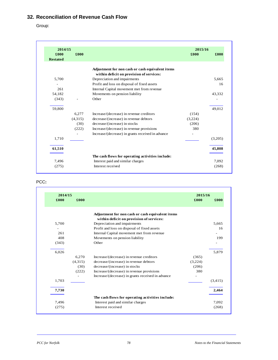# **32. Reconciliation of Revenue Cash Flow**

Group:

| 2014/15                 |         |                                                   | 2015/16       |         |
|-------------------------|---------|---------------------------------------------------|---------------|---------|
| £000<br><b>Restated</b> | £000    |                                                   | $\pounds 000$ | £000    |
|                         |         | Adjustment for non cash or cash equivalent items  |               |         |
|                         |         | within deficit on provision of services:          |               |         |
| 5,700                   |         | Depreciation and impairments                      |               | 5,665   |
|                         |         | Profit and loss on disposal of fixed assets       |               | 16      |
| 261                     |         | Internal Capital movement met from revenue        |               |         |
| 54,182                  |         | Movements on pension liability                    |               | 43,332  |
| (343)                   |         | Other                                             |               |         |
| 59,800                  |         |                                                   |               | 49,012  |
|                         | 6.277   | Increase/(decrease) in revenue creditors          | (154)         |         |
|                         | (4,315) | decrease/(increase) in revenue debtors            | (3,224)       |         |
|                         | (30)    | decrease/(increase) in stocks                     | (206)         |         |
|                         | (222)   | Increase/(decrease) in revenue provisions         | 380           |         |
|                         |         | Increase/(decrease) in grants received in advance | -             |         |
| 1,710                   |         |                                                   |               | (3,205) |
| 61,510                  |         |                                                   |               | 45,808  |
|                         |         | The cash flows for operating activities include:  |               |         |
| 7,496                   |         | Interest paid and similar charges                 |               | 7,092   |
| (275)                   |         | Interest received                                 |               | (268)   |

# PCC**:**

| 2014/15 |         |                                                   | 2015/16 |         |
|---------|---------|---------------------------------------------------|---------|---------|
| £000    | £000    |                                                   | £000    | £000    |
|         |         | Adjustment for non cash or cash equivalent items  |         |         |
|         |         | within deficit on provision of services:          |         |         |
| 5,700   |         | Depreciation and impairments                      |         | 5,665   |
|         |         | Profit and loss on disposal of fixed assets       |         | 16      |
| 261     |         | Internal Capital movement met from revenue        |         |         |
| 408     |         | Movements on pension liability                    |         | 199     |
| (343)   |         | Other                                             |         |         |
| 6,026   |         |                                                   |         | 5,879   |
|         | 6,270   | Increase/(decrease) in revenue creditors          | (365)   |         |
|         | (4,315) | decrease/(increase) in revenue debtors            | (3,224) |         |
|         | (30)    | decrease/(increase) in stocks                     | (206)   |         |
|         | (222)   | Increase/(decrease) in revenue provisions         | 380     |         |
|         |         | Increase/(decrease) in grants received in advance |         |         |
| 1,703   |         |                                                   |         | (3,415) |
| 7,730   |         |                                                   |         | 2,464   |
|         |         | The cash flows for operating activities include:  |         |         |
| 7,496   |         | Interest paid and similar charges                 |         | 7,092   |
| (275)   |         | Interest received                                 |         | (268)   |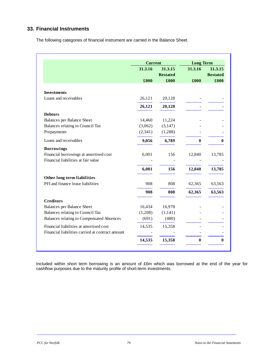# **33. Financial Instruments**

The following categories of financial instrument are carried in the Balance Sheet.

|                                                  | <b>Current</b> |                 | <b>Long Term</b> |                 |
|--------------------------------------------------|----------------|-----------------|------------------|-----------------|
|                                                  | 31.3.16        | 31.3.15         | 31.3.16          | 31.3.15         |
|                                                  |                | <b>Restated</b> |                  | <b>Restated</b> |
|                                                  | £000           | £000            | £000             | £000            |
| <b>Investments</b>                               |                |                 |                  |                 |
| Loans and receivables                            | 26,121         | 20,128          |                  |                 |
|                                                  | 26,121         | 20,128          |                  |                 |
| <b>Debtors</b>                                   |                |                 |                  |                 |
| <b>Balances per Balance Sheet</b>                | 14,460         | 11,224          |                  |                 |
| Balances relating to Council Tax                 | (3,062)        | (3,147)         |                  |                 |
| Prepayments                                      | (2, 341)       | (1,288)         |                  |                 |
| Loans and receivables                            | 9,056          | 6,789           | $\bf{0}$         | 0               |
| <b>Borrowings</b>                                |                |                 |                  |                 |
| Financial borrowings at amortised cost           | 6,001          | 156             | 12,840           | 13,785          |
| Financial liabilities at fair value              |                |                 |                  |                 |
|                                                  | 6,001          | 156             | 12,840           | 13,785          |
| Other long term liabilities                      |                |                 |                  |                 |
| PFI and finance lease liabilities                | 908            | 808             | 62,365           | 63,563          |
|                                                  | 908            | 808             | 62,365           | 63,563          |
| <b>Creditors</b>                                 |                |                 |                  |                 |
| <b>Balances per Balance Sheet</b>                | 16,434         | 16,978          |                  |                 |
| Balances relating to Council Tax                 | (1,208)        | (1,141)         |                  |                 |
| <b>Balances relating to Compensated Absences</b> | (691)          | (480)           |                  |                 |
| Financial liabilities at amortised cost          | 14,535         | 15,358          |                  |                 |
| Financial liabilities carried at contract amount |                |                 |                  |                 |
|                                                  | 14,535         | 15,358          | 0                | 0               |

Included within short term borrowing is an amount of £6m which was borrowed at the end of the year for cashflow purposes due to the maturity profile of short-term investments.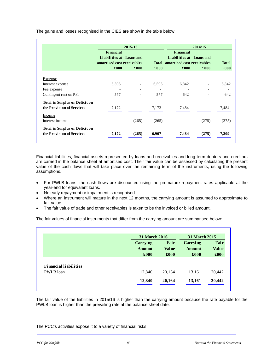The gains and losses recognised in the CIES are show in the table below:

|                                                                    |           | 2015/16                                                |       |                                                                                  | 2014/15                  |       |
|--------------------------------------------------------------------|-----------|--------------------------------------------------------|-------|----------------------------------------------------------------------------------|--------------------------|-------|
|                                                                    | Financial | Liabilities at Loans and<br>amortised cost receivables |       | Financial<br>Liabilities at Loans and<br><b>Total</b> amortised cost receivables | <b>Total</b>             |       |
|                                                                    | £000      | £000                                                   | £000  | £000                                                                             | £000                     | £000  |
| <b>Expense</b>                                                     |           |                                                        |       |                                                                                  |                          |       |
| Interest expense                                                   | 6,595     |                                                        | 6,595 | 6,842                                                                            |                          | 6,842 |
| Fee expense                                                        | ٠         | ۰                                                      | ٠     | ۰                                                                                | ۰                        |       |
| Contingent rent on PFI                                             | 577       | ۰                                                      | 577   | 642                                                                              |                          | 642   |
| <b>Total in Surplus or Deficit on</b>                              |           |                                                        |       |                                                                                  |                          |       |
| the Provision of Services                                          | 7,172     | $\overline{\phantom{a}}$                               | 7,172 | 7,484                                                                            | $\overline{\phantom{a}}$ | 7,484 |
| <b>Income</b>                                                      |           |                                                        |       |                                                                                  |                          |       |
| Interest income                                                    |           | (265)                                                  | (265) |                                                                                  | (275)                    | (275) |
| <b>Total in Surplus or Deficit on</b><br>the Provision of Services | 7,172     | (265)                                                  | 6,907 | 7,484                                                                            | (275)                    | 7,209 |

Financial liabilities, financial assets represented by loans and receivables and long term debtors and creditors are carried in the balance sheet at amortised cost. Their fair value can be assessed by calculating the present value of the cash flows that will take place over the remaining term of the instruments, using the following assumptions.

- For PWLB loans, the cash flows are discounted using the premature repayment rates applicable at the year-end for equivalent loans.
- No early repayment or impairment is recognised
- Where an instrument will mature in the next 12 months, the carrying amount is assumed to approximate to fair value
- The fair value of trade and other receivables is taken to be the invoiced or billed amount.

The fair values of financial instruments that differ from the carrying amount are summarised below:

|                              |                                   | <b>31 March 2016</b>         |                                   | <b>31 March 2015</b>         |
|------------------------------|-----------------------------------|------------------------------|-----------------------------------|------------------------------|
|                              | Carrying<br><b>Amount</b><br>£000 | Fair<br><b>Value</b><br>£000 | Carrying<br><b>Amount</b><br>£000 | Fair<br><b>Value</b><br>£000 |
|                              |                                   |                              |                                   |                              |
| <b>Financial liabilities</b> |                                   |                              |                                   |                              |
| PWLB loan                    | 12,840                            | 20,164                       | 13,161                            | 20,442                       |
|                              | 12,840                            | 20,164                       | 13,161                            | 20,442                       |

The fair value of the liabilities in 2015/16 is higher than the carrying amount because the rate payable for the PWLB loan is higher than the prevailing rate at the balance sheet date.

The PCC's activities expose it to a variety of financial risks: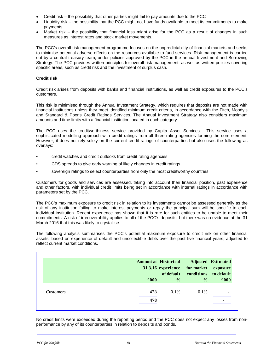- Credit risk the possibility that other parties might fail to pay amounts due to the PCC
- Liquidity risk the possibility that the PCC might not have funds available to meet its commitments to make payments
- Market risk the possibility that financial loss might arise for the PCC as a result of changes in such measures as interest rates and stock market movements.

The PCC's overall risk management programme focuses on the unpredictability of financial markets and seeks to minimise potential adverse effects on the resources available to fund services. Risk management is carried out by a central treasury team, under policies approved by the PCC in the annual Investment and Borrowing Strategy. The PCC provides written principles for overall risk management, as well as written policies covering specific areas, such as credit risk and the investment of surplus cash.

# **Credit risk**

Credit risk arises from deposits with banks and financial institutions, as well as credit exposures to the PCC's customers.

This risk is minimised through the Annual Investment Strategy, which requires that deposits are not made with financial institutions unless they meet identified minimum credit criteria, in accordance with the Fitch, Moody's and Standard & Poor's Credit Ratings Services. The Annual Investment Strategy also considers maximum amounts and time limits with a financial institution located in each category.

The PCC uses the creditworthiness service provided by Capita Asset Services. This service uses a sophisticated modelling approach with credit ratings from all three rating agencies forming the core element. However, it does not rely solely on the current credit ratings of counterparties but also uses the following as overlays:

- credit watches and credit outlooks from credit rating agencies
- CDS spreads to give early warning of likely changes in credit ratings
- sovereign ratings to select counterparties from only the most creditworthy countries

Customers for goods and services are assessed, taking into account their financial position, past experience and other factors, with individual credit limits being set in accordance with internal ratings in accordance with parameters set by the PCC.

The PCC's maximum exposure to credit risk in relation to its investments cannot be assessed generally as the risk of any institution failing to make interest payments or repay the principal sum will be specific to each individual institution. Recent experience has shown that it is rare for such entities to be unable to meet their commitments. A risk of irrecoverability applies to all of the PCC's deposits, but there was no evidence at the 31 March 2016 that this was likely to crystallise.

The following analysis summarises the PCC's potential maximum exposure to credit risk on other financial assets, based on experience of default and uncollectible debts over the past five financial years, adjusted to reflect current market conditions.

|                  |      | <b>Amount at Historical</b> | 31.3.16 experience for market exposure<br>of default conditions to default | <b>Adjusted Estimated</b> |
|------------------|------|-----------------------------|----------------------------------------------------------------------------|---------------------------|
|                  | £000 | $\frac{6}{6}$               | $\frac{0}{0}$                                                              | $\pmb{\pounds}000$        |
| <b>Customers</b> | 478  | $0.1\%$                     | $0.1\%$                                                                    |                           |
|                  | 478  |                             |                                                                            |                           |

No credit limits were exceeded during the reporting period and the PCC does not expect any losses from nonperformance by any of its counterparties in relation to deposits and bonds.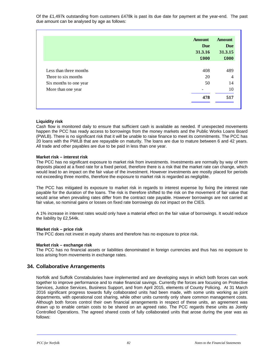Of the £1,497k outstanding from customers £478k is past its due date for payment at the year-end. The past due amount can be analysed by age as follows:

|                        | <b>Amount</b><br><b>Due</b><br>31.3.16<br>£000 | <b>Amount</b><br><b>Due</b><br>31.3.15<br>£000 |
|------------------------|------------------------------------------------|------------------------------------------------|
|                        |                                                |                                                |
| Less than three months | 408                                            | 489                                            |
| Three to six months    | 20                                             | $\overline{4}$                                 |
| Six months to one year | 50                                             | 14                                             |
| More than one year     |                                                | 10                                             |
|                        | 478                                            | 517                                            |

# **Liquidity risk**

Cash flow is monitored daily to ensure that sufficient cash is available as needed. If unexpected movements happen the PCC has ready access to borrowings from the money markets and the Public Works Loans Board (PWLB). There is no significant risk that it will be unable to raise finance to meet its commitments. The PCC has 20 loans with the PWLB that are repayable on maturity. The loans are due to mature between 6 and 42 years. All trade and other payables are due to be paid in less than one year.

# **Market risk – interest risk**

The PCC has no significant exposure to market risk from investments. Investments are normally by way of term deposits placed at a fixed rate for a fixed period, therefore there is a risk that the market rate can change, which would lead to an impact on the fair value of the investment. However investments are mostly placed for periods not exceeding three months, therefore the exposure to market risk is regarded as negligible.

The PCC has mitigated its exposure to market risk in regards to interest expense by fixing the interest rate payable for the duration of the loans. The risk is therefore shifted to the risk on the movement of fair value that would arise when prevailing rates differ from the contract rate payable. However borrowings are not carried at fair value, so nominal gains or losses on fixed rate borrowings do not impact on the CIES.

A 1% increase in interest rates would only have a material effect on the fair value of borrowings. It would reduce the liability by £2,544k.

# **Market risk – price risk**

The PCC does not invest in equity shares and therefore has no exposure to price risk.

# **Market risk – exchange risk**

The PCC has no financial assets or liabilities denominated in foreign currencies and thus has no exposure to loss arising from movements in exchange rates.

# **34. Collaborative Arrangements**

Norfolk and Suffolk Constabularies have implemented and are developing ways in which both forces can work together to improve performance and to make financial savings. Currently the forces are focusing on Protective Services, Justice Services, Business Support, and from April 2015, elements of County Policing. At 31 March 2016 significant progress towards fully collaborated units had been made, with some units working as joint departments, with operational cost sharing, while other units currently only share common management costs. Although both forces control their own financial arrangements in respect of these units, an agreement was drawn up to enable certain costs to be shared on an agreed ratio. The PCC regards these units as Jointly Controlled Operations. The agreed shared costs of fully collaborated units that arose during the year was as follows: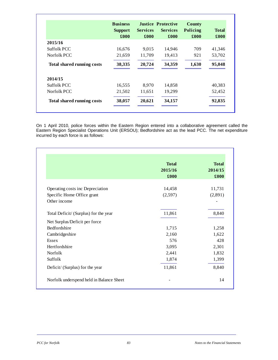|                                   | <b>Business</b><br><b>Support</b><br>£000 | <b>Services</b><br>£000 | <b>Justice Protective</b><br><b>Services</b><br>£000 | <b>County</b><br>Policing<br>£000 | <b>Total</b><br>$\pmb{\pounds}$ 000 |
|-----------------------------------|-------------------------------------------|-------------------------|------------------------------------------------------|-----------------------------------|-------------------------------------|
| 2015/16                           |                                           |                         |                                                      |                                   |                                     |
| Suffolk PCC                       | 16,676                                    | 9,015                   | 14,946                                               | 709                               | 41,346                              |
| Norfolk PCC                       | 21,659                                    | 11,709                  | 19,413                                               | 921                               | 53,702                              |
| <b>Total shared running costs</b> | 38,335                                    | 20,724                  | 34,359                                               | 1,630                             | 95,048                              |
| 2014/15                           |                                           |                         |                                                      |                                   |                                     |
| Suffolk PCC                       | 16,555                                    | 8,970                   | 14,858                                               |                                   | 40,383                              |
| Norfolk PCC                       | 21,502                                    | 11,651                  | 19,299                                               |                                   | 52,452                              |
| <b>Total shared running costs</b> | 38,057                                    | 20,621                  | 34,157                                               |                                   | 92,835                              |

On 1 April 2010, police forces within the Eastern Region entered into a collaborative agreement called the Eastern Region Specialist Operations Unit (ERSOU); Bedfordshire act as the lead PCC. The net expenditure incurred by each force is as follows:

| £000   | 2014/15<br>£000   |
|--------|-------------------|
|        | 11,731            |
|        | (2,891)           |
|        |                   |
| 11,861 | 8,840             |
|        |                   |
| 1,715  | 1,258             |
| 2,160  | 1,622             |
| 576    | 428               |
| 3,095  | 2,301             |
| 2,441  | 1,832             |
| 1,874  | 1,399             |
| 11,861 | 8,840             |
|        | 14,458<br>(2,597) |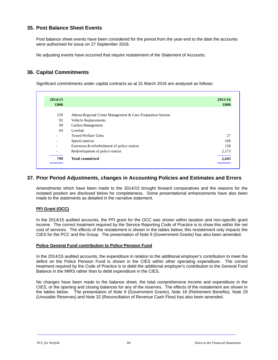# **35. Post Balance Sheet Events**

Post balance sheet events have been considered for the period from the year-end to the date the accounts were authorised for issue on 27 September 2016.

No adjusting events have occurred that require restatement of the Statement of Accounts.

# **36. Capital Commitments**

Significant commitments under capital contracts as at 31 March 2016 are analysed as follows:

| 2014/15<br>£000          |                                                            | 2015/16<br>£000 |
|--------------------------|------------------------------------------------------------|-----------------|
|                          |                                                            |                 |
| 539                      | Athena Regional Crime Management & Case Preparation System |                 |
| 92                       | Vehicle Replacements                                       |                 |
| 99                       | Carbon Management                                          |                 |
| 69                       | Livelink                                                   |                 |
| ۰                        | Towed Welfare Units                                        | 27              |
| ۰                        | Speed cameras                                              | 106             |
| $\overline{\phantom{a}}$ | Extension & refurbishment of police station                | 138             |
| ۰                        | Redevelopment of police station                            | 2,173           |
| 799                      | <b>Total committed</b>                                     | 2,443           |

# **37. Prior Period Adjustments, changes in Accounting Policies and Estimates and Errors**

Amendments which have been made to the 2014/15 brought forward comparatives and the reasons for the restated position are disclosed below for completeness. Some presentational enhancements have also been made to the statements as detailed in the narrative statement.

# **PFI Grant (OCC)**

In the 2014/15 audited accounts, the PFI grant for the OCC was shown within taxation and non-specific grant income. The correct treatment required by the Service Reporting Code of Practice is to show this within the net cost of services. The effects of the restatement is shown in the tables below; this restatement only impacts the CIES for the PCC and the Group. The presentation of Note 9 (Government Grants) has also been amended.

# **Police General Fund contribution to Police Pension Fund**

In the 2014/15 audited accounts, the expenditure in relation to the additional employer's contribution to meet the deficit on the Police Pension Fund is shown in the CIES within other operating expenditure. The correct treatment required by the Code of Practice is to debit the additional employer's contribution to the General Fund Balance in the MIRS rather than to debit expenditure in the CIES.

No changes have been made to the balance sheet, the total comprehensive income and expenditure in the CIES, or the opening and closing balances for any of the reserves. The effects of the restatement are shown in the tables below. The presentation of Note 9 (Government Grants), Note 18 (Retirement Benefits), Note 29 (Unusable Reserves) and Note 32 (Reconciliation of Revenue Cash Flow) has also been amended.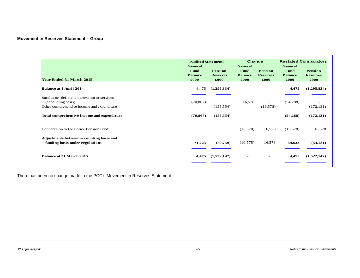# **Movement in Reserves Statement – Group**

| <b>Year Ended 31 March 2015</b>                                                                                   | <b>Audited Statements</b><br>General<br>Fund<br><b>Balance</b><br>£000 | Pension<br><b>Reserves</b><br>£000 | Change<br>General<br>Fund<br><b>Balance</b><br>£000 | Pension<br><b>Reserves</b><br>£000 | General<br>Fund<br><b>Balance</b><br>£000 | <b>Restated Comparators</b><br>Pension<br><b>Reserves</b><br>£000 |
|-------------------------------------------------------------------------------------------------------------------|------------------------------------------------------------------------|------------------------------------|-----------------------------------------------------|------------------------------------|-------------------------------------------|-------------------------------------------------------------------|
| <b>Balance at 1 April 2014</b>                                                                                    | 4,475                                                                  | (1,295,834)                        | $\equiv$                                            |                                    | 4,475                                     | (1,295,834)                                                       |
| Surplus or (deficit) on provision of services<br>(accounting basis)<br>Other comprehensive income and expenditure | (70, 867)                                                              | (155, 554)                         | 16,578<br>$\overline{\phantom{a}}$                  | (16,578)                           | (54, 288)<br>$\overline{\phantom{a}}$     | (172, 131)                                                        |
| Total comprehensive income and expenditure                                                                        | (70, 867)                                                              | (155, 554)                         |                                                     |                                    | (54, 288)                                 | (172, 131)                                                        |
| Contribution to the Police Pension Fund                                                                           |                                                                        |                                    | (16,578)                                            | 16,578                             | (16,578)                                  | 16,578                                                            |
| Adjustments between accounting basis and<br>funding basis under regulations                                       | 71,223                                                                 | (70, 759)                          | (16, 578)                                           | 16,578                             | 54,633                                    | (54, 181)                                                         |
| Balance at 31 March 2015                                                                                          | 4,475                                                                  | (1,522,147)                        | $\overline{\phantom{a}}$                            | $\overline{\phantom{a}}$           | 4,475                                     | (1,522,147)                                                       |

There has been no change made to the PCC's Movement in Reserves Statement.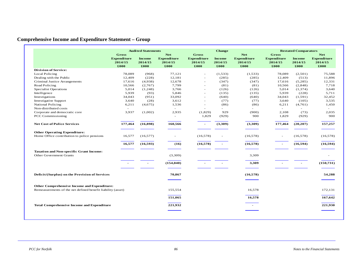# **Comprehensive Income and Expenditure Statement – Group**

|                                                                                                            |                                                       | <b>Audited Statements</b>        |                                                     |                                                       | <b>Change</b>                    |                                                     |                                                       | <b>Restated Comparators</b>      |                                                     |
|------------------------------------------------------------------------------------------------------------|-------------------------------------------------------|----------------------------------|-----------------------------------------------------|-------------------------------------------------------|----------------------------------|-----------------------------------------------------|-------------------------------------------------------|----------------------------------|-----------------------------------------------------|
|                                                                                                            | <b>Gross</b><br><b>Expenditure</b><br>2014/15<br>£000 | <b>Income</b><br>2014/15<br>£000 | <b>Net</b><br><b>Expenditure</b><br>2014/15<br>£000 | <b>Gross</b><br><b>Expenditure</b><br>2014/15<br>£000 | <b>Income</b><br>2014/15<br>£000 | <b>Net</b><br><b>Expenditure</b><br>2014/15<br>£000 | <b>Gross</b><br><b>Expenditure</b><br>2014/15<br>£000 | <b>Income</b><br>2014/15<br>£000 | <b>Net</b><br><b>Expenditure</b><br>2014/15<br>£000 |
| <b>Division of Service:</b>                                                                                |                                                       |                                  |                                                     |                                                       |                                  |                                                     |                                                       |                                  |                                                     |
| Local Policing                                                                                             | 78,089                                                | (968)                            | 77,121                                              | $\overline{\phantom{a}}$                              | (1,533)                          | (1,533)                                             | 78,089                                                | (2,501)                          | 75,588                                              |
| Dealing with the Public                                                                                    | 12,409                                                | (228)                            | 12,181                                              | $\overline{\phantom{a}}$                              | (285)                            | (285)                                               | 12,409                                                | (513)                            | 11.896                                              |
| Criminal Justice Arrangements                                                                              | 17,616                                                | (4,938)                          | 12,678                                              | $\overline{\phantom{a}}$                              | (347)                            | (347)                                               | 17,616                                                | (5,285)                          | 12,331                                              |
| Road Policing                                                                                              | 10,566                                                | (2,767)                          | 7,799                                               | $\overline{a}$                                        | (81)                             | (81)                                                | 10,566                                                | (2,848)                          | 7,718                                               |
| <b>Specialist Operations</b>                                                                               | 5,014                                                 | (1,248)                          | 3,766                                               | $\overline{\phantom{a}}$                              | (126)                            | (126)                                               | 5,014                                                 | (1, 374)                         | 3,640                                               |
| Intelligence                                                                                               | 5,939                                                 | (93)                             | 5,846                                               | $\overline{\phantom{a}}$                              | (135)                            | (135)                                               | 5,939                                                 | (228)                            | 5,711                                               |
| Investigations                                                                                             | 34,043                                                | (951)                            | 33,092                                              | $\overline{a}$                                        | (640)                            | (640)                                               | 34,043                                                | (1,591)                          | 32,452                                              |
| <b>Investigative Support</b>                                                                               | 3,640                                                 | (28)                             | 3,612                                               | $\overline{\phantom{a}}$                              | (77)                             | (77)                                                | 3,640                                                 | (105)                            | 3,535                                               |
| <b>National Policing</b>                                                                                   | 6,211                                                 | (4,675)                          | 1,536                                               | $\overline{\phantom{0}}$                              | (86)                             | (86)                                                | 6,211                                                 | (4,761)                          | 1,450                                               |
| Non-distributed costs                                                                                      | ۰                                                     |                                  | $\overline{\phantom{a}}$                            |                                                       |                                  |                                                     | $\sim$                                                | $\overline{a}$                   |                                                     |
| Corporate and democratic core                                                                              | 3,937                                                 | (1,002)                          | 2,935                                               | (1,829)                                               | 929                              | (900)                                               | 2,108                                                 | (73)                             | 2,035                                               |
| <b>PCC Commissioning</b>                                                                                   |                                                       |                                  | $\overline{\phantom{a}}$                            | 1,829                                                 | (929)                            | 900                                                 | 1,829                                                 | (929)                            | 900                                                 |
| <b>Net Cost of Police Services</b>                                                                         | 177,464                                               | (16, 898)                        | 160,566                                             | $\blacksquare$                                        | (3,309)                          | (3,309)                                             | 177,464                                               | (20, 207)                        | 157,257                                             |
| <b>Other Operating Expenditure:</b>                                                                        |                                                       |                                  |                                                     |                                                       |                                  |                                                     |                                                       |                                  |                                                     |
| Home Office contribution to police pensions                                                                | 16,577                                                | (16, 577)                        | $\overline{\phantom{a}}$                            | (16, 578)                                             |                                  | (16,578)                                            | $\overline{\phantom{a}}$                              | (16,578)                         | (16, 578)                                           |
|                                                                                                            | 16,577                                                | (16, 593)                        | (16)                                                | (16,578)                                              |                                  | (16, 578)                                           |                                                       | (16, 594)                        | (16, 594)                                           |
| <b>Taxation and Non-specific Grant Income:</b>                                                             |                                                       |                                  |                                                     |                                                       |                                  |                                                     |                                                       |                                  |                                                     |
| <b>Other Government Grants</b>                                                                             |                                                       |                                  | (3,309)                                             |                                                       |                                  | 3,309                                               |                                                       |                                  |                                                     |
|                                                                                                            |                                                       |                                  | (154, 040)                                          |                                                       |                                  | 3,309                                               |                                                       | $\blacksquare$                   | (150, 731)                                          |
| Deficit/(Surplus) on the Provision of Services                                                             |                                                       |                                  | 70,867                                              |                                                       |                                  | (16, 578)                                           |                                                       |                                  | 54,288                                              |
|                                                                                                            |                                                       |                                  |                                                     |                                                       |                                  |                                                     |                                                       |                                  |                                                     |
| Other Comprehensive Income and Expenditure:<br>Remeasurements of the net defined benefit liability (asset) |                                                       |                                  | 155,554                                             |                                                       |                                  | 16,578                                              |                                                       |                                  | 172,131                                             |
|                                                                                                            |                                                       |                                  | 151,065                                             |                                                       |                                  | 16,578                                              |                                                       |                                  | 167,642                                             |
| <b>Total Comprehensive Income and Expenditure</b>                                                          |                                                       |                                  | 221,932                                             |                                                       |                                  |                                                     |                                                       |                                  | 221,930                                             |
|                                                                                                            |                                                       |                                  |                                                     |                                                       |                                  |                                                     |                                                       |                                  |                                                     |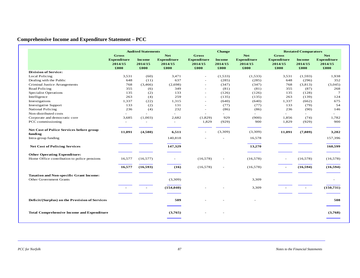# **Comprehensive Income and Expenditure Statement – PCC**

|                                                                                  |                                                | <b>Audited Statements</b>        |                                                     |                                                | <b>Change</b>                    |                                                     | <b>Restated Comparators</b>                           |                                  |                                                     |  |
|----------------------------------------------------------------------------------|------------------------------------------------|----------------------------------|-----------------------------------------------------|------------------------------------------------|----------------------------------|-----------------------------------------------------|-------------------------------------------------------|----------------------------------|-----------------------------------------------------|--|
|                                                                                  | Gross<br><b>Expenditure</b><br>2014/15<br>£000 | <b>Income</b><br>2014/15<br>£000 | <b>Net</b><br><b>Expenditure</b><br>2014/15<br>£000 | Gross<br><b>Expenditure</b><br>2014/15<br>£000 | <b>Income</b><br>2014/15<br>£000 | <b>Net</b><br><b>Expenditure</b><br>2014/15<br>£000 | <b>Gross</b><br><b>Expenditure</b><br>2014/15<br>£000 | <b>Income</b><br>2014/15<br>£000 | <b>Net</b><br><b>Expenditure</b><br>2014/15<br>£000 |  |
| <b>Division of Service:</b>                                                      |                                                |                                  |                                                     |                                                |                                  |                                                     |                                                       |                                  |                                                     |  |
| <b>Local Policing</b>                                                            | 3,531                                          | (60)                             | 3,471                                               | ٠                                              | (1,533)                          | (1,533)                                             | 3,531                                                 | (1,593)                          | 1,938                                               |  |
| Dealing with the Public                                                          | 648                                            | (11)                             | 637                                                 | ٠                                              | (285)                            | (285)                                               | 648                                                   | (296)                            | 352                                                 |  |
| Criminal Justice Arrangements                                                    | 768                                            | (3,466)                          | (2,698)                                             | ٠                                              | (347)                            | (347)                                               | 768                                                   | (3,813)                          | (3,045)                                             |  |
| Road Policing                                                                    | 355                                            | (6)                              | 349                                                 | ÷                                              | (81)                             | (81)                                                | 355                                                   | (87)                             | 268                                                 |  |
| <b>Specialist Operations</b>                                                     | 135                                            | (2)                              | 133                                                 | $\sim$                                         | (126)                            | (126)                                               | 135                                                   | (128)                            | $\overline{7}$                                      |  |
| Intelligence                                                                     | 263                                            | (4)                              | 259                                                 | ٠                                              | (135)                            | (135)                                               | 263                                                   | (139)                            | 124                                                 |  |
| Investigations                                                                   | 1,337                                          | (22)                             | 1,315                                               | ٠                                              | (640)                            | (640)                                               | 1,337                                                 | (662)                            | 675                                                 |  |
| <b>Investigative Support</b>                                                     | 133                                            | (2)                              | 131                                                 | ÷                                              | (77)                             | (77)                                                | 133                                                   | (79)                             | 54                                                  |  |
| <b>National Policing</b>                                                         | 236                                            | (4)                              | 232                                                 | $\overline{\phantom{a}}$                       | (86)                             | (86)                                                | 236                                                   | (90)                             | 146                                                 |  |
| Non-distributed costs                                                            | ÷                                              |                                  |                                                     | $\overline{\phantom{a}}$                       | $\sim$                           | ٠                                                   |                                                       | $\sim$                           |                                                     |  |
| Corporate and democratic core                                                    | 3,685                                          | (1,003)                          | 2,682                                               | (1,829)                                        | 929                              | (900)                                               | 1,856                                                 | (74)                             | 1,782                                               |  |
| PCC commissioning                                                                |                                                |                                  |                                                     | 1,829                                          | (929)                            | 900                                                 | 1,829                                                 | (929)                            | 900                                                 |  |
| Net Cost of Police Services before group<br>fundi ng                             | 11,091                                         | (4,580)                          | 6,511                                               | ÷.                                             | (3,309)                          | (3,309)                                             | 11,091                                                | (7,889)                          | 3,202                                               |  |
| Intra-group funding                                                              |                                                |                                  | 140,818                                             |                                                |                                  | 16,578                                              |                                                       |                                  | 157,396                                             |  |
| <b>Net Cost of Policing Services</b>                                             |                                                |                                  | 147,329                                             |                                                |                                  | 13,270                                              |                                                       |                                  | 160,599                                             |  |
| <b>Other Operating Expenditure:</b>                                              |                                                |                                  |                                                     |                                                |                                  |                                                     |                                                       |                                  |                                                     |  |
| Home Office contribution to police pensions                                      | 16,577                                         | (16, 577)                        |                                                     | (16, 578)                                      | $\overline{\phantom{a}}$         | (16,578)                                            |                                                       | (16,578)                         | (16, 578)                                           |  |
|                                                                                  | 16,577                                         | (16, 593)                        | (16)                                                | (16, 578)                                      | $\overline{\phantom{a}}$         | (16, 578)                                           |                                                       | (16, 594)                        | (16, 594)                                           |  |
| <b>Taxation and Non-specific Grant Income:</b><br><b>Other Government Grants</b> |                                                |                                  | (3,309)                                             |                                                |                                  | 3,309                                               |                                                       |                                  |                                                     |  |
|                                                                                  |                                                |                                  | (154, 040)                                          |                                                |                                  | 3,309                                               |                                                       |                                  | (150, 731)                                          |  |
|                                                                                  |                                                |                                  |                                                     |                                                |                                  |                                                     |                                                       |                                  |                                                     |  |
| Deficit/(Surplus) on the Provision of Services                                   |                                                |                                  | 509                                                 |                                                |                                  |                                                     |                                                       |                                  | 508                                                 |  |
| <b>Total Comprehensive Income and Expenditure</b>                                |                                                |                                  | (3,765)                                             |                                                |                                  |                                                     |                                                       |                                  | (3,768)                                             |  |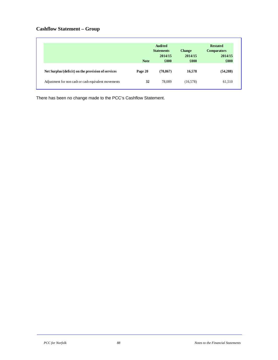# **Cashflow Statement – Group**

|                                                      |             | <b>Audited</b>    |               | <b>Restated</b>    |
|------------------------------------------------------|-------------|-------------------|---------------|--------------------|
|                                                      |             | <b>Statements</b> | <b>Change</b> | <b>Comparators</b> |
|                                                      |             | 2014/15           | 2014/15       | 2014/15            |
|                                                      | <b>Note</b> | £000              | £000          | £000               |
| Net Surplus/(deficit) on the provision of services   | Page 20     | (70, 867)         | 16,578        | (54, 288)          |
| Adjustment for non cash or cash equivalent movements | 32          | 78.089            | (16, 578)     | 61,510             |

There has been no change made to the PCC's Cashflow Statement.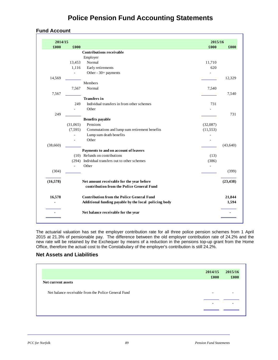# **Police Pension Fund Accounting Statements**

# **Fund Account**

| 2014/15        |          |                                                                                        | 2015/16   |           |
|----------------|----------|----------------------------------------------------------------------------------------|-----------|-----------|
| £000           | £000     |                                                                                        | £000      | £000      |
|                |          | <b>Contributions receivable</b>                                                        |           |           |
|                |          | Employer                                                                               |           |           |
|                | 13,453   | Normal                                                                                 | 11,710    |           |
|                | 1,116    | Early retirements                                                                      | 620       |           |
|                | ÷,       | Other - 30+ payments                                                                   |           |           |
| 14,569         |          |                                                                                        |           | 12,329    |
|                |          | Members                                                                                |           |           |
|                | 7,567    | Normal                                                                                 | 7,540     |           |
| 7,567          |          |                                                                                        |           | 7,540     |
|                |          | <b>Transfers</b> in                                                                    |           |           |
|                | 249      | Individual transfers in from other schemes                                             | 731       |           |
|                |          | Other                                                                                  |           |           |
| 249            |          |                                                                                        |           | 731       |
|                |          | <b>Benefits payable</b>                                                                |           |           |
|                | (31,065) | Pensions                                                                               | (32,087)  |           |
|                | (7,595)  | Commutations and lump sum retirement benefits                                          | (11, 553) |           |
|                | ÷,       | Lump sum death benefits                                                                | ä,        |           |
|                | ÷,       | Other                                                                                  |           |           |
| (38,660)       |          |                                                                                        |           | (43,640)  |
|                |          | Payments to and on account of leavers                                                  |           |           |
|                |          | (10) Refunds on contributions                                                          | (13)      |           |
|                | (294)    | Individual transfers out to other schemes                                              | (386)     |           |
|                | L.       | Other                                                                                  |           |           |
| (304)          |          |                                                                                        |           | (399)     |
|                |          |                                                                                        |           |           |
| (16,578)       |          | Net amount receivable for the year before<br>contribution from the Police General Fund |           | (23, 438) |
|                |          |                                                                                        |           |           |
| 16,578         |          | <b>Contribution from the Police General Fund</b>                                       |           | 21,844    |
| $\blacksquare$ |          | Additional funding payable by the local policing body                                  |           | 1,594     |
|                |          | Net balance receivable for the year                                                    |           |           |

The actuarial valuation has set the employer contribution rate for all three police pension schemes from 1 April 2015 at 21.3% of pensionable pay. The difference between the old employer contribution rate of 24.2% and the new rate will be retained by the Exchequer by means of a reduction in the pensions top-up grant from the Home Office, therefore the actual cost to the Constabulary of the employer's contribution is still 24.2%.

# **Net Assets and Liabilities**

|                                                     | 2014/15<br>£000 | 2015/16<br>£000 |
|-----------------------------------------------------|-----------------|-----------------|
| Net current assets                                  |                 |                 |
| Net balance receivable from the Police General Fund | -               |                 |
|                                                     | -               |                 |
|                                                     |                 |                 |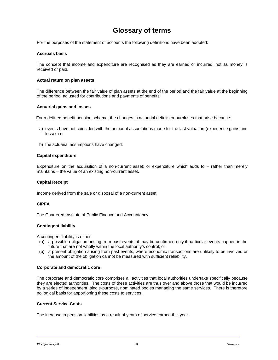# **Glossary of terms**

For the purposes of the statement of accounts the following definitions have been adopted:

# **Accruals basis**

The concept that income and expenditure are recognised as they are earned or incurred, not as money is received or paid.

# **Actual return on plan assets**

The difference between the fair value of plan assets at the end of the period and the fair value at the beginning of the period, adjusted for contributions and payments of benefits.

# **Actuarial gains and losses**

For a defined benefit pension scheme, the changes in actuarial deficits or surpluses that arise because:

- a) events have not coincided with the actuarial assumptions made for the last valuation (experience gains and losses) or
- b) the actuarial assumptions have changed.

# **Capital expenditure**

Expenditure on the acquisition of a non-current asset; or expenditure which adds to – rather than merely maintains – the value of an existing non-current asset.

# **Capital Receipt**

Income derived from the sale or disposal of a non-current asset.

# **CIPFA**

The Chartered Institute of Public Finance and Accountancy.

# **Contingent liability**

A contingent liability is either:

- (a) a possible obligation arising from past events; it may be confirmed only if particular events happen in the future that are not wholly within the local authority's control; or
- (b) a present obligation arising from past events, where economic transactions are unlikely to be involved or the amount of the obligation cannot be measured with sufficient reliability.

# **Corporate and democratic core**

The corporate and democratic core comprises all activities that local authorities undertake specifically because they are elected authorities. The costs of these activities are thus over and above those that would be incurred by a series of independent, single-purpose, nominated bodies managing the same services. There is therefore no logical basis for apportioning these costs to services.

# **Current Service Costs**

The increase in pension liabilities as a result of years of service earned this year.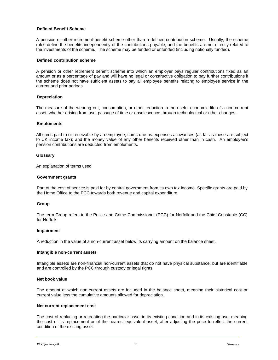# **Defined Benefit Scheme**

A pension or other retirement benefit scheme other than a defined contribution scheme. Usually, the scheme rules define the benefits independently of the contributions payable, and the benefits are not directly related to the investments of the scheme. The scheme may be funded or unfunded (including notionally funded).

# **Defined contribution scheme**

A pension or other retirement benefit scheme into which an employer pays regular contributions fixed as an amount or as a percentage of pay and will have no legal or constructive obligation to pay further contributions if the scheme does not have sufficient assets to pay all employee benefits relating to employee service in the current and prior periods.

# **Depreciation**

The measure of the wearing out, consumption, or other reduction in the useful economic life of a non-current asset, whether arising from use, passage of time or obsolescence through technological or other changes.

# **Emoluments**

All sums paid to or receivable by an employee; sums due as expenses allowances (as far as these are subject to UK income tax); and the money value of any other benefits received other than in cash. An employee's pension contributions are deducted from emoluments.

# **Glossary**

An explanation of terms used

# **Government grants**

Part of the cost of service is paid for by central government from its own tax income. Specific grants are paid by the Home Office to the PCC towards both revenue and capital expenditure.

# **Group**

The term Group refers to the Police and Crime Commissioner (PCC) for Norfolk and the Chief Constable (CC) for Norfolk.

# **Impairment**

A reduction in the value of a non-current asset below its carrying amount on the balance sheet.

# **Intangible non-current assets**

Intangible assets are non-financial non-current assets that do not have physical substance, but are identifiable and are controlled by the PCC through custody or legal rights.

# **Net book value**

The amount at which non-current assets are included in the balance sheet, meaning their historical cost or current value less the cumulative amounts allowed for depreciation.

# **Net current replacement cost**

The cost of replacing or recreating the particular asset in its existing condition and in its existing use, meaning the cost of its replacement or of the nearest equivalent asset, after adjusting the price to reflect the current condition of the existing asset.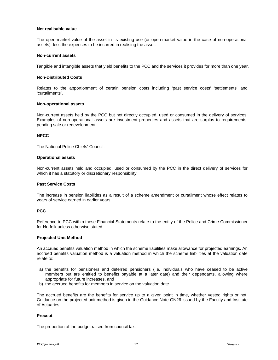#### **Net realisable value**

The open-market value of the asset in its existing use (or open-market value in the case of non-operational assets), less the expenses to be incurred in realising the asset.

#### **Non-current assets**

Tangible and intangible assets that yield benefits to the PCC and the services it provides for more than one year.

# **Non-Distributed Costs**

Relates to the apportionment of certain pension costs including 'past service costs' 'settlements' and 'curtailments'.

#### **Non-operational assets**

Non-current assets held by the PCC but not directly occupied, used or consumed in the delivery of services. Examples of non-operational assets are investment properties and assets that are surplus to requirements, pending sale or redevelopment.

# **NPCC**

The National Police Chiefs' Council.

#### **Operational assets**

Non-current assets held and occupied, used or consumed by the PCC in the direct delivery of services for which it has a statutory or discretionary responsibility.

#### **Past Service Costs**

The increase in pension liabilities as a result of a scheme amendment or curtailment whose effect relates to years of service earned in earlier years.

# **PCC**

Reference to PCC within these Financial Statements relate to the entity of the Police and Crime Commissioner for Norfolk unless otherwise stated.

# **Projected Unit Method**

An accrued benefits valuation method in which the scheme liabilities make allowance for projected earnings. An accrued benefits valuation method is a valuation method in which the scheme liabilities at the valuation date relate to:

- a) the benefits for pensioners and deferred pensioners (i.e. individuals who have ceased to be active members but are entitled to benefits payable at a later date) and their dependants, allowing where appropriate for future increases, and
- b) the accrued benefits for members in service on the valuation date.

The accrued benefits are the benefits for service up to a given point in time, whether vested rights or not. Guidance on the projected unit method is given in the Guidance Note GN26 issued by the Faculty and Institute of Actuaries.

# **Precept**

The proportion of the budget raised from council tax.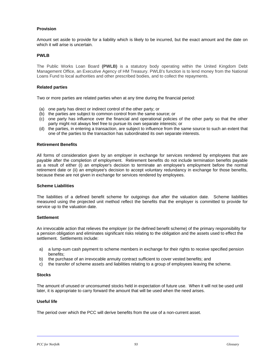# **Provision**

Amount set aside to provide for a liability which is likely to be incurred, but the exact amount and the date on which it will arise is uncertain.

# **PWLB**

The Public Works Loan Board **(PWLB)** is a statutory body operating within the United Kingdom Debt Management Office, an Executive Agency of HM Treasury. PWLB's function is to lend money from the National Loans Fund to local authorities and other prescribed bodies, and to collect the repayments.

#### **Related parties**

Two or more parties are related parties when at any time during the financial period:

- (a) one party has direct or indirect control of the other party; or
- (b) the parties are subject to common control from the same source; or
- (c) one party has influence over the financial and operational policies of the other party so that the other party might not always feel free to pursue its own separate interests; or
- (d) the parties, in entering a transaction, are subject to influence from the same source to such an extent that one of the parties to the transaction has subordinated its own separate interests.

#### **Retirement Benefits**

All forms of consideration given by an employer in exchange for services rendered by employees that are payable after the completion of employment. Retirement benefits do not include termination benefits payable as a result of either (i) an employer's decision to terminate an employee's employment before the normal retirement date or (ii) an employee's decision to accept voluntary redundancy in exchange for those benefits, because these are not given in exchange for services rendered by employees.

#### **Scheme Liabilities**

The liabilities of a defined benefit scheme for outgoings due after the valuation date. Scheme liabilities measured using the projected unit method reflect the benefits that the employer is committed to provide for service up to the valuation date.

# **Settlement**

An irrevocable action that relieves the employer (or the defined benefit scheme) of the primary responsibility for a pension obligation and eliminates significant risks relating to the obligation and the assets used to effect the settlement. Settlements include:

- a) a lump-sum cash payment to scheme members in exchange for their rights to receive specified pension benefits;
- b) the purchase of an irrevocable annuity contract sufficient to cover vested benefits; and
- c) the transfer of scheme assets and liabilities relating to a group of employees leaving the scheme.

# **Stocks**

The amount of unused or unconsumed stocks held in expectation of future use. When it will not be used until later, it is appropriate to carry forward the amount that will be used when the need arises.

#### **Useful life**

The period over which the PCC will derive benefits from the use of a non-current asset.